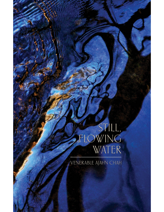# STILL,<br>FLOWING<br>WATER

**VENERABLE AJAHN CHAH**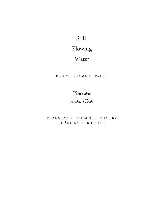# Still,

# Flowing

## Water

#### EIGHT DHAMMA TALKS

*Venerable Ajahn Chah*

TRANSLATED FROM THE THAI BY Ṭ H Ā N I S S A R O B H I K K H U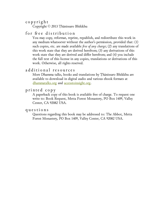#### c o p y ri g h t

Copyright © 2013 Ṭhānissaro Bhikkhu

#### for free distribution

You may copy, reformat, reprint, republish, and redistribute this work in any medium whatsoever without the author's permission, provided that: (1) such copies, etc. are made available *free of any charge*; (2) any translations of this work state that they are derived herefrom; (3) any derivations of this work state that they are derived and differ herefrom; and (4) you include the full text of this license in any copies, translations or derivations of this work. Otherwise, all rights reserved.

#### additional resources

More Dhamma talks, books and translations by Ṭhānissaro Bhikkhu are available to download in digital audio and various ebook formats at [dhammatalks.org](http://www.dhammatalks.org/) and [accesstoinsight.org](http://www.accesstoinsight.org/lib/authors/thanissaro/).

#### printed copy

A paperback copy of this book is available free of charge. To request one write to: Book Request, Metta Forest Monastery, PO Box 1409, Valley Center, CA 92082 USA.

#### q u e s t i o n s

Questions regarding this book may be addressed to: The Abbot, Metta Forest Monastery, PO Box 1409, Valley Center, CA 92082 USA.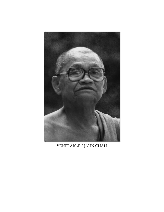

VENERABLE AJAHN CHAH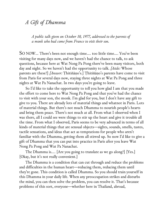## *A Gift of Dhamma*

*A public talk given on October 10, 1977, addressed to the parents of a monk who had come from France to visit their son.*

SO NOW… There's been not enough time…. too little time…. You've been visiting for many days now, and we haven't had the chance to talk, to ask questions, because here at Wat Nong Pa Pong there've been many visitors, both day and night. So we haven't had the opportunity to talk. *[Aside:* Whose parents are these?] *[Answer:* Ṭhitiñāṇo's.] Ṭhitiñāṇo's parents have come to visit from Paris for several days now, staying three nights at Wat Pa Pong and three nights at Wat Pa Nanachat. In two days you're going to leave.

So I'd like to take the opportunity to tell you how glad I am that you made the effort to come here to Wat Nong Pa Pong and that you've had the chance to visit with your son, the monk. I'm glad for you, but I don't have any gift to give to you. There are already lots of material things and whatnot in Paris. Lots of material things. But there's not much Dhamma to nourish people's hearts and bring them peace. There's not much at all. From what I observed when I was there, all I could see were things to stir up the heart and give it trouble all the time. From what I observed, Paris seems to be very advanced in terms of all kinds of material things that are sensual objects—sights, sounds, smells, tastes, tactile sensations, and ideas that act as temptations for people who aren't familiar with the Dhamma, getting them all stirred up. So now I'd like to give a gift of Dhamma that you can put into practice in Paris after you leave Wat Nong Pa Pong and Wat Pa Nanachat.

The Dhamma is…. [Are you going to translate as we go along?] [Yes.] [Okay, but it's not really convenient.]

The Dhamma is a condition that can cut through and reduce the problems and difficulties in the human heart—reducing them, reducing them until they're gone. This condition is called Dhamma. So you should train yourself in this Dhamma in your daily life. When any preoccupation strikes and disturbs the mind, you can then solve the problem, you can resolve it. That's because problems of this sort, everyone—whether here in Thailand, abroad,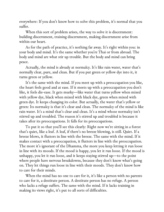everywhere: If you don't know how to solve this problem, it's normal that you suffer.

When this sort of problem arises, the way to solve it is discernment: building discernment, training discernment, making discernment arise from within our heart.

As for the path of practice, it's nothing far away. It's right within you: in your body and mind. It's the same whether you're Thai or from abroad. The body and mind are what stir up trouble. But the body and mind can bring peace.

Actually, the mind is already at normalcy. It's like rain water, water that's normally clear, pure, and clean. But if you put green or yellow dye into it, it turns green or yellow.

It's the same with the mind. If you meet up with a preoccupation you like, the heart feels good and at ease. If it meets up with a preoccupation you don't like, it feels dis-ease. It gets murky—like water that turns yellow when mixed with yellow dye, black when mixed with black dye, green when mixed with green dye. It keeps changing its color. But actually, the water that's yellow or green: Its normalcy is that it's clear and clean. The normalcy of the mind is like rain water. It's a mind that's clear and clean. It's a mind whose normalcy isn't stirred up and troubled. The reason it's stirred up and troubled is because it takes after its preoccupations. It falls for its preoccupations.

To put it so that you'll see this clearly: Right now we're sitting in a forest that's quiet, like a leaf. A leaf, if there's no breeze blowing, is still. Quiet. If a breeze blows, it flutters in line with the breeze. The same with the mind. If it makes contact with a preoccupation, it flutters in line with the preoccupation. The more it's ignorant of the Dhamma, the more you keep letting it run loose in line with its moods. If the mood is happy, you let it run loose. If the mood is unhappy, you let it run loose, and it keeps staying stirred up—to the point where people have nervous breakdowns, because they don't know what's going on. They let things run loose in line with their moods. They don't know how to care for their minds.

When the mind has no one to care for it, it's like a person with no parents to care for it, a destitute person. A destitute person has no refuge. A person who lacks a refuge suffers. The same with the mind. If it lacks training in making its views right, it's put to all sorts of difficulties.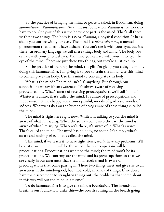So the practice of bringing the mind to peace is called, in Buddhism, doing *kammaṭṭhāna. Kammaṭṭhāna. Ṭhāna* means foundation. *Kamma* is the work we have to do. One part of this is the body; one part is the mind. That's all there is: these two things. The body is a *rūpa-dhamma*, a physical condition. It has a shape you can see with your eyes. The mind is a *nāma-dhamma*, a mental phenomenon that doesn't have a shape. You can't see it with your eyes, but it's there. In ordinary language we call these things body and mind. The body you can see with your physical eyes. The mind you can see with your inner eye, the eye of the mind. There are just these two things, but they're all stirred up.

So the practice of training the mind, the gift I'm giving you today, is simply doing this kammaṭṭhāna. I'm giving it to you to train the mind. Use this mind to contemplate this body. Use this mind to contemplate this body.

What is the mind? The mind isn't "is" anything. But through our suppositions we say it's an awareness. It's always aware of receiving preoccupations. What's aware of receiving preoccupations, we'll call "mind." Whatever is aware, that's called the mind. It's aware of preoccupations and moods—sometimes happy, sometimes painful, moods of gladness, moods of sadness. Whatever takes on the burden of being aware of these things is called the mind.

The mind is right here right now. While I'm talking to you, the mind is aware of what I'm saying. When the sounds come into the ear, the mind is aware of what I'm saying. Whatever's there, it's aware of it. What's aware: That's called the mind. The mind has no body, no shape. It's simply what's aware and nothing else. That's called the mind.

This mind, if we teach it to have right views, won't have any problems. It'll be at its ease. The mind will be the mind, the preoccupations will be preoccupations. Preoccupations won't be the mind; the mind won't be its preoccupations. We contemplate the mind and its preoccupations so that we'll see clearly in our awareness that the mind receives and is aware of preoccupations that come passing in. These two things meet and give rise to an awareness in the mind—good, bad, hot, cold, all kinds of things. If we don't have the discernment to straighten things out, the problems that come about in this way will put the mind in a turmoil.

To do kammaṭṭhāna is to give the mind a foundation. The in-and-out breath is our foundation. Take this—the breath coming in, the breath going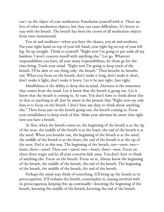out—as the object of your meditation. Familiarize yourself with it. There are lots of other meditation objects, but they can cause difficulties. It's better to stay with the breath. The breath has been the crown of all meditation objects from time immemorial.

You sit and meditate—when you have the chance, you sit and meditate. Put your right hand on top of your left hand, your right leg on top of your left leg. Sit up straight. Think to yourself: "Right now I'm going to put aside all my burdens. I won't concern myself with anything else." Let go. Whatever responsibilities you have, all your many responsibilities, let them go for the time being. Teach your mind: "Right now I'm going to keep track of the breath. I'll be alert to one thing only: the breath." Then breathe in, breathe out. When you focus on the breath, don't make it long, don't make it short, don't make it light, don't make it heavy. Let it be just right. Just right.

Mindfulness is the ability to keep this in mind. Alertness is the awareness that comes from the mind. Let it know that the breath is going out. Let it know that the breath is coming in. At ease. You don't have to think about this or that or anything at all. Just be aware in the present that "Right now my only duty is to focus on the breath. I don't have any duty to think about anything else." Then focus just on the breath going out, the breath coming in. Focus your mindfulness to keep track of this. Make your alertness be aware that right now you have a breath.

At first, when the breath comes in, the beginning of the breath is at the tip of the nose, the middle of the breath is at the heart, the end of the breath is at the navel. When you breathe out, the beginning of the breath is at the navel, the middle of the breath is at the heart, the end of the breath is at the tip of the nose. Feel it in this way. The beginning of the breath, one—nose; two heart; three—navel. Then one—navel; two—heart; three—nose. Focus on these three stages and let all your concerns fade away. You don't have to think of anything else. Focus on the breath. Focus on in. Always know the beginning of the breath, the middle of the breath, the end of the breath. The beginning of the breath, the middle of the breath, the end of the breath.

Perhaps the mind may think of something. It'll bring up the breath as its preoccupation. It'll evaluate the breath, contemplate it, staying involved with its preoccupation, keeping this up continually—knowing the beginning of the breath, knowing the middle of the breath, knowing the end of the breath.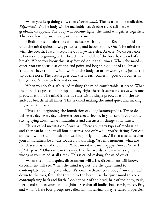When you keep doing this, then *citta-mudutā:* The heart will be malleable. *Kāya-mudutā:* The body will be malleable. Its tiredness and stiffness will gradually disappear. The body will become light; the mind will gather together. The breath will grow more gentle and refined.

Mindfulness and alertness will coalesce with the mind. Keep doing this until the mind quiets down, grows still, and becomes one. One. The mind rests with the breath. It won't separate out anywhere else. At ease. No disturbance. It knows the beginning of the breath, the middle of the breath, the end of the breath. When you know this, stay focused on it at all times. When the mind is quiet, you can focus just on the end point and beginning point of the breath. You don't have to follow it down into the body. In other words, stay just at the tip of the nose. The breath goes out, the breath comes in, goes out, comes in, but you don't have to follow it down.

When you do this, it's called making the mind comfortable, at peace. When the mind is at peace, let it stop and stay right there. It stops and stays with one preoccupation. The mind is one. It stays with a single preoccupation, the inand-out breath, at all times. This is called making the mind quiet and making it give rise to discernment.

This is the beginning, the foundation of doing kammaṭṭhāna. Try to do this every day, every day, wherever you are: at home, in your car, in your boat, sitting, lying down. Have mindfulness and alertness in charge at all times.

This is called meditation *(bhāvanā).* There are many types of meditation and they can be done in all four postures, not only while you're sitting. You can do them while standing, sitting, walking, or lying down. All that's asked is that your mindfulness be always focused on knowing: "At this moment, what are the characteristics of the mind? What mood is it in? Happy? Pained? Stirred up? At peace?" Observe it in this way. In other words, know what's right and wrong in your mind at all times. This is called making the mind quiet.

When the mind is quiet, discernment will arise; discernment will know; discernment will see. When the mind is quiet, use the quiet mind to contemplate. Contemplate what? It's kammaṭṭhāna: your body from the head down to the toes, from the toes up to the head. Use the quiet mind to keep contemplating back and forth. Look at hair of the head, hair of the body, nails, teeth, and skin as your kammaṭṭhāna. See that all bodies have earth, water, fire, and wind. These four groups are called kammaṭṭhāna. They're called properties: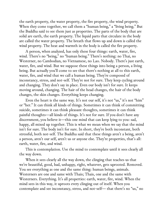the earth property, the water property, the fire property, the wind property. When they come together, we call them a "human being," a "living being." But the Buddha said to see them just as properties. The parts of the body that are solid are earth, the earth property. The liquid parts that circulate in the body are called the water property. The breath that flows up and down is called the wind property. The heat and warmth in the body is called the fire property.

A person, when analyzed, has only these four things: earth, water, fire, wind. There's no "being," no "human being." There's nothing: no Thai, no Westerner, no Cambodian, no Vietnamese, no Lao. Nobody. There's just earth, water, fire, and wind. But we suppose these things into being a person, a living being. But actually you'll come to see that there's nothing at all to this earth, water, fire, and wind that we call a human being. They're composed of inconstancy, stress, and not-self. They're not for sure. They keep cycling around and changing. They don't say in place. Even our body isn't for sure. It keeps moving around, changing. The hair of the head changes, the hair of the body changes, the skin changes. Everything keeps changing.

Even the heart is the same way. It's not our self, it's not "us," it's not "him" or "her." It can think all kinds of things. Sometimes it can think of committing suicide, sometimes it can think pleasant thoughts, sometimes it can think painful thoughts—all kinds of things. It's not for sure. If you don't have any discernment, you believe it—this one mind that can keep lying to you: sad, happy, all mixed up together. This is what we mean when we say that the mind isn't for sure. The body isn't for sure. In short, they're both inconstant, both stressful, both not-self. The Buddha said that these things aren't a being, aren't a person, aren't our self, aren't us or anyone else. They're properties, that's all: earth, water, fire, and wind.

This is contemplation. Use the mind to contemplate until it sees clearly all the way down.

When it sees clearly all the way down, the clinging that teaches us that we're beautiful, good, bad, unhappy, right, whatever, gets uprooted. Removed. You see everything as one and the same thing: human beings, animals. Westerners are one and same with Thais; Thais, one and the same with Westerners. Everything. It's all properties: earth, water, fire, wind. When the mind sees in this way, it uproots every clinging out of itself. When you contemplate and see inconstancy, stress, and not-self— that there's no "us," no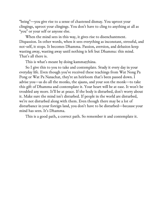"being"—you give rise to a sense of chastened dismay. You uproot your clingings, uproot your clingings. You don't have to cling to anything at all as "you" or your self or anyone else.

When the mind sees in this way, it gives rise to disenchantment. Dispassion. In other words, when it sees everything as inconstant, stressful, and not-self, it stops. It becomes Dhamma. Passion, aversion, and delusion keep wasting away, wasting away until nothing is left but Dhamma: this mind. That's all there is.

This is what's meant by doing kammaṭṭhāna.

So I give this to you to take and contemplate. Study it every day in your everyday life. Even though you've received these teachings from Wat Nong Pa Pong or Wat Pa Nanachat, they're an heirloom that's been passed down. I advise you—as do all the monks, the ajaans, and your son the monk—to take this gift of Dhamma and contemplate it. Your heart will be at ease. It won't be troubled any more. It'll be at peace. If the body is disturbed, don't worry about it. Make sure the mind isn't disturbed. If people in the world are disturbed, we're not disturbed along with them. Even though there may be a lot of disturbance in your foreign land, you don't have to be disturbed—because your mind has seen. It's Dhamma.

This is a good path, a correct path. So remember it and contemplate it.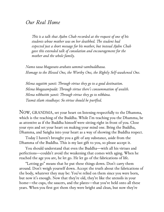### *Our Real Home*

*This is a talk that Ajahn Chah recorded at the request of one of his students whose mother was on her deathbed. The student had expected just a short message for his mother, but instead Ajahn Chah gave this extended talk of consolation and encouragement for the mother and the whole family.*

*Namo tassa bhagavato arahato sammā-sambuddhassa. Homage to the Blessed One, the Worthy One, the Rightly Self-awakened One.*

*Sīlena sugatiṁ yanti: Through virtue they go to a good destination. Sīlena bhogasampadā: Through virtue there's consummation of wealth. Sīlena nibbutiṁ yanti: Through virtue they go to nibbāna. Tasmā sīlaṁ visodhaye: So virtue should be purified.*

NOW, GRANDMA, set your heart on listening respectfully to the Dhamma, which is the teaching of the Buddha. While I'm teaching you the Dhamma, be as attentive as if the Buddha himself were sitting right in front of you. Close your eyes and set your heart on making your mind one. Bring the Buddha, Dhamma, and Saṅgha into your heart as a way of showing the Buddha respect.

Today I haven't brought you a gift of any substance, aside from the Dhamma of the Buddha. This is my last gift to you, so please accept it.

You should understand that even the Buddha—with all his virtues and perfections—couldn't avoid the weakening that comes with aging. When he reached the age you are, he let go. He let go of the fabrications of life.

"Letting go" means that he put these things down. Don't carry them around. Don't weigh yourself down. Accept the truth about the fabrications of the body, whatever they may be: You've relied on them since you were born, but now it's enough. Now that they're old, they're like the utensils in your home—the cups, the saucers, and the plates—that you've held onto all these years. When you first got them they were bright and clean, but now they're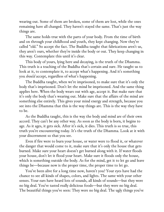wearing out. Some of them are broken, some of them are lost, while the ones remaining have all changed. They haven't stayed the same. That's just the way things are.

The same holds true with the parts of your body. From the time of birth and on through your childhood and youth, they kept changing. Now they're called "old." So accept the fact. The Buddha taught that fabrications aren't us, they aren't ours, whether they're inside the body or out. They keep changing in this way. Contemplate this until it's clear.

This body of yours, lying here and decaying, is the truth of the Dhamma. This truth is a teaching of the Buddha that's certain and sure. He taught us to look at it, to contemplate it, to accept what's happening. And it's something you *should* accept, regardless of what's happening.

The Buddha taught, when we're imprisoned, to make sure that it's only the body that's imprisoned. Don't let the mind be imprisoned. And the same thing applies here. When the body wears out with age, accept it. But make sure that it's only the body that's wearing out. Make sure that the affairs of the mind are something else entirely. This gives your mind energy and strength, because you see into the Dhamma that this is the way things are. This is the way they have to be.

As the Buddha taught, this is the way the body and mind are of their own accord. They can't be any other way. As soon as the body is born, it begins to age. As it ages, it gets sick. After it's sick, it dies. This truth is so true, this truth you're encountering today. It's the truth of the Dhamma. Look at it with your discernment so that you see.

Even if fire were to burn your house, or water were to flood it, or whatever the danger that would come to it, make sure that it's only the house that gets burned. Make sure your heart doesn't get burned along with it. If water floods your house, don't let it flood your heart. Make sure it floods only the house, which is something outside the body. As for the mind, get it to let go and leave things be—because now is the proper time, the proper time to let go.

You've been alive for a long time now, haven't you? Your eyes have had the chance to see all kinds of shapes, colors, and lights. The same with your other senses. Your ears have heard lots of sounds, all kinds of sounds—but they were no big deal. You've tasted really delicious foods—but they were no big deal. The beautiful things you've seen: They were no big deal. The ugly things you've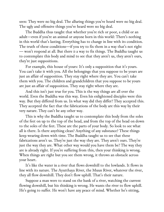seen: They were no big deal. The alluring things you've heard were no big deal. The ugly and offensive things you've heard were no big deal.

The Buddha thus taught that whether you're rich or poor, a child or an adult—even if you're an animal or anyone born in this world: There's nothing in this world that's lasting. Everything has to change in line with its condition. The truth of these conditions—if you try to fix them in a way that's not right — won't respond at all. But there *is* a way to fix things. The Buddha taught us to contemplate this body and mind to see that they aren't us, they aren't ours, they're just suppositions.

For example, this house of yours: It's only a supposition that it's yours. You can't take it with you. All the belongings that you suppose to be yours are just an affair of supposition. They stay right where they are. You can't take them with you. The children and grandchildren that you suppose to be yours are just an affair of supposition. They stay right where they are.

And this isn't just true for you. This is the way things are all over the world. Even the Buddha was this way. Even his enlightened disciples were this way. But they differed from us. In what way did they differ? They accepted this. They accepted the fact that the fabrications of the body are this way by their very nature. They can't be any other way.

This is why the Buddha taught us to contemplate this body from the soles of the feet on up to the top of the head, and from the top of the head on down to the soles of the feet. These are the parts of your body. So look to see what all is there. Is there anything clean? Anything of any substance? These things keep wearing down with time. The Buddha taught us to see that these fabrications aren't us. They're just the way they are. They aren't ours. They're just the way they are. What other way would you have them be? The way they are is already right. If you're suffering from this, then your thinking is wrong. When things are right but you see them wrong, it throws an obstacle across your heart.

It's like the water in a river that flows downhill to the lowlands. It flows in line with its nature. The Ayutthaya River, the Muun River, whatever the river, they all flow downhill. They don't flow uphill. That's their nature.

Suppose a man were to stand on the bank of a river, watching the current flowing downhill, but his thinking is wrong. He wants the river to flow uphill. He's going to suffer. He won't have any peace of mind. Whether he's sitting,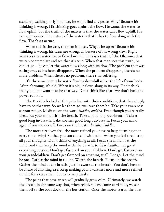standing, walking, or lying down, he won't find any peace. Why? Because his thinking is wrong. His thinking goes against the flow. He wants the water to flow uphill, but the truth of the matter is that the water can't flow uphill. It's not appropriate. The nature of the water is that it has to flow along with the flow. That's its nature.

When this is the case, the man is upset. Why is he upset? Because his thinking is wrong, his ideas are wrong, all because of his wrong view. Right view sees that water has to flow downhill. This is a truth of the Dhamma that we can contemplate and see that it's true. When that man sees this truth, he can let go—he can let the water flow along with its flow. The problem that was eating away at his heart disappears. When the problem disappears, there's no more problem. When there's no problem, there's no suffering.

It's the same here. The water flowing downhill is like the life of your body. After it's young, it's old. When it's old, it flows along in its way. Don't think that you don't want it to be that way. Don't think like that. We don't have the power to fix it.

The Buddha looked at things in line with their conditions, that they simply have to be that way. So we let them go, we leave them be. Take your awareness as your refuge. Meditate on the word *buddho, buddho.* Even though you're really tired, put your mind with the breath. Take a good long out-breath. Take a good long in-breath. Take another good long out-breath. Focus your mind again if you wander off. Focus on the breath: *buddho, buddho.*

The more tired you feel, the more refined you have to keep focusing on in every time. Why? So that you can contend with pain. When you feel tired, stop all your thoughts. Don't think of anything at all. Focus the mind in at the mind, and then keep the mind with the breath: *buddho, buddho.* Let go of everything outside. Don't get fastened on your children. Don't get fastened on your grandchildren. Don't get fastened on anything at all. Let go. Let the mind be one. Gather the mind in to one. Watch the breath. Focus on the breath. Gather the mind at the breath. Just be aware at the breath. You don't have to be aware of anything else. Keep making your awareness more and more refined until it feels very small, but extremely awake.

The pains that have arisen will gradually grow calm. Ultimately, we watch the breath in the same way that, when relatives have come to visit us, we see them off to the boat dock or the bus station. Once the motor starts, the boat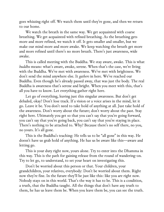goes whizzing right off. We watch them until they're gone, and then we return to our home.

We watch the breath in the same way. We get acquainted with coarse breathing. We get acquainted with refined breathing. As the breathing gets more and more refined, we watch it off. It gets smaller and smaller, but we make our mind more and more awake. We keep watching the breath get more and more refined until there's no more breath. There's just awareness, wide awake.

This is called meeting with the Buddha. We stay aware, awake. This is what *buddho* means: what's aware, awake, serene. When that's the case, we're living with the Buddha. We've met with awareness. We've met with brightness. We don't send the mind anywhere else. It *gathers* in here. We've reached our Buddha. Even though he's already passed away, that was just the body. The real Buddha is awareness that's serene and bright. When you meet with this, that's all you have to know. Let everything gather right here.

Let go of everything, leaving just this singular awareness. But don't get deluded, okay? Don't lose track. If a vision or a voice arises in the mind, let it go. Leave it be. You don't need to take hold of anything at all. Just take hold of the awareness. Don't worry about the future; don't worry about the past. Stay right here. Ultimately you get so that you can't say that you're going forward, you can't say that you're going back, you can't say that you're staying in place. There's nothing to be attached to. Why? Because there's no self there, no you, no yours. It's all gone.

This is the Buddha's teaching: He tells us to be "all gone" in this way. He doesn't have us grab hold of anything. He has us be aware like this—aware and letting go.

This is your duty right now, yours alone. Try to enter into the Dhamma in this way. This is the path for gaining release from the round of wandering-on. Try to let go, to understand, to set your heart on investigating this.

Don't be worried about this person or that. Your children, your grandchildren, your relatives, everybody: Don't be worried about them. Right now they're fine. In the future they'll be just like this: like you are right now. Nobody stays on in this world. That's the way it has to be. This is a condition, a truth, that the Buddha taught. All the things that don't have any truth to them, he has us leave them be. When you leave them be, you can see the truth.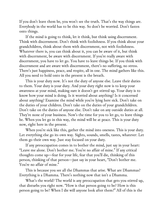If you don't leave them be, you won't see the truth. That's the way things are. Everybody in the world has to be this way. So don't be worried. Don't fasten onto things.

If the mind is going to think, let it think, but think using discernment. Think with discernment. Don't think with foolishness. If you think about your grandchildren, think about them with discernment, not with foolishness. Whatever there is, you can think about it, you can be aware of it, but think with discernment, be aware with discernment. If you're really aware with discernment, you have to let go. You have to leave things be. If you think with discernment and are aware with discernment, there's no suffering, no stress. There's just happiness, peace, and respite, all in one. The mind gathers like this. All you need to hold onto in the present is the breath.

This is your duty now. It's not the duty of anyone else. Leave their duties to them. Your duty is your duty. And your duty right now is to keep your awareness at your mind, making sure it doesn't get stirred up. Your duty is to know how your mind is doing. Is it worried about anything? Is it concerned about anything? Examine the mind while you're lying here sick. Don't take on the duties of your children. Don't take on the duties of your grandchildren. Don't take on the duties of anyone else. Don't take on any outside duties at all. They're none of your business. Now's the time for you to let go, to leave things be. When you let go in this way, the mind will be at peace. This is your duty now, right here in the present.

When you're sick like this, gather the mind into oneness. This is your duty. Let everything else go its own way. Sights, sounds, smells, tastes, whatever: Let them go their own way. Just stay focused on your duty.

If any preoccupation comes in to bother the mind, just say in your heart: "Leave me alone. Don't bother me. You're no affair of mine." If any critical thoughts come up—fear for your life, fear that you'll die, thinking of this person, thinking of that person—just say in your heart, "Don't bother me. You're no affair of mine."

This is because you see all the Dhammas that arise. What are Dhammas? Everything is a Dhamma. There's nothing now that isn't a Dhamma.

What's the world? The world is any preoccupation that gets you stirred up, that disturbs you right now. "How is that person going to be? How is this person going to be? When I die will anyone look after them?" All of this is the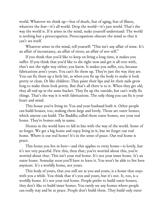world. Whatever we think up—fear of death, fear of aging, fear of illness, whatever the fear—it's all world. Drop the world—it's just world. That's the way the world is. If it arises in the mind, make yourself understand: The world is nothing but a preoccupation. Preoccupations obscure the mind so that it can't see itself.

Whatever arises in the mind, tell yourself: "This isn't any affair of mine. It's an affair of inconstancy, an affair of stress, an affair of not-self."

If you think that you'd like to keep on living a long time, it makes you suffer. If you think that you'd like to die right now and get it all over with, that's not the right way either, you know. It makes you suffer, too, because fabrications aren't yours. You can't fix them up. They're just the way they are. You can fix them up a little bit, as when you fix up the body to make it look pretty or clean. Or like children: They paint their lips and let their nails grow long to make them look pretty. But that's all there is to it. When they get old, they all end up in the same bucket. They fix up the outside, but can't really fix things. That's the way it is with fabrications. The only thing you can fix is your heart and mind.

This house you're living in: You and your husband built it. Other people can build houses, too, making them large and lovely. Those are outer homes, which anyone can build. The Buddha called them outer homes, not your real home. They're homes only in name.

Homes in the world have to fall in line with the way of the world. Some of us forget. We get a big home and enjoy living in it, but we forget our real home. Where is our real home? It's in the sense of peace. Our real home is peace.

This home you live in here—and this applies to every home—is lovely, but it's not very peaceful. First this, then that; you're worried about this, you're worried about that: This isn't your real home. It's not your inner home. It's an outer home. Someday soon you'll have to leave it. You won't be able to live here anymore. It's a worldly home, not yours.

This body of yours, that you still see as you and yours, is a home that stays with you a while. You think that it's you and yours, but it's not. It, too, is a worldly home. It's not your real home. People prefer to build outer homes; they don't like to build inner homes. You rarely see any homes where people can really stay and be at peace. People don't build them. They build only outer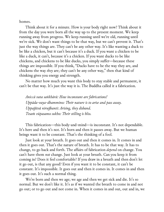homes.

Think about it for a minute. How is your body right now? Think about it from the day you were born all the way up to the present moment. We keep running away from progress. We keep running until we're old, running until we're sick. We don't want things to be that way, but we can't prevent it. That's just the way things are. They can't be any other way. It's like wanting a duck to be like a chicken, but it can't because it's a duck. If you want a chicken to be like a duck, it can't, because it's a chicken. If you want ducks to be like chickens, and chickens to be like ducks, you simply suffer—because these things are impossible. If you think, "Ducks have to be the way they are, and chickens the way *they* are; they can't be any other way," then that kind of thinking gives you energy and strength.

No matter how much you want this body to stay stable and permanent, it can't be that way. It's just the way it is. The Buddha called it a fabrication.

*Aniccā vata saṅkhārā: How inconstant are fabrications! Uppāda-vaya-dhammino: Their nature is to arise and pass away. Uppaj itvā niruj hanti: Arising, they disband. Tesaṁ vūpasamo sukho: Their stilling is bliss.*

This fabrication—this body-and-mind—is inconstant. It's not dependable. It's here and then it's not. It's born and then it passes away. But we human beings want it to be constant. That's the thinking of a fool.

Just look at your breath. It goes out and then it comes in. It comes in and then it goes out. That's the nature of breath. It has to be that way. It has to change, to go back and forth. The affairs of fabrication *depend* on change. You can't have them *not* change. Just look at your breath. Can you keep it from coming in? Does it feel comfortable? If you draw in a breath and then don't let it go out, is that any good? Even if you want it to be constant, it can't be constant. It's impossible. It goes out and then it comes in. It comes in and then it goes out. It's such a normal thing.

We're born and then we age; we age and then we get sick and die. It's so normal. But we don't like it. It's as if we wanted the breath to come in and not go out; or to go out and not come in. When it comes in and out, out and in, we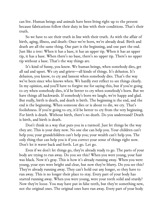can live. Human beings and animals have been living right up to the present because fabrications follow their duty in line with their conditions. That's their truth.

So we have to see their truth in line with their truth. As with the affair of birth, aging, illness, and death: Once we're born, we're already dead. Birth and death are all the same thing. One part is the beginning, and one part the end. Just like a tree: When it has a base, it has an upper tip. When it has an upper tip, it has a base. When there's no base, there's no upper tip. There's no upper tip without a base. That's the way things are.

It's kind of funny, you know. We human beings, when somebody dies, get all sad and upset. We cry and grieve—all kinds of things. It's delusion. It's delusion, you know, to cry and lament when somebody dies. That's the way we've been since who knows when. We hardly ever reflect to see things clearly. In my opinion, and you'll have to forgive me for saying this, but if you're going to cry when somebody dies, it'd be better to cry when somebody's born. But we have things all backwards. If somebody's born we laugh; we're happy and glad. But really, birth is death, and death is birth. The beginning is the end, and the end is the beginning. When someone dies or is about to die, we cry. That's foolishness. If you're going to cry, it'd be better to cry from the very beginning. For birth is death. Without birth, there's no death. Do you understand? Death is birth, and birth is death.

Don't think in a way that puts you in a turmoil. Just let things be the way they are. This is your duty now. No one else can help you. Your children can't help you; your grandchildren can't help you; your wealth can't help you. The only thing that can help you is if you correct your sense of things right now. Don't let it waver back and forth. Let go. Let go.

Even if we don't let things go, they're already ready to go. The parts of your body are trying to run away. Do you see this? When you were young, your hair was black. Now it's gray. This is how it's already running away. When you were young, your eyes were bright and clear, but now they're blurry. Do you see this? They're already running away. They can't hold out any longer, so they have to run away. This is no longer their place to stay. Every part of your body has started running away. When you were young, were your teeth solid and sturdy? Now they're loose. You may have put in false teeth, but they're something new, not the original ones. The original ones have run away. Every part of your body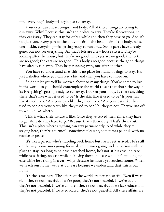—of everybody's body—is trying to run away.

Your eyes, ears, nose, tongue, and body: All of these things are trying to run away. Why? Because this isn't their place to stay. They're fabrications, so they *can't* stay. They can stay for only a while and then they have to go. And it's not just you. Every part of the body—hair of the head, hair of the body, nails, teeth, skin, everything—is getting ready to run away. Some parts have already gone, but not yet everything. All that's left are a few house sitters. They're looking after the house, but they're no good. The eyes are no good; the teeth are no good; the ears are no good. This body's no good because the good things have already run away. They keep running away, one after another.

You have to understand that this is no place for human beings to stay. It's just a shelter where you can rest a bit, and then you have to move on.

So don't let yourself be worried about so many things. You've come to live in the world, so you should contemplate the world to see that that's the way it is: Everything's getting ready to run away. Look at your body. Is there anything there that's like what it used to be? Is the skin like it used to be? Is your hair like it used to be? Are your eyes like they used to be? Are your ears like they used to be? Are your teeth like they used to be? No, they're not. They've run off to who knows where.

This is what their nature is like. Once they've served their time, they have to go. Why do they have to go? Because that's their duty. That's their truth. This isn't a place where anything can stay permanently. And while they're staying here, they're a turmoil: sometimes pleasant, sometimes painful, with no respite or peace.

It's like a person who's traveling back home but hasn't yet arrived. He's still on the way, sometimes going forward, sometimes going back: a person with no place to stay. As long as he hasn't reached home, he's not at his ease: no ease while he's sitting, no ease while he's lying down, no ease while he's walking, no ease while he's riding in a car. Why? Because he hasn't yet reached home. When we reach our home, we're at our ease because we understand that this is our home.

It's the same here. The affairs of the world are never peaceful. Even if we're rich, they're not peaceful. If we're poor, they're not peaceful. If we're adults they're not peaceful. If we're children they're not peaceful. If we lack education, they're not peaceful. If we're educated, they're not peaceful. All these affairs are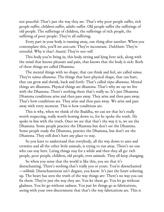not peaceful: That's just the way they are. That's why poor people suffer, rich people suffer, children suffer, adults suffer. Old people suffer the sufferings of old people. The sufferings of children, the sufferings of rich people, the suffering of poor people: They're all suffering.

Every part in your body is running away, one thing after another. When you contemplate this, you'll see *aniccaṁ:* They're inconstant. *Dukkhaṁ:* They're stressful. Why is that? *Anattā:* They're not-self.

This body you're living in, this body sitting and lying here sick, along with the mind that knows pleasure and pain, that knows that the body is sick: Both of these things are called Dhamma.

The mental things with no shape, that can think and feel, are called *nāma*. They're *nāma-dhamma*. The things that have physical shape, that can hurt, that can grow and shrink, back and forth: That's called *rūpa-dhamma*. Mental things are dhamma. Physical things are dhamma. That's why we say we live with the Dhamma. There's nothing there that's really us. It's just Dhamma. Dhamma conditions arise and then pass away. They arise and then pass away. That's how conditions are. They arise and then pass away. We arise and pass away with every moment. This is how conditions are.

This is why, when we think of the Buddha, we can see that he's really worth respecting, really worth bowing down to, for he spoke the truth. He spoke in line with the truth. Once we see that that's the way it is, we see the Dhamma. Some people practice the Dhamma but don't see the Dhamma. Some people study the Dhamma, practice the Dhamma, but don't see the Dhamma. They still don't have any place to stay.

So you have to understand that everybody, all the way down to ants and termites and all the other little animals, is trying to run away. There's no one who can stay here. Living things stay for a while and then they all go: rich people, poor people, children, old people, even animals. They all keep changing.

So when you sense that the world is like this, you see that it's disenchanting. There's nothing that's really you or yours. You're disenchanted —*nibbidā*. Disenchantment isn't disgust, you know. It's just the heart sobering up. The heart has seen the truth of the way things are: There's no way you can fix them. They're just the way they are. You let them go. You let go without gladness. You let go without sadness. You just let things go as fabrications, seeing with your own discernment that that's the way fabrications are. This is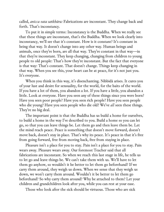called, *anicca vata saṅkhāra:* Fabrications are inconstant. They change back and forth. That's inconstancy.

To put it in simple terms: Inconstancy is the Buddha. When we really see that these things are inconstant, that's the Buddha. When we look clearly into inconstancy, we'll see that it's constant. How is it constant? It's constant in being that way. It doesn't change into any other way. Human beings and animals, once they're born, are all that way. They're constant in that way—in that they're inconstant. They keep changing, changing from children to young people to old people: That's how they're inconstant. But the fact that everyone is that way: That's constant. That doesn't change. Things keep changing in that way. When you see this, your heart can be at peace, for it's not just you. It's everyone.

When you think in this way, it's disenchanting. Nibbidā arises. It cures you of your lust and desire for sensuality, for the world, for the baits of the world. If you have a lot of them, you abandon a lot. If you have a little, you abandon a little. Look at everyone. Have you seen any of these things since you were born? Have you seen poor people? Have you seen rich people? Have you seen people who die young? Have you seen people who die old? We've *all* seen these things. They're no big deal.

The important point is that the Buddha has us build a home for ourselves, to build a home in the way I've described to you. Build a home so you can let go, so that you can leave things be. Let them go and then leave them be. Let the mind reach peace. Peace is something that doesn't move forward, doesn't move back, doesn't stay in place. That's why its peace. It's peace in that it's free from going forward, free from moving back, free from staying in place.

Pleasure isn't a place for you to stay. Pain isn't a place for you to stay. Pain wears away. Pleasure wears away. Our foremost Teacher said that all fabrications are inconstant. So when we reach this last stage in life, he tells us to let go and leave things be. We can't take them with us. We'll have to let them go anyhow, so wouldn't it be better to let them go beforehand? If we carry them around, they weigh us down. When we sense that they weigh us down, we won't carry them around. Wouldn't it be better to let them go beforehand? So why carry them around? Why be attached to them? Let your children and grandchildren look after you, while you can rest at your ease.

Those who look after the sick should be virtuous. Those who are sick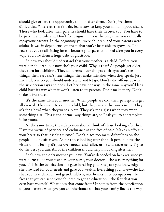should give others the opportunity to look after them. Don't give them difficulties. Wherever there's pain, learn how to keep your mind in good shape. Those who look after their parents should have their virtues, too. You have to be patient and tolerant. Don't feel disgust. This is the only time you can really repay your parents. In the beginning you were children, and your parents were adults. It was in dependence on them that you've been able to grow up. The fact that you're all sitting here is because your parents looked after you in every way. You owe them a huge debt of gratitude.

So now you should understand that your mother is a child. Before, you were her children, but now she's your child. Why is that? As people get older, they turn into children. They can't remember things; their eyes can't see things; their ears can't hear things; they make mistakes when they speak, just like children. So you should understand and let go. Don't take offense at what the sick person says and does. Let her have her way, in the same way you'd let a child have its way when it won't listen to its parents. Don't make it cry. Don't make it frustrated.

It's the same with your mother. When people are old, their perceptions get all skewed. They want to call one child, but they say another one's name. They ask for a bowl when they want a plate. They ask for a glass when they want something else. This is the normal way things are, so I ask you to contemplate it for yourself.

At the same time, the sick person should think of those looking after her. Have the virtue of patience and endurance in the face of pain. Make an effort in your heart so that it isn't a turmoil. Don't place too many difficulties on the people looking after you. As for those looking after the sick person, have the virtue of not feeling disgust over mucus and saliva, urine and excrement. Try to do the best you can. All of the children should help in looking after her.

She's now the only mother you have. You've depended on her ever since you were born: to be your teacher, your nurse, your doctor—she was everything for you. This is the benefaction she gave in raising you. She gave you knowledge; she provided for your needs and gave you wealth. Everything you have—the fact that you have children and grandchildren, nice homes, nice occupations, the fact that you can send your children to get an education—the fact that you even have yourself: What does that come from? It comes from the benefaction of your parents who gave you an inheritance so that your family line is the way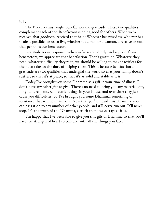it is.

The Buddha thus taught benefaction and gratitude. These two qualities complement each other. Benefaction is doing good for others. When we've received that goodness, received that help: Whoever has raised us, whoever has made it possible for us to live, whether it's a man or a woman, a relative or not, that person is our benefactor.

Gratitude is our response. When we've received help and support from benefactors, we appreciate that benefaction. That's gratitude. Whatever they need, whatever difficulty they're in, we should be willing to make sacrifices for them, to take on the duty of helping them. This is because benefaction and gratitude are two qualities that undergird the world so that your family doesn't scatter, so that it's at peace, so that it's as solid and stable as it is.

Today I've brought you some Dhamma as a gift in your time of illness. I don't have any other gift to give. There's no need to bring you any material gift, for you have plenty of material things in your house, and over time they just cause you difficulties. So I've brought you some Dhamma, something of substance that will never run out. Now that you've heard this Dhamma, you can pass it on to any number of other people, and it'll never run out. It'll never stop. It's the truth of the Dhamma, a truth that always stays as it is.

I'm happy that I've been able to give you this gift of Dhamma so that you'll have the strength of heart to contend with all the things you face.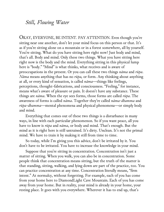## *Still, Flowing Water*

OKAY, EVERYONE, BE INTENT. PAY ATTENTION. Even though you're sitting near one another, don't let your mind focus on this person or that. It's as if you're sitting alone on a mountain or in a forest somewhere, all by yourself. You're sitting. What do you have sitting here right now? Just body and mind, that's all. Body and mind. Only these two things. What you have sitting here right now is the body and the mind. Everything sitting in this physical lump here is "body." "Mind" is what thinks, what receives and is aware of preoccupations in the present. Or you can call these two things *nāma* and *rūpa*. *Nāma* means anything that has no *rūpa,* or form. Any thinking about anything at all, or every kind of sensation, is called *nāma*—things like feelings, perceptions, thought-fabrications, and consciousness. "Feeling," for instance, means what's aware of pleasure or pain. It doesn't have any substance. These things are *nāma*. When the eye sees forms, those forms are called *rūpa*. The awareness of forms is called *nāma*. Together they're called *nāma-dhamma* and *rūpa-dhamma*—mental phenomena and physical phenomena—or simply body and mind.

Everything that comes out of these two things is a disturbance in many ways, in line with each particular phenomenon. So if you want peace, all you have to know is *rūpa* and *nāma*, or body and mind. That's enough. But the mind as it is right here is still untrained. It's dirty. Unclean. It's not the primal mind. We have to train it by making it still from time to time.

So today, while I'm giving you this advice, don't be irritated by it. You don't have to be irritated. You have to increase the knowledge in your mind.

Suppose that you're sitting in concentration. Concentration isn't just a matter of sitting. When you walk, you can also be in concentration. Some people think that concentration means sitting, but the truth of the matter is that standing, sitting, walking, and lying down are part of the practice, too. You can practice concentration at any time. Concentration literally means, "firm intent." At normalcy, without forgetting. For example, each of you has come from your home here to DiamondLight Cave Mountain. Each of you has come away from your home. But in reality, your mind is already in your home, your resting place. It goes with you everywhere. Wherever it has to end up, that's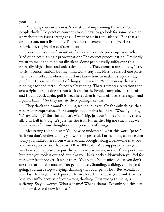your home.

Practicing concentration isn't a matter of imprisoning the mind. Some people think, "To practice concentration, I have to go look for some peace, to sit without any issues arising at all. I want to sit in total silence." But that's a dead person, not a living one. To practice concentration is to give rise to knowledge, to give rise to discernment.

Concentration is a firm intent, focused on a single preoccupation. What kind of object is a single preoccupation? The correct preoccupation. Ordinarily we sit to make the mind totally silent. Some people really suffer over this especially high school and university students. They come to me and say, "I try to sit in concentration, but my mind won't stay put. First it runs off one place, then it runs off somewhere else. I don't know how to make it stop and stay put." But this is not the sort of thing you can stop. When you say that it's running back and forth, it's not really running. There's simply a sensation that arises right here. It doesn't run back and forth. People complain, "It runs off and I pull it back again, pull it back here; then it walks off over there again and I pull it back…" So they just sit there pulling like this.

They think their mind's running around, but actually the only things that run are our impressions. For example, look at this hall here: "Wow," you say, "it's awfully big!" But the hall isn't what's big, just our impression of it, that's all. This hall isn't big. It's just the size it is. It's neither big nor small, but we run around after our thoughts and impressions of things.

Meditating to find peace: You have to understand what this word "peace" is. If you don't understand it, you won't be peaceful. For example, suppose that today you walked here from wherever and brought along a pen—one that you love, an expensive one that cost 500 or 1000 baht. And suppose that on your way here you happened to put the pen someplace—say, in your front pocket but later you took it out and put it in your back pocket. Now when you feel for it in your front pocket: It's not there! You panic. You panic because you don't see the truth of the matter. You get all upset. Standing, walking, coming and going, you can't stop worrying, thinking that your pen is lost. But actually it isn't lost. It's in your back pocket. It isn't lost. But because you think that it's lost, you suffer because of your wrong thinking. This wrong thinking is suffering. So you worry: "What a shame! What a shame! I've only had this pen for a few days and now it's lost."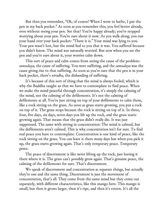But then you remember, "Oh, of course! When I went to bathe, I put the pen in my back pocket." As soon as you remember this, you feel better already, even without seeing your pen. See that? You're happy already; you've stopped worrying about your pen. You're sure about it now. As you walk along, you run your hand over your back pocket: "There it is." Your mind was lying to you. Your pen wasn't lost, but the mind lied to you that it was. You suffered because you didn't know. The mind was naturally worried. But now when you see the pen and you're sure about it, your worries calm down.

This sort of peace and calm comes from seeing the cause of the problem: *samudaya,* the cause of suffering. You were suffering, and the *samudaya* was the cause giving rise to that suffering. As soon as you're sure that the pen is in your back pocket, there's *nirodha,* the disbanding of suffering.

It's because of this sort of thing that the mind is always fooled, which is why the Buddha taught us that we have to contemplate to find peace. When we make the mind peaceful through concentration, it's simply the calming of the mind, not the calming of the defilements. It's not the calming of defilements at all. You're just sitting on top of your defilements to calm them, like a rock sitting on the grass. As soon as grass starts growing, you put a rock on top of it. The grass stops because the rock is sitting on top of it. In three, four, five days, six days, seven days you lift up the rock, and the grass starts growing again. That means that the grass didn't really die. It was just suppressed. The same with sitting in concentration: The mind is calmed, but the defilements aren't calmed. This is why concentration isn't for sure. To find real peace you have to contemplate. Concentration is one kind of peace, like the rock sitting on the grass. You can leave it there many days but when you pick it up, the grass starts growing again. That's only temporary peace. Temporary peace.

The peace of discernment is like never lifting up the rock, just leaving it there where it is. The grass can't possibly grow again. That's genuine peace, the calming of the defilements for sure. That's discernment.

We speak of discernment and concentration as separate things, but actually they're one and the same thing. Discernment is just the movement of concentration, that's all. They come from the same mind but they come out separately, with different characteristics, like this mango here. This mango is small, but then it grows larger, then it's ripe, and then it's rotten. It's all the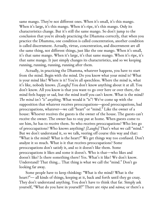same mango. They're not different ones. When it's small, it's this mango. When it's large, it's this mango. When it's ripe, it's this mango. Only its characteristics change. But it's still the same mango. So don't jump to the conclusion that you're already practicing the Dhamma correctly, that when you practice the Dhamma, one condition is called concentration, another condition is called discernment. Actually, virtue, concentration, and discernment are all the same thing, not different things, just like the one mango. When it's small, it's that same mango. When it's large, it's that same mango. When it's ripe, it's that same mango. It just simply changes its characteristics, and so we keeping running, running, running, running after them.

Actually, in practicing the Dhamma, whatever happens, you have to start from the mind. Begin with the mind. Do you know what your mind is? What is your mind like? Where is it? You're all speechless. Where the mind is, what it's like, nobody knows. *[Laughs]* You don't know anything about it at all. You don't know. All you know is that you want to go over here or over there, the mind feels happy or sad, but the mind itself you can't know. What is the mind? *The mind isn't "is" anything*. What would it "is"? We've come up with the supposition that whatever receives preoccupations—good preoccupations, bad preoccupations, whatever—we call "heart" or "mind." Like the owner of a house: Whoever receives the guests is the owner of the house. The guests can't receive the owner. The owner has to stay put at home. When guests come to see him, he has to receive them. So who receives preoccupations? Who lets go of preoccupations? Who knows anything? *[Laughs]* That's what we call "mind." But we don't understand it, so we talk, veering off course this way and that: "What is the mind? What is the heart?" We get things way too confused. Don't analyze it so much. What is it that receives preoccupations? Some preoccupations don't satisfy it, and so it doesn't like them. Some preoccupations it likes and some it doesn't. Who is that—who likes and doesn't like? Is there something there? Yes. What's it like? We don't know. Understand? That thing… That thing is what we call the "mind." Don't go looking far away.

Some people have to keep thinking: "What is the mind? What is the heart?"— all kinds of things, keeping at it, back and forth until they go crazy. They don't understand anything. You don't have to think that far. Simply ask yourself, "What do you have in yourself?" There are *rūpa* and *nāma;* or there's a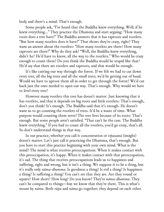body and there's a mind. That's enough.

Some people ask, "I've heard that the Buddha knew everything. Well, if he knew everything…" They practice the Dhamma and start arguing: "How many roots does a tree have?" The Buddha answers that it has taproots and rootlets. "But how many rootlets does it have?" That shows they're crazy, right? They want an answer about the rootlets: "How many rootlets are there? How many taproots are there?" Why do they ask? "Well, the Buddha knew everything, didn't he? He'd have to know, all the way to the rootlets." Who would be crazy enough to count them? Do you think the Buddha would be stupid like that? He'd say that there are rootlets and taproots, and that would be enough.

It's like cutting our way through the forest. If we felt we had to cut down every tree, all the big trees and all the small trees, we'd be getting out of hand. Would we have to uproot them all in order to get through the forest? We'd cut back just the ones needed to open our way. That's enough. Why would we have to level every tree?

However many rootlets this tree has doesn't matter. Just knowing that it has rootlets, and that it depends on big roots and little rootlets: That's enough, don't you think? It's enough. The Buddha said that it's enough. He doesn't want us to go counting the rootlets of trees. It'd be a waste of time. What purpose would counting them serve? The tree lives because of its roots: That's enough. But some people aren't satisfied. "That can't be the case. The Buddha knew everything." If you had to count all the rootlets, you'd go crazy, that's all. So don't understand things in that way.

In our practice, whether you call it concentration or *vipassanā* (insight) doesn't matter. Let's just call it practicing the Dhamma, that's enough. But you have to start this practice beginning with your own mind. What is the mind? The mind is what receives preoccupations. When it makes contact with this preoccupation, it's happy. When it makes contact with that preoccupation, it's sad. The thing that receives preoccupations leads us to happiness and suffering, right and wrong, but it isn't a thing. We suppose it to be a thing, but it's really only *nāma-dhamma*. Is goodness a thing? Is evil a thing? Is happiness a thing? Is suffering a thing? You can't see that they are. Are they round or square? How short? How long? Do you know? They're *nāma-dhamma*. They can't be compared to things—but we know that they're there. This is what's meant by *nāma*. Both *rūpa* and *nāma* go together; they depend on each other.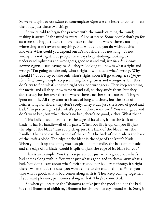So we're taught to use *nāma* to contemplate *rūpa;* use the heart to contemplate the body. Just these two things.

So we're told to begin the practice with the mind: calming the mind; making it aware. If the mind is aware, it'll be at peace. Some people don't go for awareness. They just want to have peace to the point where there's nothing, where they aren't aware of anything. But what could you do without this knower? What could you depend on? It's not short; it's not long; it's not wrong; it's not right. But people these days keep studying, looking to understand rightness and wrongness, goodness and evil, *but they don't know neither-rightness-nor-wrongness*. All they're looking to know is what's right and wrong: "I'm going to take only what's right. I won't take what's wrong. Why should I?" If you try to take only what's right, soon it'll go wrong. *It's right for the sake of wrong*. People keep searching for rightness and wrongness, but they don't try to find what's neither-rightness-nor-wrongness. They keep searching for merit, and all they know is merit and evil, so they study them, but they don't study further over there—where there's neither merit nor evil. They're ignorant of it. All they want are issues of long and short, but the issue of neither long nor short, they don't study. They study just the issues of good and bad: "I'm practicing to take what's good. I don't want bad." You want good and don't want bad, but when there's no bad, there's no good, either. What then?

This knife placed here: It has the edge of its blade, it has the back of its blade, it has its handle—all of its parts. When you lift it up, can you lift just the edge of the blade? Can you pick up just the back of the blade? Just the handle? The handle is the handle of the knife. The back of the blade is the back of the knife's blade. The edge of the blade is the edge of the knife's blade. When you pick up the knife, you also pick up its handle, the back of its blade, and the edge of its blade. Could it split off just the edge of its blade for you?

This is an example. You try to separate out just what's good, but what's bad comes along with it. You want just what's good and to throw away what's bad. You don't learn about what's neither good nor bad, even though it's right there. When that's the case, you won't come to the end of things. When you take what's good, what's bad comes along with it. They keep coming together. If you want pleasure, pain comes along with it. They're connected.

So when you practice the Dhamma to take just the good and not the bad, it's the Dhamma of children, Dhamma for children to toy around with. Sure, if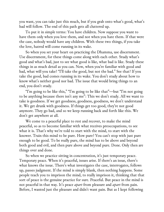you want, you can take just this much, but if you grab onto what's good, what's bad will follow. The end of this path gets all cluttered up.

To put it in simple terms: You have children. Now suppose you want to have them only when you love them, and not when you hate them. If that were the case, nobody would have any children. With these two things, if you take the love, hatred will come running in its wake.

So when you set your heart on practicing the Dhamma, use discernment. Use discernment, for these things come along with each other. Study what's good and what's bad, just to see what good is like, what bad is like. Study these things in as much detail as you can. Now, when you're familiar with good and bad, what will you take? "I'll take the good, but not the bad." See that? If you take the good, bad comes running in its wake. You don't study about how to know what's neither good nor bad. The issue that would bring things to an end, you don't study.

"I'm going to be like this," "I'm going to be like that"—but "I'm not going to be anything because there isn't any me": This we don't study. All we want to take is goodness. If we get goodness, goodness, goodness, we don't understand it. We get drunk with goodness. If things get too good, they're not good anymore. They go bad, and so we keep running back and forth like this. We don't get anywhere at all.

We come to a peaceful place to rest and recover, to make the mind peaceful, so as to become familiar with what receives preoccupations, to see what it is. That's why we're told to start with the mind, to start with the knower. Train this mind to be pure. How pure? You can't stop with just pure enough to be good. To be really pure, the mind has to be above and beyond both good and evil, and then pure above and beyond pure. Done. Only then are things over and done.

So when we practice sitting in concentration, it's just temporary peace. Temporary peace. When it's peaceful, issues arise. If there's an issue, there's what knows the issue. There's what investigates the case, interrogates, follows up, passes judgment. If the mind is simply blank, then nothing happens. Some people teach you to imprison the mind, to really imprison it, thinking that that sort of peace is the genuine practice for sure. Peaceful. But peace in the mind is not peaceful in that way. It's peace *apart* from pleasure and *apart* from pain. Before, I wanted just the pleasure and didn't want pain. But as I kept following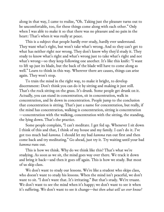along in that way, I came to realize, "Oh. Taking just the pleasure turns out to be uncomfortable, too, for these things come along with each other." Only when I was able to make it so that there was no pleasure and no pain in the heart: That's when it was really at peace.

This is a subject that people hardly ever study, hardly ever understand. They want what's right, but won't take what's wrong. And so they can't get to what has neither right nor wrong. They don't know why they'd study it. They study to know what's right and what's wrong just to take what's right and not what's wrong—so they keep following one another. It's like this knife: "I want to lift up just its blade, but the back of the blade will have to come along as well." Learn to think in this way. Wherever there are causes, things can arise again. They won't stop.

To train the mind in the right way, to make it bright, to develop discernment: Don't think you can do it by sitting and making it just still. That's the rock sitting on the grass. It's drunk. Some people get drunk on it. Actually, you can stand in concentration, sit in concentration, walk in concentration, and lie down in concentration. People jump to the conclusion that concentration is sitting. That's just a name for concentration, but really, if the mind has concentration, walking is concentration, sitting is concentration —concentration with the walking, concentration with the sitting, the standing, the lying down. That's the practice.

Some people complain, "I can't meditate. I get fed up. Whenever I sit down I think of this and that, I think of my house and my family. I can't do it. I've got too much bad *kamma*. I should let my bad *kamma* run out first and then come back and try meditating." Go ahead, just try it. Try waiting until your bad *kamma* runs out.

This is how we think. Why do we think like this? That's what we're studying. As soon as we sit, the mind goes way over there. We track it down and bring it back—and then it goes off again. This is how we study. But most of us skip class.

We don't want to study our lessons. We're like a student who skips class, who doesn't want to study his lessons. When the mind isn't peaceful, we don't want to sit. "I don't want that. It's irritating." But that's study. We're truant. We don't want to see the mind when it's happy; we don't want to see it when it's suffering. We don't want to see it change—*but then what will we ever know?*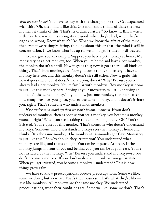*Will we ever know?* You have to stay with the changing like this. Get acquainted with this: "Oh, the mind is like this. One moment it thinks of that; the next moment it thinks of this. That's its ordinary nature." So know it. Know when it thinks. Know when its thoughts are good, when they're bad, when they're right and wrong. Know what it's like. When we know the affairs of the mind, then even if we're simply sitting, thinking about this or that, the mind is still in concentration. If we know what it's up to, we don't get irritated or distracted.

Let me give you an example. Suppose you have a pet monkey at home. My monastery has a pet monkey, too. When you're home and have a pet monkey, the monkey doesn't sit still. Now it grabs this; now it goes there—all kinds of things. That's how monkeys are. Now you come to my monastery. I have a monkey here too, and this monkey doesn't sit still either. Now it grabs this; now it goes there, but it doesn't irritate you, does it? Why? Because you've already had a pet monkey. You're familiar with monkeys. "My monkey at home is just like this monkey here. Staying at your monastery is just like staying at home. It's the same monkey." If you know just one monkey, then no matter how many provinces you go to, you see the same monkey, and it doesn't irritate you, right? That's someone who understands monkeys.

*If we understand monkeys then we won't become monkeys*. If you don't understand monkeys, then as soon as you see a monkey, you become a monkey yourself, right? When you see it taking this and grabbing that, "Oh!" You're irritated. You're upset at this monkey. That's someone who doesn't understand monkeys. Someone who understands monkeys sees the monkey at home and thinks, "It's the same monkey. The monkey at DiamondLight Cave Monastery is just like this." So why should they irritate you? You understand what monkeys are like, and that's enough. You can be at peace. At peace. If the monkey jumps in front of you and behind you, you can be at your ease. You're not irritated by the monkey. Why? Because you understand monkeys—so you don't become a monkey. If you don't understand monkeys, you get irritated. When you get irritated, you become a monkey—understand? This is how things grow calm.

We have to know preoccupations, observe preoccupations. Some we like; some we don't, but so what? That's their business. That's what they're like just like monkeys. All monkeys are the same monkey. We understand preoccupations, what their conditions are. Some we like; some we don't. That's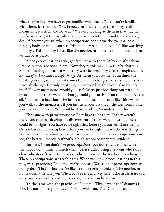what they're like. We have to get familiar with them. When you're familiar with them, let them go: "Oh. Preoccupations aren't for sure. They're all inconstant, stressful, and not-self." We keep looking at them in that way. If they're irritated, if they wiggle around, just watch them—and they're no big deal. Wherever you sit, when preoccupations pop up via the eye, ear, nose, tongue, body, or mind, you see, "Hmm. They're no big deal." It's like watching monkeys. This monkey is just like the monkey at home. It's no big deal. Then we can be at peace.

When preoccupations arise, get familiar with them. Why run after them? Preoccupations are not for sure. Now they're this way; now they're that way. Sometimes they go back to what they were before. They exist through change. *And all of us here exist through change*. As when you breathe: Sometimes the breath goes out; sometimes it comes back in. It changes like this. You live here through change. Try only breathing in, without breathing out: Can you do that? How many minutes would you last? Or try just breathing out without breathing in. If there were no change, could you survive? You couldn't survive at all. You need to have both the in-breath and the out-breath like this. When you walk to the monastery, if you just held your breath all the way from home, you'd be dead by now. You wouldn't have made it. So understand this.

The same with preoccupations: They have to be there. If they weren't there, you couldn't develop any discernment. If there were no wrong, there could be no right. You have to be right first before you can see what's wrong. Or you have to be wrong first before you can be right. That's the way things normally are. That's how you gain discernment. The more preoccupations you see, the better—especially if you're a high school or university student.

But here, if you don't like preoccupations, you don't want to deal with them, you don't want to watch them. That's called being a student who skips class, who doesn't want to learn or to listen to what the teacher is teaching. These preoccupations are teaching us. When we know preoccupations in this way, we're practicing Dhamma. We're at peace. We see that preoccupations are no big deal. That's what they're like. It's like seeing monkeys. The monkey at home doesn't irritate you. When you see the monkey here it doesn't irritate you —because you understand monkeys, right? You can be at ease.

It's the same with the practice of Dhamma. This is what the Dhamma is like. It's nothing very far away. It's right with you. The Dhamma isn't about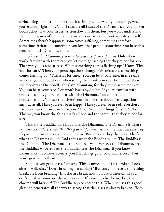divine beings or anything like that. It's simply about what you're doing, what you're doing right now. Your issues are all issues of the Dhamma. If you look at books, they have your issues written down in them, but you won't understand them. The issues of the Dhamma are all your issues. So contemplate yourself. Sometimes there's happiness, sometimes suffering, sometimes comfort, sometimes irritation; sometimes you love that person, sometimes you hate this person. This is Dhamma, right?

*To know this Dhamma, you have to read your preoccupations*. Only when you're familiar with them can you let them go, seeing that they're not for sure. That way you can be at ease. When something comes flashing up: "Hmm. This isn't for sure." Then your preoccupations change. Pain arises and something comes flashing up: "This isn't for sure." You can be at your ease, in the same way that you can be at ease when seeing the monkey in your home, and then the monkey at DiamondLight Cave Mountain, for they're the same monkey. You can be at your ease. You won't have any doubts. If you're familiar with preoccupations, you're familiar with the Dhamma. You can let go of preoccupations. You see that there's nothing for sure about preoccupations in any way at all. Have you ever been happy? Have you ever been sad? You don't have to answer, I can answer for you: "Yes." Are these things for sure? "No." This way you know the thing that's all one and the same—that they're not for sure.

This is the Buddha. The Buddha is the Dhamma. The Dhamma is what's not for sure. *Whoever sees that things aren't for sure, sees for sure that that's the way they are*. The way they are doesn't change. But why are they that way? That's what the Dhamma is like. And that's what the Buddha is like. The Buddha is the Dhamma. The Dhamma is the Buddha. Whoever sees the Dhamma, sees the Buddha; whoever sees the Buddha, sees the Dhamma. If you know inconstancy, not-for-sure-ness, you'll let things go of your own accord. You won't grasp onto them.

Suppose you get a glass. You say, "This is mine, and it isn't broken. Look after it well, okay? Don't break my glass, okay?" But can you prevent something breakable from breaking? If it doesn't break now, it'll break later on. If you don't break it, someone else will break it. If someone else doesn't break it, a chicken will break it! The Buddha says to accept this. When he uses this good glass, he penetrates all the way to seeing that this glass is already broken. *He sees*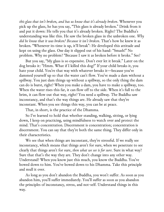*this glass that isn't broken, and has us know that it's already broken*. Whenever you pick up the glass, he has you say, "This glass is already broken." Drink from it and put it down: He tells you that it's already broken. Right? The Buddha's understanding was like this. He saw the broken glass in the unbroken one. *Why did he know that it was broken? Because it isn't broken*. That's how he knew it as broken. "Whenever its time is up, it'll break": He developed this attitude and kept on using the glass. One day it slipped out of his hand: "Smash!" No problem. Why no problem? "Because I saw it as broken before it broke." See?

But you say, "My glass is so expensive. Don't ever let it break." Later on the dog breaks it: "Hmm. What if I killed this dog?" If your child breaks it, you hate your child. You're that way with whatever breaks it—because you've dammed yourself up so that the water can't flow. You've made a dam without a spillway. You just dam things up without a spillway, so the only thing the dam can do is burst, right? When you make a dam, you have to make a spillway, too. When the water rises this far, it can flow off to the side. When it's full to the brim, it can flow out that way, right? You need a spillway. The Buddha saw inconstancy, and that's the way things are. He already saw that they're inconstant. When you see things this way, you can be at peace.

That, in short, is the practice of the Dhamma.

So I've learned to hold that whether standing, walking, sitting, or lying down, I keep on practicing, using mindfulness to watch over and protect the mind. That's concentration. Discernment is concentration; concentration is discernment. You can say that they're both the same thing. They differ only in their characteristics.

We see that when things are inconstant, they're stressful. If we really see inconstancy, which means that things aren't for sure, when we penetrate to see clearly that things aren't for sure, *then what we see is for sure*. Sure in what way? Sure that that's the way they are. They don't change into any other way. Understand? When you know just this much, you know the Buddha. You've bowed down to him. You've bowed down to his Dhamma. Take this principle and mull it over.

As long as you don't abandon the Buddha, you won't suffer. As soon as you abandon him, you'll suffer immediately. You'll suffer as soon as you abandon the principles of inconstancy, stress, and not-self. Understand things in this way.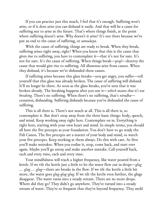If you can practice just this much, I feel that it's enough. Suffering won't arise, or if it does arise you can disband it easily. And that will be a cause for suffering not to arise in the future. That's where things finish, at the point where suffering doesn't arise. Why doesn't it arise? It's not there because we've put an end to the cause of suffering, or *samudaya*.

With the cause of suffering, things are ready to break. When they break, suffering arises right away, right? When you know that this is the cause that gives rise to suffering, you have to contemplate it—that it's not for sure. It's not for sure. It's the cause of suffering. When things break—pop!—destroy the cause that would give rise to suffering. All *dhammas* arise from causes. When they disband, it's because we've disbanded these causes.

If suffering arises because this glass breaks—you get angry, you suffer—tell yourself that this glass was already broken. The cause of suffering will disband. It'll no longer be there. As soon as the glass breaks, you've seen that it was broken already. The breaking happens after you saw it—*which means that it's not breaking*. There's no suffering. When there's no suffering, that's *nirodha* cessation, disbanding. Suffering disbands because you've disbanded the cause of suffering.

This is all there is. There's not much at all. This is all there is, so contemplate it. But don't stray away from the three basic things: body, speech, and mind. Keep working away right here. Contemplate on in. Everything is right here, starting with your own heart and mind. In simple terms, you should all have the five precepts as your foundation. You don't have to go study the Pali Canon. The five precepts are a matter of your body and mind, so watch your five precepts. Keep working at them always. Do this with care. At first you'll make mistakes. When you realize it, stop, come back, and start over again. Maybe you'll go astray and make another mistake. Call yourself back, each and every time, each and every time.

Your mindfulness will reach a higher frequency, like water poured from a kettle. If we tilt the kettle just a little to let the water flow out in drops—*glug … glug … glug*—there are breaks in the flow. If we tilt the kettle a little bit more, the water goes *glug-glug-glug*. If we tilt the kettle even further, the glugs disappear. The water turns into a steady stream. There are no more drops. Where did they go? They didn't go anywhere. They've turned into a steady stream of water. They're so frequent that they're beyond frequency. They meld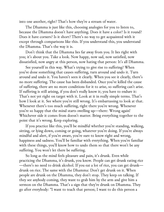into one another, right? That's how they're a stream of water.

The Dhamma is just like this, choosing analogies for you to listen to, because the Dhamma doesn't have anything. Does it have a color? Is it round? Does it have corners? Is it short? There's no way to get acquainted with it except through comparisons like this. If you understand this, you understand the Dhamma. That's the way it is.

Don't think that the Dhamma lies far away from you. It lies right with you; it's about you. Take a look. Now happy, now sad, now satisfied, now dissatisfied, now angry at this person, now hating that person: It's all Dhamma.

See yourself in this way. What's trying to give rise to suffering? When you've done something that causes suffering, turn around and undo it. Turn around and undo it. You haven't seen it clearly. When you see it clearly, there's no more suffering. The cause has been disbanded. Once you've killed the cause of suffering, there are no more conditions for it to arise, so suffering can't arise. If suffering is still arising, if you don't really know it; you have to endure it: That's not yet right on target with it. Look at it in really simple terms. That's how I look at it. See where you're still wrong. It's embarrassing to look at that. Whenever there's too much suffering, right there you're wrong. Whenever you're so happy that the mind starts swelling up—there: Wrong again! Whichever side it comes from doesn't matter. Bring everything together to the point that it's wrong. Keep exploring.

If you practice like this, you'll be mindful whether you're standing, walking, sitting, or lying down, coming or going, whatever you're doing. If you're always mindful and alert, if you're aware, you're sure to know right and wrong, happiness and sadness. You'll be familiar with everything. When you're familiar with these things, you'll know how to undo them so that there won't be any suffering. You won't let there be suffering.

So long as the mind feels pleasure and pain, it's drunk. Even while practicing the Dhamma, it's drunk, you know. People can get drunk eating rice —there's no need to drink alcohol. If you eat a lot of rice, you can get drunk drunk on rice. The same with the Dhamma: Don't get drunk on it. When people are drunk on the Dhamma, they don't stop. They keep on talking. If they see anybody coming, they want to grab him by the arm and give him a sermon on the Dhamma. That's a sign that they're drunk on Dhamma. They go after everybody: "I want to teach that person; I want to do this person a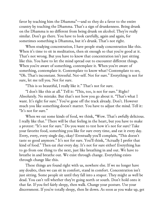favor by teaching him the Dhamma"—and so they do a favor to the entire country by teaching the Dhamma. That's a sign of drunkenness. Being drunk on the Dhamma is no different from being drunk on alcohol. They're really similar. Don't go there. You have to look carefully, again and again, for sometimes something is Dhamma, but it's drunk. That's not right.

When studying concentration, I have people study concentration like this. When it's time to sit in meditation, then sit enough so that you're good at it. That's not wrong. But you have to know that concentration isn't just sitting like this. You have to let the mind spread out to encounter different things. When you're aware of something, contemplate it. When you're aware of something, contemplate it. Contemplate to know what? Contemplate to see, "Oh. That's inconstant. Stressful. Not-self. Not for sure." Everything is not for sure, let me tell you. Not for sure.

"This is so beautiful, I really like it." That's not for sure.

"I don't like this at all." Tell it: "This, too, is not for sure." Right? Absolutely. No mistake. But that's not how you go about it. "That's what I want. It's right for sure." You've gone off the track already. Don't. However much you like something doesn't matter. You have to adjust the mind. Tell it: "It's not for sure."

When we eat some kinds of food, we think, "Wow. That's awfully delicious. I really like that." There will be that feeling in the heart, but you have to make a protest: "It's not for sure." Do you want to test how it's not for sure? Take your favorite food, something you like for sure every time, and eat it every day. Every, every, every single day, okay? Eventually you'll complain, "This doesn't taste so good anymore." It's not for sure. You'll think, "Actually I prefer that kind of food." Then eat *that* every day. It's not for sure either! Everything has to go from one thing to the next, just like breathing in and out. We have to breathe in and breathe out. We exist through change. Everything exists through change like this.

These things are found right with us, nowhere else. If we no longer have any doubts, then we can sit in comfort, stand in comfort. Concentration isn't just sitting. Some people sit until they fall into a stupor. They might as well be dead. You can't tell whether they're going north or south. Don't hold onto it that far. If you feel fairly sleepy, then walk. Change your posture. Use your discernment. If you're totally sleepy, then lie down. As soon as you wake up, get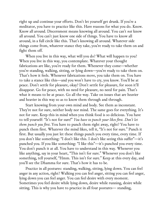right up and continue your efforts. Don't let yourself get drunk. If you're a meditator, you have to practice like this. Have reasons for what you do. Know. Know all around. Discernment means knowing all around. You can't *not* know all around. You can't just know one side of things. You have to know all around, in a full circle like this. That's knowing all around. Whatever side things come from, whatever stance they take, you're ready to take them on and fight them off.

When you live in this way, what will you do? What will happen to you? When you live in this way, you contemplate. Whatever your thought fabrications are like, you're ready for them. Whenever they come—whether you're standing, walking, sitting, or lying down—you're ready to take them on. That's how it feels. Whenever fabrications move, you take them on. You have to take a stance like this—and you won't have to cry, you know. You'll be at peace. Don't settle for pleasure, okay? Don't settle for pleasure, for soon it'll disappear. Go for peace, with no need for pleasure, no need for pain. That's what it means to be at peace. Go all the way. Take on issues that are heavier and heavier in this way so as to know them through and through.

Start knowing from your own mind and body. See them as inconstant. They're not for sure, neither body nor mind. The same goes for everything. It's not for sure. Keep this in mind when you think food is so delicious. You have to tell yourself: "It's not for sure!" *You have to punch your likes first. Don't let them punch you first*. You have to punch them right away, right? You have to punch them first. Whatever the mind likes, tell it, "It's not for sure." Punch it first. But usually you just let these things punch you every time, every time. If you don't like something: "I don't like this. I don't like seeing this suffer"—it's punched you. If you like something: "I like this"—it's punched you every time. You don't punch it at all. You have to understand in this way. Whenever you like anything, say in your heart, "This isn't for sure." Whenever you don't like something, tell yourself, "Hmm. This isn't for sure." Keep at this every day, and you'll see the Dhamma for sure. That's how it has to be.

Practice in all postures: standing, walking, sitting, lying down. You can feel anger in any action, right? Walking you can feel anger, sitting you can feel anger, lying down you can feel anger. You can feel desire with every moment. Sometimes you feel desire while lying down, desire while running, desire while sitting. This is why you have to practice in all four postures— standing,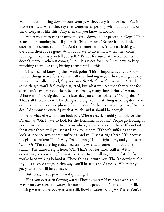walking, sitting, lying down—consistently, without any front or back. Put it in those terms, as when they say that someone is speaking without any front or back. Keep at it like this. Only then can you know all around.

When you sit to get the mind to settle down and be peaceful: "Oops." That issue comes running in. Tell yourself: "Not for sure." Before it's finished, another one comes running in. And then another one. You start itching all over, and then you're gone. What you have to do is that, when they come running in like this, you tell yourself, "It's not for sure." Whatever comes in doesn't matter. When it comes, "Oh. This is not for sure." You have to keep punching them like this, hitting them first like this.

This is called knowing their weak point. This is important. If you know that all things aren't for sure, then all the thinking in your heart will gradually unravel, gradually unravel, *for you've seen that that's what's sure about it*. With some things, you'll feel really disgusted, but whatever, see that they're not for sure. You've experienced them before—many, many times before. "Hmm. Whatever, it's no big deal." On a later day you contemplate it: "No big deal." That's all there is to it. This thing is no big deal. That thing is no big deal. You can meditate on a single phrase: "No big deal." Whatever arises, you go, "No big deal." Admonish yourself just that much, and it should be enough.

And what else would you look for? Where exactly would you look for the Dhamma? "Oh. I have to look for the Dhamma in books." People go looking in books for the Dhamma who knows where, but it arises right here. If you look for it over there, will you see it? Look for it here. If there's suffering today, look at it to see why there's suffering, and you'll see it right here. "It's because my glass is broken: That's why I'm suffering." Look right here, and you'll see: "Oh." Or, "I'm suffering today because my wife said something I couldn't stand." The cause is right here. "Oh. That's not for sure." Kill it. With everything, keep setting fire to it like that. Keep walking ahead of it. So far you've been walking behind it. These things lie with you. They're nowhere else. If you can sense things in this way, you'll be at peace. At peace. Wherever you go, your mind will be at peace.

But to say it's at peace is not quite right.

Have you ever seen flowing water? Flowing water: Have you ever seen it? Have you ever seen still water? If your mind is peaceful, it's kind of like still, flowing water. Have you ever seen still, flowing water? *[Laughs]* There! You've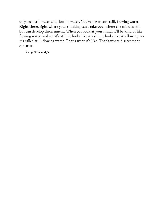only seen still water and flowing water. You've never seen still, flowing water. Right there, right where your thinking can't take you: where the mind is still but can develop discernment. When you look at your mind, it'll be kind of like flowing water, and yet it's still. It looks like it's still, it looks like it's flowing, so it's called still, flowing water. That's what it's like. That's where discernment can arise.

So give it a try.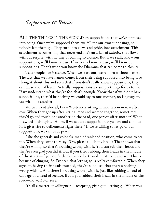# *Suppositions & Release*

ALL THE THINGS IN THE WORLD are suppositions that we've supposed into being. Once we've supposed them, we fall for our own supposings, so nobody lets them go. They turn into views and pride, into attachment. This attachment is something that never ends. It's an affair of *saṁsāra* that flows without respite, with no way of coming to closure. But if we really know our suppositions, we'll know release. If we really know release, we'll know our suppositions. That's when you know the Dhamma that can come to closure.

Take people, for instance. When we start out, we're born without names. The fact that we have names comes from their being supposed into being. I've thought about this and seen that if you don't really know suppositions, they can cause a lot of harm. Actually, suppositions are simply things for us to use. If we understand what they're for, that's enough. Know that if we didn't have suppositions, there'd be nothing we could say to one another, no language to use with one another.

When I went abroad, I saw Westerners sitting in meditation in row after row. When they got up after sitting, men and women together, sometimes they'd go and touch one another on the head, one person after another! When I saw this I thought, "Hmm, if we set up a supposition anywhere and cling to it, it gives rise to defilements right there." If we're willing to let go of our suppositions, we can be at peace.

Like the generals and colonels, men of rank and position, who come to see me. When they come they say, "Oh, please touch my head": That shows that they're willing, so there's nothing wrong with it. You can rub their heads and they're even glad you did it. But if you tried rubbing their heads in the middle of the street—if you don't think there'd be trouble, just try it and see! This is because of clinging. So I've seen that letting go is really comfortable. When they agree to having their heads touched, they've supposed that there's nothing wrong with it. And there is nothing wrong with it, just like rubbing a head of cabbage or a head of lettuce. But if you rubbed their heads in the middle of the road—no way! For sure.

It's all a matter of willingness—accepting, giving up, letting go. When you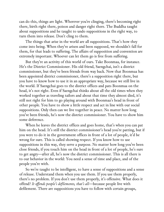can do this, things are light. Wherever you're clinging, there's becoming right there, birth right there, poison and danger right there. The Buddha taught about suppositions and he taught to undo suppositions in the right way, to turn them into release. Don't cling to them.

The things that arise in the world are all suppositions. That's how they come into being. When they've arisen and been supposed, we shouldn't fall for them, for that leads to suffering. The affairs of supposition and convention are extremely important. Whoever can let them go is free from suffering.

But they're an activity of this world of ours. Take Boonmaa, for instance. He's the District Commissioner. His old friend, Saengchai, isn't a district commissioner, but they've been friends from way back. Now that Boonmaa has been appointed district commissioner, there's a supposition right there, but you have to know how to use it in an appropriate way, because we still live in the world. If Saengchai goes to the district offices and pats Boonmaa on the head, it's not right. Even if Saengchai thinks about all the old times when they worked together as traveling tailors and about that time they almost died, it's still not right for him to go playing around with Boonmaa's head in front of other people. You have to show a little respect and act in line with our social suppositions. Only then can we live together in peace. No matter how long you've been friends, he's now the district commissioner. You have to show him some deference.

When he leaves the district offices and goes home, that's when you can pat him on the head. It's still the district commissioner's head you're patting, but if you were to do it in the government offices in front of a lot of people, it'd be wrong for sure. This is called showing respect. If you know how to use suppositions in this way, they serve a purpose. No matter how long you've been close friends, if you touch him on the head in front of a lot of people, he's sure to get angry—after all, he's now the district commissioner. This is all there is to our behavior in the world: You need a sense of time and place, and of the people you're with.

So we're taught to be intelligent, to have a sense of suppositions and a sense of release. Understand them when you use them. If you use them properly, there's no problem. If you don't use them properly, it's offensive. What does it offend? *It of ends people's defilements, that's all*—because people live with defilement. There are suppositions you have to follow with certain groups,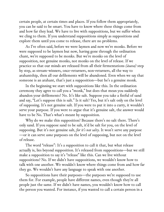certain people, at certain times and places. If you follow them appropriately, you can be said to be smart. You have to know where these things come from and how far they lead. We have to live with suppositions, but we suffer when we cling to them. If you understand suppositions simply as suppositions and explore them until you come to release, there are no problems.

As I've often said, before we were laymen and now we're monks. Before we were supposed to be laymen but now, having gone through the ordination chant, we're supposed to be monks. But we're monks on the level of supposition, not genuine monks, not monks on the level of release. If we practice so that our minds are released from all their fermentations *(āsava)* step by step, as stream-winners, once-returners, non-returners, all the way to arahantship, then all our defilements will be abandoned. Even when we say that someone is an arahant, that's just a supposition—but he's a genuine monk.

In the beginning we start with suppositions like this. In the ordination ceremony they agree to call you a "monk," but does that mean you suddenly abandon your defilements? No. It's like salt. Suppose you take a fistful of sand and say, "Let's suppose this is salt." Is it salt? Yes, but it's salt only on the level of supposing. It's not genuine salt. If you were to put it into a curry, it wouldn't serve your purpose. If you were to argue that it's genuine salt, the answer would have to be No. That's what's meant by supposition.

Why do we make this supposition? Because there's no salt there. There's only sand. If you suppose sand to be salt, it'd be salt for you, on the level of supposing. But it's not genuine salt, *for it's not salty*. It won't serve any purpose —or it can serve *some* purposes on the level of supposing, but not on the level of release.

The word "release": It's a supposition to call it that, but what release actually is, lies beyond supposition. It's released from suppositions—but we still make a supposition to say it's "release" like this. Can we live without suppositions? No. If we didn't have suppositions, we wouldn't know how to talk with one another. We wouldn't know where things come from and how far they go. We wouldn't have any language to speak with one another.

So suppositions have their purposes—the purposes we're supposed to use them for. For example, people have different names, even though they're all people just the same. If we didn't have names, you wouldn't know how to call the person you wanted. For instance, if you wanted to call a certain person in a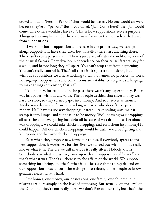crowd and said, "Person! Person!" that would be useless. No one would answer, because they're all "person." But if you called, "Jan! Come here!" then Jan would come. The others wouldn't have to. This is how suppositions serve a purpose. Things get accomplished. So there are ways for us to train ourselves that arise from suppositions.

If we know both supposition and release in the proper way, we can get along. Suppositions have their uses, but in reality there isn't anything there. There isn't even a person there! There's just a set of natural conditions, born of their causal factors. They develop in dependence on their causal factors, stay for a while, and before long they fall apart. You can't stop that from happening. You can't really control it. That's all there is. It's just a supposition, but without suppositions we'd have nothing to say: no names, no practice, no work, no language. Suppositions and conventions are established to give us a language, to make things convenient, that's all.

Take money, for example. In the past there wasn't any paper money. Paper was just paper, without any value. Then people decided that silver money was hard to store, so they turned paper into money. And so it serves as money. Maybe someday in the future a new king will arise who doesn't like paper money. He'll have us use wax droppings instead—take sealing wax, melt it, stamp it into lumps, and suppose it to be money. We'll be using wax droppings all over the country, getting into debt all because of wax droppings. Let alone wax droppings, we could take chicken droppings and turn them into money! It could happen. All our chicken droppings would be cash. We'd be fighting and killing one another over chicken droppings.

Even when they propose new forms for things, if everybody agrees to the new supposition, it works. As for the silver we started out with, nobody really knows what it is. The ore we call silver: Is it really silver? Nobody knows. Somebody saw what it was like, came up with the supposition of "silver," and that's what it was. That's all there is to the affairs of the world. We suppose something into being, and that's what it is—because these things depend on our suppositions. But to turn these things into release, to get people to know genuine release: That's hard.

Our homes, our money, our possessions, our family, our children, our relatives are ours simply on the level of supposing. But actually, on the level of the Dhamma, they're not really ours. We don't like to hear this, but that's the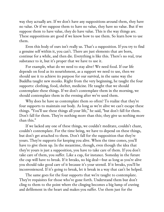way they actually are. If we don't have any suppositions around them, they have no value. Or if we suppose them to have no value, they have no value. But if we suppose them to have value, they do have value. This is the way things are. These suppositions are good if we know how to use them. So learn how to use them.

Even this body of ours isn't really us. That's a supposition. If you try to find a genuine self within it, you can't. There are just elements that are born, continue for a while, and then die. Everything is like this. There's no real, true substance to it, but it's proper that we have to use it.

For example, what do we need to stay alive? We need food. If our life depends on food as its nourishment, as a support we need to use, then we should use it to achieve its purpose for our survival, in the same way the Buddha taught new monks. Right from the very beginning, he taught the four supports: clothing, food, shelter, medicine. He taught that we should contemplate these things. If we don't contemplate them in the morning, we should contemplate them in the evening after we've used them.

Why does he have us contemplate them so often? To realize that they're four supports to maintain our body. As long as we're alive we can't escape these things. "You'll use these things all your life," he said, "but don't fall for them. Don't fall for them. They're nothing more than this; they give us nothing more than this."

If we lacked any one of these things, we couldn't meditate, couldn't chant, couldn't contemplate. For the time being, we have to depend on these things, but don't get attached to them. Don't fall for the supposition that they're yours. They're supports for keeping you alive. When the time comes, you'll have to give them up. In the meantime, though, even though the idea that they're yours is just a supposition, you have to take care of them. If you don't take care of them, you suffer. Like a cup, for instance. Someday in the future the cup will have to break. If it breaks, no big deal—but as long as you're alive you should take good care of it because it's your utensil. If it breaks, you'll be inconvenienced. If it's going to break, let it break in a way that can't be helped.

The same goes for the four supports that we're taught to contemplate. They're requisites for those who've gone forth. Understand them but don't cling to them to the point where the clinging becomes a big lump of craving and defilement in the heart and makes you suffer. Use them just for the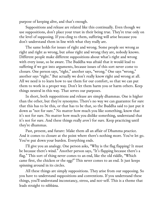purpose of keeping alive, and that's enough.

Suppositions and release are related like this continually. Even though we use suppositions, don't place your trust in their being true. They're true only on the level of supposing. If you cling to them, suffering will arise because you don't understand them in line with what they really are.

The same holds for issues of right and wrong. Some people see wrong as right and right as wrong, but *whose* right and wrong they are, nobody knows. Different people make different suppositions about what's right and wrong with every issue, so be aware. The Buddha was afraid that it would lead to suffering if we got into arguments, because issues of this sort never come to closure. One person says, "right," another says, "wrong." One says "wrong," another says "right." But actually we don't really know right and wrong at all. All we need is to learn how to use them for our comfort, so that we can put them to work in a proper way. Don't let them harm you or harm others. Keep things neutral in this way. That serves our purposes.

In short, both suppositions and release are simply dhammas. One is higher than the other, but they're synonyms. There's no way we can guarantee for sure that this has to be this, or that has to be that, so the Buddha said to just put it down as "not for sure." No matter how much you like something, know that it's not for sure. No matter how much you dislike something, understand that it's not for sure. And these things really *aren't* for sure. Keep practicing until they're dhammas.

Past, present, and future: Make them all an affair of Dhamma practice. And it comes to closure at the point where there's nothing more. You've let go. You've put down your burden. Everything ends.

I'll give you an analogy. One person asks, "Why is the flag flapping? It must be because there's wind." Another person says, "It's flapping because there's a flag." This sort of thing never comes to an end, like the old riddle, "Which came first, the chicken or the egg?" This never comes to an end. It just keeps spinning around in its circles.

All these things are simply suppositions. They arise from our supposing. So you have to understand suppositions and conventions. If you understand these things, you'll understand inconstancy, stress, and not-self. This is a theme that leads straight to nibbāna.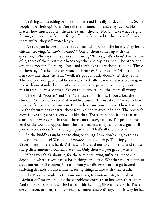Training and teaching people to understand is really hard, you know. Some people have their opinions. You tell them something and they say No. No matter how much you tell them the truth, they say No. "I'll take what's right for me; you take what's right for you." There's no end to this. Even if it makes them suffer, they still won't let go.

I've told you before about the four men who go into the forest. They hear a chicken crowing, *"Ekkk-i-ekk-ekkkk!"* One of them comes up with the question, "Who says that's a rooster crowing? Who says it's a hen?" For the fun of it, three of them put their heads together and say it's a hen. The other one says it's a rooster. They argue back and forth like this without stopping. Three of them say it's a hen, and only one of them says it's a rooster. "How could a hen crow like that?" he asks. "Well, it's got a mouth, doesn't it?" they reply. The one person argues until he's in tears. Actually, it was a rooster crowing, in line with our standard suppositions, but the one person had to argue until he was in tears, he was so upset. Yet on the ultimate level they were all wrong.

The words "rooster" and "hen" are just suppositions. If you asked the chicken, "Are you a rooster?" it wouldn't answer. If you asked, "Are you a hen?" it wouldn't give any explanation. But we have our conventions: These features are the features of a rooster; these features, the features of a hen. The rooster's crow is like this; a hen's squawk is like that. These are suppositions that are stuck in our world. But in truth there's no rooster, no hen. To speak on the level of the world's suppositions, the one person was right, but to argue until you're in tears doesn't serve any purpose at all. That's all there is to it.

So the Buddha taught not to cling to things. If we don't cling to things, how can we practice? We practice *because* of not-clinging. To bring your discernment in here is hard. This is why it's hard not to cling. You need to use sharp discernment to contemplate this. Only then will you get anywhere.

When you think about it, for the sake of relieving suffering, it doesn't depend on whether you have a lot of things or a little. Whether you're happy or sad, content or discontent, it starts from your discernment. To go beyond suffering depends on discernment, seeing things in line with their truth.

The Buddha taught us to train ourselves, to contemplate, to meditate. "Meditation" means undoing these problems correctly in line with their issues. And their issues are these: the issues of birth, aging, illness, and death. These are common, ordinary things—really common and ordinary. This is why he has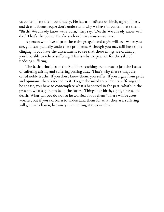us contemplate them continually. He has us meditate on birth, aging, illness, and death. Some people don't understand why we have to contemplate them. "Birth? We already know we're born," they say. "Death? We already know we'll die." That's the point. They're such ordinary issues—so true.

A person who investigates these things again and again will see. When you see, you can gradually undo these problems. Although you may still have some clinging, if you have the discernment to see that these things are ordinary, you'll be able to relieve suffering. This is why we practice for the sake of undoing suffering.

The basic principles of the Buddha's teaching aren't much: just the issues of suffering arising and suffering passing away. That's why these things are called noble truths. If you don't know them, you suffer. If you argue from pride and opinions, there's no end to it. To get the mind to relieve its suffering and be at ease, you have to contemplate what's happened in the past, what's in the present, what's going to be in the future. Things like birth, aging, illness, and death: What can you do not to be worried about them? There will be *some* worries, but if you can learn to understand them for what they are, suffering will gradually lessen, because you don't hug it to your chest.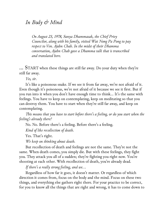# *In Body & Mind*

*On August 23, 1978, Sanya Dhammasak, the Chief Privy Councilor, along with his family, visited Wat Nong Pa Pong to pay respect to Ven. Ajahn Chah. In the midst of their Dhamma conversation, Ajahn Chah gave a Dhamma talk that is transcribed and translated here.*

… START when these things are still far away. Do your duty when they're still far away.

*Yes, sir*.

It's like a poisonous snake. If we see it from far away, we're not afraid of it. Even though it's poisonous, we're not afraid of it because we see it first. But if you run into it when you don't have enough time to think… It's the same with feelings. You have to keep on contemplating, keep on meditating so that you can destroy them. You have to start when they're still far away, and keep on contemplating.

*This means that you have to start before there's a feeling, or do you start when the feeling's already there?*

No. No. Before there's a feeling. Before there's a feeling.

*Kind of like recollection of death.*

Yes. That's right.

*We keep on thinking about death.*

But recollection of death and feelings are not the same. They're not the same. When death comes, you simply die. But with these feelings, they fight you. They attack you all of a sudden; they're fighting you right now. You're shooting at each other. With recollection of death, you're already dead.

*If there's a really strong feeling, and we…*

Regardless of how far it goes, it doesn't matter. Or regardless of which direction it comes from, focus on the body and the mind. Focus on these two things, and everything else gathers right there. For your practice to be correct, for you to know all the things that are right and wrong, it has to come down to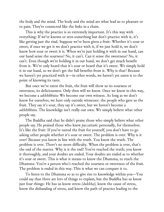the body and the mind. The body and the mind are what lead us to pleasure or to pain. They're connected like the links in a chain.

This is why the practice is so extremely important. It's this way with everything: If we've known or seen something but don't practice with it, it's like getting just the rind. Suppose we've been given a fruit: Whether it's sour or sweet, if once we get it we don't practice with it, if we just hold it, we don't know how sour or sweet it is. When we're just holding it with in our hand, can our hand sense the sourness? No, it can't. Can it sense the sweetness? No, it can't. Even though we're holding it in our hand, we don't get much benefit from it. We've only heard that it's sour or heard that it's sweet. We simply hold it in our hand, so we don't get the full benefits from it. Why is that? Because we haven't yet practiced with it—in other words, we haven't yet eaten it to the point of knowing its taste.

But once we've eaten the fruit, the fruit will show us its sourness or sweetness, its deliciousness. Only then will we know. Once we know in this way, we become a *sakkhībhūto:* We become our own witness. As long as we don't know for ourselves, we have only outside witnesses: the people who gave us the fruit. They say it's sour, they say it's sweet, but we haven't become a *sakkhībhūto.* The knowledge isn't really our own. We simply believe what other people say.

The Buddha said that he didn't praise those who simply believe what other people say. He praised those who knew *paccattaṁ:* personally, for themselves. It's like the fruit: If you've tasted the fruit for yourself, you don't have to go asking other people whether it's sour or sweet. The problem is over. Why is it over? Because you know in line with the truth. You know the truth. The problem is over. There's no more difficulty. When the problem is over, that's the end of the matter. Why is it the end? You've reached the truth; you know it thoroughly, and your doubts are ended. Your doubts are ended as to whether it's sour or sweet. This is what it means to know the Dhamma, to reach the Dhamma: You're a person who's reached the sourness or sweetness of the fruit. The problem is ended in this way. This is what we can compare it to.

To listen to the Dhamma so as to give rise to knowledge within you—You could say that there are lots of things to explain, but the Buddha has us know just four things: He has us know stress *(dukkha),* know the cause of stress, know the disbanding of stress, and know the path of practice leading to the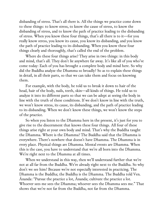disbanding of stress. That's all there is. All the things we practice come down to these things: to know stress, to know the cause of stress, to know the disbanding of stress, and to know the path of practice leading to the disbanding of stress. When you know these four things, that's all there is to it—for you really know stress, you know its cause, you know its disbanding, and you know the path of practice leading to its disbanding. When you know these four things clearly and thoroughly, that's called the end of the problem.

Where do these four things arise? They arise in two things: in this body and mind, that's all. They don't lie anywhere far away. It's like all of you who've come today: Each of you has brought a complete body and mind here. So why did the Buddha analyze the Dhamma so broadly? So as to explain these things in detail, in all their parts, so that we can take them and focus on knowing them.

For example, with the body, he told us to break it down to hair of the head, hair of the body, nails, teeth, skin—all kinds of things. He told us to analyze it into its different parts so that we can be adept at seeing the body in line with the truth of these conditions. If we don't know in line with the truth, we won't know stress, its cause, its disbanding, and the path of practice leading to its disbanding. When we don't know these things, we won't know the steps of the practice.

So when you listen to the Dhamma here in the present, it's just for you to give rise to the discernment that knows these four things. All four of these things arise right at your own body and mind. That's why the Buddha taught the Dhamma. Where is the Dhamma? The Buddha said that the Dhamma is everywhere. There's nowhere that doesn't have Dhamma. The Dhamma is in every place. Physical things are Dhamma. Mental events are Dhamma. When this is the case, you have to understand that we're all born into the Dhamma. We're right next to the Dhamma at all times.

When we understand in this way, then we'll understand further that we're not at all far from the Buddha. We're already right next to the Buddha. So why don't we see him? Because we're not especially interested in practicing. The Dhamma is the Buddha; the Buddha is the Dhamma. The Buddha told Ven. Ānanda: "Pursue the practice a lot, Ānanda; cultivate the practice a lot. Whoever sees me sees the Dhamma; whoever sees the Dhamma sees me." That shows that we're not far from the Buddha, not far from the Dhamma.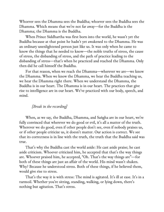Whoever sees the Dhamma sees the Buddha; whoever sees the Buddha sees the Dhamma. Which means that we're not far away—for the Buddha is the Dhamma; the Dhamma is the Buddha.

When Prince Siddhartha was first born into the world, he wasn't yet the Buddha because at that point he hadn't yet awakened to the Dhamma. He was an ordinary unenlightened person just like us. It was only when he came to know the things that he needed to know—the noble truths of stress, the cause of stress, the disbanding of stress, and the path of practice leading to the disbanding of stress—that's when he practiced and reached the Dhamma. Only then did he call himself the Buddha.

For that reason, when we reach the Dhamma—wherever we are—we know the Dhamma. When we know the Dhamma, we hear the Buddha teaching us, we hear the Dhamma right there. When we understand the Dhamma, the Buddha is in our heart. The Dhamma is in our heart. The practices that give rise to intelligence are in our heart. We've practiced with our body, speech, and mind.

### *[Break in the recording]*

When, as we say, the Buddha, Dhamma, and Saṅgha are in our heart, we're fully convinced that wherever we do good or evil, it's all a matter of the truth. Wherever we do good, even if other people don't see, even if nobody praises us, or if other people criticize us, it doesn't matter. Our action is correct. We see that its correctness is in line with the truth, the truth that the Buddha said was true.

That's why the Buddha cast the world aside: He cast aside praise; he cast aside criticism. Whoever criticized him, he accepted that that's the way things are. Whoever praised him, he accepted, "Oh. That's the way things are"—for both of these things are just an affair of the world. His mind wasn't shaken. Why? Because he understood stress. Both of these things, if he believed them, would give rise to stress.

That's the way it is with stress: The mind is agitated. It's ill at ease. It's in a turmoil. Whether you're sitting, standing, walking, or lying down, there's nothing but agitation. That's stress.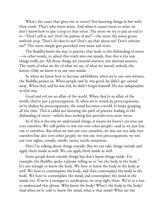What's the cause that gives rise to stress? Not knowing things in line with their truth. That's why stress arises. And when it causes stress to arise, we don't know how to put a stop to that stress. The more we try to put an end to it—"Don't yell at me! Don't be jealous of me!"—the more the stress grows without stop. "Don't do that to me! Don't say that about me! Don't criticize me!" The stress simply gets provoked even more and more.

The Buddha knew the way to practice that leads to the disbanding of stress —in other words, to admit this truth into our minds, that this is the way things really are. All those things are external matters, not internal matters. The truth of what we do, of what we say, of what we intend, nobody else knows. Only we know it in our own minds.

So when we know how to become *sakkhībhūto,* when we're our own witness, the Buddha praises us. When people said he was good, he didn't get carried away. When they said he was evil, he didn't forget himself. He was independent in that way.

Good and evil are an affair of the world. When they're an affair of the world, they're just a preoccupation. If, when we're struck by preoccupations, we're shaken by preoccupations, the mind becomes a world. It keeps grasping all the time. This is called not knowing the path of practice leading to the disbanding of stress—which does nothing but provoke even more stress.

So if this is the way we understand things, it means we haven't yet won out over ourselves. We still prefer to win out over other people—and so we just lose out to ourselves. But when we win out over ourselves, we win out not only over ourselves but also over other people; we win out over preoccupations; we win out over sights, sounds, smells, tastes, tactile sensations.

Here I'm talking about things outside. But we can take things outside and apply them inside as well. We can apply them inside as well.

Some people know outside things but don't know things inside. For example, the Buddha spoke a phrase telling us to "see the body in the body." It's not enough to know the body. We have to know the body in the body as well. We have to contemplate the body, and then contemplate the body in the body. We have to contemplate the mind, and contemplate the mind in the mind, too. If we're a stranger to meditation, we stop right there. We're at a loss to understand this phrase. Why know the body? What's the body in the body? And when we're told to know the mind, what is that mind? What are the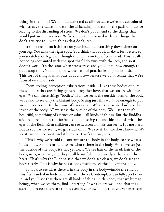things in the mind? We don't understand at all—because we're not acquainted with stress, the cause of stress, the disbanding of stress, or the path of practice leading to the disbanding of stress. We don't put an end to the things that would put an end to stress. We're simply too obsessed with the things that don't give rise to… with things that don't itch.

It's like feeling an itch here on your head but scratching down there on your leg. You miss the right spot. You think that you'll make it feel better, so you scratch your leg, even though the itch is on top of your head. This is called not being acquainted with the spot that'll do away with the itch, and so it doesn't work. It's the same when stress arises and you don't know enough to put a stop to it. You don't know the path of practice leading to its disbanding. This sort of thing is what puts us at a loss—because we don't realize that we're focused on the outside.

Form, feeling, perception, fabrications inside… Like these bodies of ours, these bodies that are sitting gathered together here, that we can see with our eyes: We call these things "bodies." If all we see is the outside form of the body, we're said to see only the blatant body. Seeing just this won't be enough to put an end to stress or to the cause of stress at all. Why? Because we don't see the inside of the body. All we see is the outside of the body. We'll see that it's beautiful, something of essence or value—all kinds of things. But the Buddha said that seeing only this far isn't enough, seeing the outside like this with the eyes of the flesh. Even children can see it. Even animals can see it. It's not hard. But as soon as we see it, we get stuck on it. We see it, but we don't know it. We see it, we pounce on it, and it bites us. That's the way it is.

This is why we're told to contemplate the body in the body, to see what's in the body. Explore around to see what's there in the body. When we see just the outside of the body, it's not yet clear. We see hair of the head, hair of the body, nails, whatever, and they're all beautiful. These are dyes that stain the heart. That's why the Buddha said that we don't see clearly, we don't see the body clearly. This is why he has us look inside to see the body in the body.

So look to see what there is in the body in the body—inside the rind of this flesh-and-skin body here. What *is* there? Contemplate carefully, probe on in, and you'll see that there are all kinds of things in this body that we human beings, when we see them, find—startling. If we explore we'll find that it's all startling because there are things even in your own body that you've never seen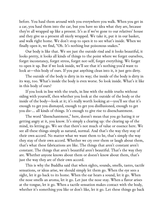before. You haul them around with you everywhere you walk. When you get in a car, you haul them into the car, but you have no idea what they are, because they're all wrapped up like a present. It's as if we've gone to our relatives' house and they give us a present all nicely wrapped. We take it, put it in our basket, and walk right home. We don't stop to open it to see what's inside. When we finally open it, we find, "Oh. It's nothing but poisonous snakes."

Our body is like that. We see just the outside rind and it looks beautiful, it looks pretty, it looks all kinds of things to the point where we forget ourselves, forget inconstancy, forget stress, forget not-self, forget everything. We forget to open it up. But if we look inside, we'll see that it's nothing you'd want to look at—this body of ours. If you put anything clean into it, it just gets dirty.

The outside of the body is dirty in its way; the inside of the body is dirty in its way, too. What's inside the body is even worse. So look inside. What's it like in this body of ours?

If you look in line with the truth, in line with the noble truths without siding with yourself, then whether you look at the outside of the body or the inside of the body—look at it; it's really worth looking at—you'll see that it's enough to get you dismayed, enough to get you disillusioned, enough to get you dis-… all kinds of things. It's enough to give rise to disenchantment.

The word "disenchantment," here, doesn't mean that you go hating it or getting angry at it, you know. It's simply a clearing up: the clearing up of the mind, its letting go. We see that there's not much of value or essence here. We see all these things simply as natural, normal. And that's the way they stay of their own accord. No matter what we want them to be, that's simply the way they stay of their own accord. Whether we cry over them or laugh about them, that's what these fabrications are like. The things that aren't constant aren't constant. The things that aren't beautiful aren't beautiful. That's the way they are. Whether anyone knows about them or doesn't know about them, that's just the way they are of their own accord.

This is why the Buddha said that when sights, sounds, smells, tastes, tactile sensations, or ideas arise, we should simply let them go. When the eye sees a sight, let it go back to its home. When the ear hears a sound, let it go. When the nose smells an aroma, let it go. Let just the nose stay. When a flavor arises at the tongue, let it go. When a tactile sensation makes contact with the body, whether it's something you like or don't like, let it go. Let these things go back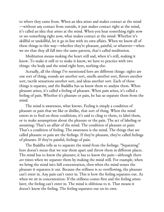to where they came from. When an idea arises and makes contact at the mind —without any contact from outside, it just makes contact right at the mind, it's called an idea that arises at the mind. When you hear something right now or see something right now, what makes contact at the mind: Whether it's skillful or unskillful, let it go in line with its own affairs. When we know all of these things in this way—whether they're pleasant, painful, or whatever—when we see that they all fall into the same pattern, that's called meditation.

Meditation means making the heart still and, when it's still, making it know. To make it still or to make it know, we have to practice with two things: the body and the mind right here, nothing else.

Actually, all the things I've mentioned here are different things: sights are one sort of thing, sounds are another sort, smells another sort, flavors another sort, tactile sensations another sort, and ideas another sort. Each of these things is separate, and the Buddha has us know them to analyze them. When pleasure arises, it's called a feeling of pleasure. When pain arises, it's called a feeling of pain. Whether it's pleasure or pain, he has us separate them from the mind.

The mind is awareness, what knows. Feeling is simply a condition of pleasure or pain that we like or dislike, that sort of thing. When the mind enters in to feed on these conditions, it's said to cling to them, to label them, or to make assumptions about the pleasure or the pain. The act of labeling or assuming: That's an affair of the mind. The condition of pleasure or pain: That's a condition of feeling. The awareness is the mind. The things that are called pleasure or pain are the feelings. If they're pleasant, they're called feelings of pleasure. If they're painful, feelings of pain.

The Buddha tells us to separate the mind from the feelings. "Separating" here doesn't mean that we tear them apart and throw them in different places. The mind has to know the pleasure; it has to know the pain—although there *are* times when we separate them by making the mind still. For example, when we bring the mind into full concentration, then when the mind senses the pleasure it separates it out. Because the stillness is so overflowing, the pleasure can't enter in. Any pain can't enter in. This is how the feeling separates out. As when we sit in concentration: If the stillness comes first and the feeling arises later, the feeling can't enter in. The mind is oblivious to it. That means it doesn't know the feeling. The feeling separates out on its own.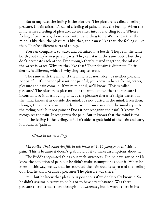But at any rate, the feeling is the pleasure. The pleasure is called a feeling of pleasure. If pain arises, it's called a feeling of pain. That's the feeling. When the mind senses a feeling of pleasure, do we enter into it and cling to it? When a feeling of pain arises, do we enter into it and cling to it? We'll know that the mind is like this, the pleasure is like that, the pain is like that, the feeling is like that. They're different sorts of things.

You can compare it to water and oil mixed in a bottle. They're in the same bottle, but they're in separate parts. They can stay in the same bottle but they don't permeate each other. Even though they're mixed together, the oil is oil, the water is water. Why are they like that? Their density is different. Their density is different, which is why they stay separate.

The same with the mind. If the mind is at normalcy, it's neither pleasant nor painful. It's neither pleasant nor painful, you know. When a feeling enters, pleasure and pain come in. If we're mindful, we'll know: "This is called pleasure." The pleasure is pleasant, but the mind knows that the pleasure is inconstant, so it doesn't cling to it. Is the pleasure there? It's right there, but the mind knows it as outside the mind. It's not buried in the mind. Even then, though, the mind knows it clearly. Or when pain arises, can the mind separate the feeling out? Is it not pained? Does it not recognize the pain? It knows. It recognizes the pain. It recognizes the pain. But it knows that the mind is the mind, the feeling is the feeling, so it isn't able to grab hold of the pain and carry it around as "pain"…

### *[Break in the recording]*

*[An earlier Thai transcript fills in this break with this passage:* or as "this is pain." This is because it doesn't grab hold of it to make assumptions about it.

The Buddha separated things out with awareness. Did he have any pain? He knew the condition of pain but he didn't make assumptions about it. When he knew in this way, we say that he separated the pain out, he separated the feeling out. Did he know ordinary pleasure? The pleasure was there, ]

\*\* … but he knew that pleasure is poisonous if we don't really know it. So he didn't assume pleasure to be his or to have any substance. Was there pleasure there? It was there through his awareness, but it wasn't there in his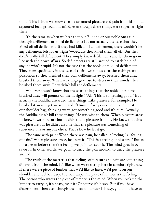mind. This is how we know that he separated pleasure and pain from his mind, separated feelings from his mind, even though these things were together right there.

It's the same as when we hear that our Buddha or our noble ones cut through defilement or killed defilement: It's not actually the case that they killed off all defilement. If they had killed off all defilement, there wouldn't be any defilement left for us, right?—because they killed them all off. But they didn't really kill defilement. They simply knew defilements and let them go in line with their own affairs. So defilements are still around to catch hold of anyone who's stupid. It's not the case that the noble ones killed defilement. They knew specifically in the case of their own minds that these things are poisonous so they brushed their own defilements away, brushed them away, brushed them away. Whatever things gave rise to stress in their minds, they brushed them away. They didn't kill the defilements.

Whoever doesn't know that these are things that the noble ones have brushed away will pounce on them, right? "Ah. This is something good." But actually the Buddha discarded these things. Like pleasure, for example: He brushed it away—yet we see it and, "Hmmm," we pounce on it and put it in our shoulder bag, thinking we've got something good and it's ours. Actually, the Buddha didn't kill these things. He was wise to them. When pleasure arose, he knew it was pleasure but he didn't take pleasure from it. He knew that this was pleasure but he didn't assume that the pleasure was something of substance, his or anyone else's. That's how he let it go.

The same with pain: When there was pain, he called it "feeling," a "feeling of pain." When pleasure arose, he knew it: "This is a feeling of pleasure." But as for us, even before there's a feeling we go in to savor it. The mind goes in to savor it. In other words, we go in to carry the pain around, to carry the pleasure around.

The truth of the matter is that feelings of pleasure and pain are something different from the mind. It's like when we're sitting here in comfort right now. If there were a piece of lumber that we'd like to have, we'd put it on our shoulder and it'd be heavy. It'd be heavy. The piece of lumber is the feeling. The person who wants the piece of lumber is the mind. When you pick up the lumber to carry it, it's heavy, isn't it? Of course it's heavy. But if you have discernment, then even though the piece of lumber is heavy, you don't have to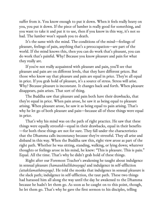suffer from it. You know enough to put it down. When it feels really heavy on you, you put it down. If the piece of lumber is really good for something, and you want to take it and put it to use, then if you know in this way, it's not so bad. The lumber won't squash you to death.

It's the same with the mind. The conditions of the mind—feelings of pleasure, feelings of pain, anything that's a preoccupation—are part of the world. If the mind knows this, then you can do work that's pleasant, you can do work that's painful. Why? Because you know pleasure and pain for what they really are.

If you're not really acquainted with pleasure and pain, you'll see that pleasure and pain are on different levels, that they have different prices. But those who know say that pleasure and pain are equal in price. They're all equal in price. If you grab hold of pleasure, it's a source of stress. Stress will arise. Why? Because pleasure is inconstant. It changes back and forth. When pleasure disappears, pain arises. That sort of thing.

The Buddha saw that pleasure and pain both have their drawbacks, that they're equal in price. When pain arose, he saw it as being equal to pleasure arising. When pleasure arose, he saw it as being equal to pain arising. That's why he let go of both pleasure and pain—because all of these things were equal in price.

That's why his mind was on the path of right practice. He saw that these things were equally stressful—equal in their drawbacks, equal in their benefits —for both these things are not for sure. They fall under the characteristics that the Dhamma calls inconstancy because they're stressful. They all arise and disband in this way. When the Buddha saw this, right view arose as part of the right path. Whether he was sitting, standing, walking, or lying down; whatever thoughts or feelings arose in his mind, he knew: "This is pleasure. This is pain." Equal. All the time. That's why he didn't grab hold of these things.

Right after our Foremost Teacher's awakening he taught about indulgence in sensual pleasure *(kamasukhallikānuyoga)* and indulgence in self-affliction *(attakilamathānuyoga).* He told the monks that indulgence in sensual pleasure is the slack path; indulgence in self-affliction, the taut path. These two things had harassed him all along the way until the day he awakened to the Dhamma because he hadn't let them go. As soon as he caught on to this point, though, he let them go. That's why he gave the first sermon to his disciples, telling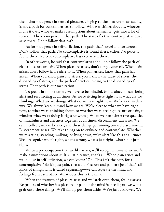them that indulgence in sensual pleasure, clinging to the pleasure in sensuality, is not a path for contemplatives to follow. Whoever thinks about it, whoever mulls it over, whoever makes assumptions about sensuality, gets into a lot of turmoil. There's no peace in that path. The state of a true contemplative can't arise there. Don't follow that path.

As for indulgence in self-affliction, the path that's cruel and torturous: Don't follow that path. No contemplative is found there, either. No peace is found there. No true contemplative has ever arisen there.

In other words, he said that contemplatives shouldn't follow the path of either pleasure or pain. When pleasure arises, don't forget yourself. When pain arises, don't follow it. Be alert to it. When pain arises, know that pain has arisen. When you know pain and stress, you'll know the cause of stress, the disbanding of stress, and the path of practice leading to the disbanding of stress. That path is our meditation.

To put it in simple terms, we have to be mindful. Mindfulness means being alert and recollecting at all times: As we're sitting here right now, what are we thinking? What are we doing? What do we have right now? We're alert in this way. We always keep in mind how we are. We're alert to what we have right now, to what we're thinking about, to whether we're feeling pleasure or pain, to whether what we're doing is right or wrong. When we keep these two qualities of mindfulness and alertness together at all times, discernment can arise. We can recollect, we can be alert, and these things go running toward discernment. Discernment arises. We take things on to evaluate and contemplate. Whether we're sitting, standing, walking, or lying down, we're alert like this at all times. We'll recognize what's right, what's wrong, what's just right, what's not just right.

When a preoccupation that we like arises, we'll recognize it—and we won't make assumptions about it. It's just pleasure, that's all. When pain arises and we indulge in self-affliction, we can know: "Oh. This isn't the path for a contemplative." So it's just pain, that's all. Pleasure and pain are just "that's all" kinds of things. This is called separating—we can separate the mind and feelings from each other. What does this is the mind.

When the features of pleasure arise and we latch onto them, feeling arises. Regardless of whether it's pleasure or pain, if the mind is intelligent, we won't grab onto these things. We'll simply put them aside. We're just a knower. We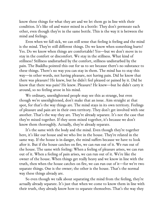know these things for what they are and we let them go in line with their condition. It's like oil and water mixed in a bottle: They don't permeate each other, even though they're in the same bottle. This is the way it is between the mind and feelings.

Even when we fall sick, we can still sense that feeling is feeling and the mind is the mind. They're still different things. Do we know when something hurts? Yes. Do we know when things are comfortable? Yes—but we don't move in to stay in the comfort or discomfort. We stay in the stillness. What kind of stillness? Stillness undisturbed by the comfort, stillness undisturbed by the pain. The Buddha pointed this out for us to see because there's no substance to these things. There's no way you can stay in them. The mind has to stay this way—in other words, not having pleasure, not having pain. Did he know that there was pleasure? He knew, but he didn't feel pleased or pained by it. Did he know that there was pain? He knew. Pleasure? He knew—but he didn't carry it around, so no feeling arose in his mind.

We ordinary, unenlightened people may see this as strange, but even though we're unenlightened, don't make that an issue. Aim straight at that spot, for that's the way things are. The mind stays in its own territory. Feelings of pleasure and pain are in their own territory. They don't get involved with one another. That's the way they are. They're already separate. It's not the case that they're mixed together. If they seem mixed together, it's because we don't know them thoroughly. Actually, they're already separate.

It's the same with the body and the mind. Even though they're together here, it's like our house and we who live in the house. They're related in the same way. If the house is in danger, the mind suffers because we have to look after it. But if the house catches on fire, we can run out of it. We run out of the house. The same with feeling: When a feeling of pleasure arises, we can run out of it. When a feeling of pain arises, we can run out of it. We're like the owner of the house. When things get really heavy and we know in line with the truth, then when the house catches on fire, we can run out of it—for we're two separate things. One is the owner; the other is the house. That's the normal way these things already are.

So even though we talk about separating the mind from the feeling, they're actually already separate. It's just that when we come to know them in line with their truth, they already know how to separate themselves. That's the way they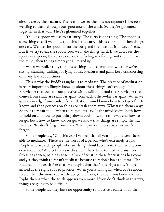already are by their nature. The reason we see them as not separate is because we cling to them through our ignorance of the truth. So they're glommed together in that way. They're glommed together.

It's like a spoon we use to eat curry. The curry is one thing. The spoon is something else. If we know that this is the curry, this is the spoon, then things are easy. We use the spoon to eat the curry and then we put it down. It's easy. But if we try to eat the spoon, too, we make things hard. If we don't see the spoon as a spoon, the curry as curry, the feeling as a feeling, and the mind as the mind, then things simply get all mixed up.

When we realize this, then these things can separate out whether we're sitting, standing, walking, or lying down. Pleasures and pains keep crisscrossing on many levels at all times.

This is why the Buddha taught us to meditate. The practice of meditation is really important. Simply knowing about these things isn't enough. The knowledge that comes from practice with a still mind and the knowledge that comes from study are really far apart from each other—far, far apart. When we gain knowledge from study, it's not that our mind knows how to let go of it. It knows and then pounces on things to stash them away. Why stash them away? So that they can spoil. When they spoil, we cry. If the mind knows both how to hold on and how to put things down, both how to stash away and how to let go, both how to know and let go, we know that things are simply the way they are. We don't forget ourselves. When pain or illness arises, we won't forget.

Some people say, "Oh, this year I've been sick all year long. I haven't been able to meditate." These are the words of a person who's extremely stupid. People who are sick, people who are dying, should accelerate their meditation even more, no? And yet they say they don't have time to meditate anymore. Stress has arisen, pain has arisen, a lack of trust in these fabrications has come, and yet they think they can't meditate because they don't have the time. The Buddha didn't teach like that. He taught that that's the right spot. You've arrived at the right spot to practice. When you're falling ill, when you're about to die, then the more you accelerate your efforts, the more you know and see. Right then is when the truth appears even more. If you don't think in this way, things are going to be difficult.

Some people say they have no opportunity to practice because of all the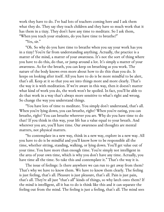work they have to do. I've had lots of teachers coming here and I ask them what they do. They say they teach children and they have so much work that it has them in a tizzy. They don't have any time to meditate. So I ask them, "When you teach your students, do you have time to breathe?"

"Yes, sir."

"Oh. So why do you have time to breathe when you say your work has you in a tizzy? You're far from understanding anything. Actually, the practice is a matter of the mind, a matter of your awareness. It's not the sort of thing where you have to do this, do that, or jump around a lot. It's simply a matter of your awareness. As for the breath, you can keep on breathing as you work. The nature of the body knows even more about how to do this than you do. It keeps on looking after itself. All you have to do is be more mindful to be alert, that's all. Keep at it so that you see into things more and more clearly. That's the way it is with meditation. If we're aware in this way, then it doesn't matter what kind of work you do, the work won't be spoiled. In fact, you'll be able to do that work in a way that's always more sensitive to what's right and wrong. So change the way you understand things.

"You have lots of time to meditate. You simply don't understand, that's all. When you're lying down, you can breathe, right? When you're eating, you can breathe, right? You can breathe wherever you are. Why do you have time to do that? If you think in this way, your life has a value equal to your breath. And wherever you are, you'll have time. Our awareness and thoughts are mental matters, not physical matters.

"So contemplate in a new way, think in a new way, explore in a new way. All you have to do is be mindful and you'll know how to be responsible all the time, whether sitting, standing, walking, or lying down. You'll get value out of your time. You have more than enough time. You're simply not intelligent in the area of your own time, which is why you don't have any time. Actually, you have time all the time. So take this and contemplate it." That's the way it is.

The issue of feelings: Is there anywhere we can run to get away from them? That's why we have to know them. We have to know them clearly. The feeling is just feeling, that's all. Pleasure is just pleasure, that's all. Pain is just pain, that's all. They're all just "that's all" kinds of things, so why latch onto them? If the mind is intelligent, all it has to do is think like this and it can separate the feeling out from the mind. The feeling is just a feeling, that's all. The mind sees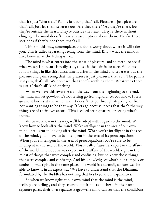that it's just "that's all." Pain is just pain, that's all. Pleasure is just pleasure, that's all. Just let them separate out. Are they there? Yes, they're there, but they're outside the heart. They're outside the heart. They're there without clinging. The mind doesn't make any assumptions about them. They're there sort of as if they're not there, that's all.

Think in this way, contemplate, and don't worry about where it will take you. This is called separating feeling from the mind. Know what the mind is like; know what the feeling is like.

The mind is what enters into the sense of pleasure, and so forth, to see if what we say is pleasure is really true, to see if the pain is for sure. When we follow things in like this, discernment arises in the mind and separates out the pleasure and pain, seeing that the pleasure is just pleasure, that's all. The pain is just pain, that's all. We don't see that there's anything there. Whatever's there is just a "that's all" kind of thing.

When we have this awareness all the way from the beginning to the end, the mind will let go—but it's not letting go from ignorance, you know. It lets go and it knows at the same time. It doesn't let go through stupidity, or from not wanting things to be that way. It lets go because it sees that that's the way things are of their own accord. This is called seeing nature, or seeing what's normal.

When we know in this way, we'll be adept with regard to the mind. We know how to look after the mind. We're intelligent in the area of our own mind, intelligent in looking after the mind. When you're intelligent in the area of the mind, you'll have to be intelligent in the area of its preoccupations. When you're intelligent in the area of preoccupations, you're sure to be intelligent in the area of the world. This is called *lokavidū:* expert in the affairs of the world. The Buddha was expert in the affairs of the world, right in the midst of things that were complex and confusing, but he knew those things that were complex and confusing. And his knowledge of what's not complex or confusing was right in the same place. The world is a turmoil, so how was he able to know it in an expert way? We have to understand that the Dhamma formulated by the Buddha has nothing that lies beyond our capabilities.

So when we know right at our own mind that the mind is the mind, feelings are feelings, and they separate out from each other—in their own separate parts, their own separate stages—the mind can see that the conditions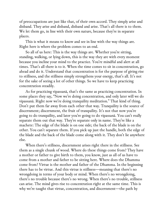of preoccupations are just like that, of their own accord. They simply arise and disband. They arise and disband, disband and arise. That's all there is to them. We let them go, in line with their own nature, because they're in separate places.

This is what it means to know and see in line with the way things are. Right here is where the problem comes to an end.

So all of us here: This is the way things are. Whether you're sitting, standing, walking, or lying down, this is the way they are with every moment because you incline your mind to the practice. You're mindful and alert at all times. That's all there is to it. When the time comes to sit in concentration, go ahead and do it. Understand that concentration is for the purpose of giving rise to stillness, and the stillness simply strengthens your energy, that's all. It's not for the sake of seeing a lot of other things. So we have to keep practicing concentration steadily.

As for practicing vipassanā, that's the same as practicing concentration. In some places they say, "Now we're doing concentration, and only later will we do vipassanā. Right now we're doing tranquility meditation." That kind of thing. Don't put them far away from each other that way. Tranquility is the source of discernment; discernment, the fruit of tranquility. It's not that now you're going to do tranquility, and later you're going to do vipassanā. You can't really separate them out that way. They're separate only in name. They're like a machete: The edge of the blade is on one side; the back of the blade is on the other. You can't separate them. If you pick up just the handle, both the edge of the blade and the back of the blade come along with it. They don't lie anywhere else.

When there's stillness, discernment arises right there in the stillness. See them as a single chunk of wood. Where do these things come from? They have a mother or father to give birth to them, you know, just as all of us have to come from a mother and father to be sitting here. Where does the Dhamma come from? Virtue is the mother and father of the Dhamma. In the beginning there has to be virtue. And this virtue is stillness—meaning that there's no wrongdoing in terms of your body or mind. When there's no wrongdoing, there's no trouble because there's no wrong. When there's no trouble, stillness can arise. The mind gives rise to concentration right at the same time. This is why we're taught that virtue, concentration, and discernment—the path by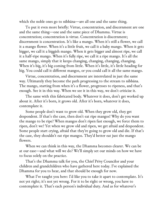which the noble ones go to nibbāna—are all one and the same thing.

To put it even more briefly: Virtue, concentration, and discernment are one and the same thing—one and the same piece of Dhamma. Virtue is concentration; concentration is virtue. Concentration is discernment; discernment is concentration. It's like a mango. When it's still a flower, we call it a mango flower. When it's a little fruit, we call it a baby mango. When it gets bigger, we call it a biggish mango. When it gets bigger and almost ripe, we call it a half-ripe mango. When it's fully ripe, we call it a ripe mango. It's all the same mango, simply that it keeps changing, changing, changing, changing. When it's big, it's big coming from little. When it's little, it's little heading for big. You could call it different mangos, or you could call it all the same mango.

Virtue, concentration, and discernment are interrelated in just the same way. Ultimately they become the path progressing to the stream to nibbāna. The mango, starting from when it's a flower, progresses to ripeness, and that's enough. See it in this way. When we see it in this way, we don't criticize it.

The same with this fabricated body. Whatever it does, don't get worked up about it. After it's born, it grows old. After it's born, whatever it does, contemplate it.

Some people don't want to grow old. When they grow old, they get despondent. If that's the case, then don't eat ripe mangos! Why do you want the mango to be ripe? When mangos don't ripen fast enough, we force them to ripen, don't we? Yet when we grow old and ripen, we get afraid and despondent. Some people start crying, afraid that they're going to grow old and die. If that's the case, they shouldn't eat ripe mangos. They'd better eat just the mango flowers.

When we can think in this way, the Dhamma becomes clearer. We can be at our ease—and what will we do? We'll simply set our minds on how we have to focus solely on the practice.

That's the Dhamma talk for you, the Chief Privy Councilor and your children and grandchildren who have gathered here today. I've explained the Dhamma for you to hear, and that should be enough for now.

What I've taught you here: I'd like you to take it apart to contemplate. It's not yet right; it's not yet wrong. For it to be right or wrong, you have to contemplate it. That's each person's individual duty. And as for whatever's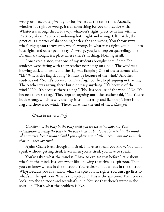wrong or inaccurate, give it your forgiveness at the same time. Actually, whether it's right or wrong, it's all something for you to practice with: Whatever's wrong, throw it away; whatever's right, practice in line with it. Practice, okay? Practice abandoning both right and wrong. Ultimately, the practice is a matter of abandoning both right and wrong. You throw away what's right; you throw away what's wrong. If, whatever's right, you hold onto it as right, and other people say it's wrong, you just keep on quarreling. The Dhamma, though, is a place where there's nothing. Nothing at all.

I once read a story that one of my students brought here. Some Zen students were sitting with their teacher near a flag on a pole. The wind was blowing back and forth, and the flag was flapping. One of the students said, "Eh? Why is the flag flapping? It must be because of the wind." Another student said, "No. It's because there's a flag." So they kept arguing in that way. The teacher was sitting there but didn't say anything. "It's because of the wind." "No. It's because there's a flag." "No. It's because of the wind." "No. It's because there's a flag." They kept on arguing until the teacher said, "No. You're both wrong, which is why the flag is still fluttering and flapping. There is no flag and there is no wind." There. That was the end of that. *[Laughs]*

#### *[Break in the recording]*

*Question: …the body in the body until you see the mind disband. Your explanation of seeing the body in the body is clear, but to see the mind in the mind: what exactly does it mean? Could you explain just a little more?—but not so much that it makes you tired.*

Ajahn Chah: Even though I'm tired, I have to speak, you know. You can't speak without getting tired. Even when you're tired, you have to speak.

You've asked what the mind is. I have to explain this before I talk about what's in the mind. It's somewhat like knowing that this is a spittoon. Then you can know what's in the spittoon. You're clear about what's in the spittoon. Why? Because you first know what the spittoon is, right? You can't go first to what's in the spittoon. What's the spittoon? This is the spittoon. Then you can look into the spittoon and see what's in it. You see that there's water in the spittoon. That's what the problem is like.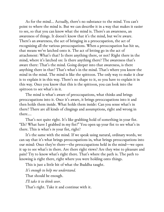As for the mind… Actually, there's no substance to the mind. You can't point to where the mind is. But we can describe it in a way that makes it easier to see, so that you can know what the mind is. There's an awareness, an awareness of things. It doesn't know that it's the mind, but we're aware. There's an awareness, the act of bringing in a preoccupation, the act of recognizing all the various preoccupations. When a preoccupation has hit us, that means we've latched onto it. The act of letting go in the act of attachment: What's that? Is there anything there, or not? Right there in the mind, where it's latched on: Is there anything there? The awareness that's aware there: That's the mind. Going deeper into that awareness, is there anything there in that? That's what's in the mind. That's where you know the mind in the mind. The mind is like the spittoon. The only way to make it clear is to explain it in this way. There's no shape to it, so you have to explain it in this way. Once you know that this is the spittoon, you can look into the spittoon to see what's in it.

The mind is what's aware of preoccupations, what thinks and brings preoccupations into it. Once it's aware, it brings preoccupations into it and then holds them inside. What holds them inside: Can you sense what's in there? There are all kinds of clingings and assumptions, right and wrong in there.…

That's not quite right. It's like grabbing hold of something in your fist. "Eh? What have I grabbed in my fist?" You open up your fist to see what's in there. This is what's *in* your fist, right?

It's the same with the mind. If we speak using natural, ordinary words, we can say that it's what brings preoccupations in, what brings preoccupations into our mind: Once they're there—the preoccupations held in the mind—we open it up to see what's in there. Are there right views? Are they wise to pleasure and pain? Try to know what's right there. That's where the path is. The path to knowing is right there, right where you were holding onto things.

This is just a little bit of what the Buddha taught.

*It's enough to help me understand.*

That should be enough.

*I'll take it to think over.*

That's right. Take it and continue with it.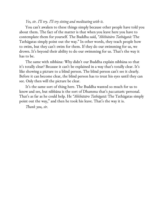#### *Yes, sir. I'll try. I'll try sitting and meditating with it.*

You can't awaken to these things simply because other people have told you about them. The fact of the matter is that when you leave here you have to contemplate them for yourself. The Buddha said, *"Akkhātāro Tathāgatā:* The Tathāgatas simply point out the way." In other words, they teach people how to swim, but they can't swim for them. If they do our swimming for us, we drown. It's beyond their ability to do our swimming for us. That's the way it has to be.

The same with nibbāna: Why didn't our Buddha explain nibbāna so that it's totally clear? Because it can't be explained in a way that's totally clear. It's like showing a picture to a blind person. The blind person can't see it clearly. Before it can become clear, the blind person has to treat his eyes until they can see. Only then will the picture be clear.

It's the same sort of thing here. The Buddha wanted so much for us to know and see, but nibbāna is the sort of Dhamma that's *paccattaṁ:* personal. That's as far as he could help. He *"Akkhātāro Tathāgatā:* The Tathāgatas simply point out the way," and then he took his leave. That's the way it is.

*Thank you, sir.*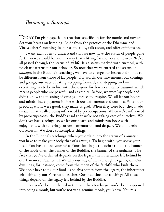## *Becoming a Samaṇa*

TODAY I'm giving special instructions specifically for the monks and novices. Set your hearts on listening. Aside from the practice of the Dhamma and Vinaya, there's nothing else for us to study, talk about, and offer opinions on.

I want each of us to understand that we now have the status of people gone forth, so we should behave in a way that's fitting for monks and novices. We've all passed through the status of lay life. It's a status marked with turmoil, with no clear patterns for our behavior. So now that we've entered the status of *samaṇas* in the Buddha's teachings, we have to change our hearts and minds to be different from those of lay people. Our words, our movements, our comings and goings, our ways of eating, stepping forward, and stepping back everything has to be in line with those gone forth who are called *samaṇa,* which means people who are peaceful and at respite. Before, we were lay people and didn't know the meaning of *samaṇa*—peace and respite. We all let our bodies and minds find enjoyment in line with our defilements and cravings. When our preoccupations were good, they made us glad. When they were bad, they made us sad. That's called being influenced by preoccupations. When we're influenced by preoccupations, the Buddha said that we're not taking care of ourselves. We don't yet have a refuge, so we let our hearts and minds run loose with enjoyment, with suffering, sorrow, lamentation, and despair. We don't rein ourselves in. We don't contemplate things.

In the Buddha's teachings, when you ordain into the status of a *samaṇa,* you have to make your body that of a *samaṇa*. To begin with, you shave your head. You have to cut your nails. Your clothing is the ochre robe—the banner of the noble ones, the banner of the Buddha, the banner of the arahants. The fact that you've ordained depends on the legacy, the inheritance left behind by our Foremost Teacher. That's why our way of life is enough to get by on. Our dwellings, for instance, come from the merit of the faithful who built them. We don't have to fix our food—and this comes from the legacy, the inheritance left behind by our Foremost Teacher. Our medicine, our clothing: All these things depend on the legacy left behind by the Buddha.

Once you've been ordained in the Buddha's teachings, you've been supposed into being a monk, but you're not yet a genuine monk, you know. You're a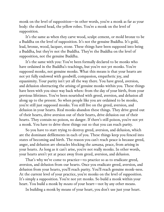monk on the level of supposition—in other words, you're a monk as far as your body: the shaved head, the yellow robes. You're a monk on the level of supposition.

It's the same as when they carve wood, sculpt cement, or mold bronze to be a Buddha on the level of supposition. It's not the genuine Buddha. It's gold, lead, bronze, wood, lacquer, stone. These things have been supposed into being a Buddha, but they're not the Buddha. They're the Buddha on the level of supposition, not the genuine Buddha.

It's the same with you: You've been formally declared to be monks who have ordained in the Buddha's teachings, but you're not yet monks. You're supposed monks, not genuine monks. What this means is that your hearts are not yet fully endowed with goodwill, compassion, empathetic joy, and equanimity. Your purity isn't yet all the way there. You have greed, aversion, and delusion obstructing the arising of genuine monks within you. These things have been with you since way back when: from the day of your birth, from your previous lifetimes. You've been nourished with greed, aversion, and delusion all along up to the present. So when people like you are ordained to be monks, you're still just supposed monks. You still live on the greed, aversion, and delusion in your hearts. Real monks abandon these things. They drive greed out of their hearts, drive aversion out of their hearts, drive delusion out of their hearts. They contain no poison, no danger. If there's still poison, you're not yet a monk. You have to drive these things out so that you can reach purity.

So you have to start trying to destroy greed, aversion, and delusion, which are the dominant defilements in each of you. These things keep you fenced into states of becoming and birth. The reason you can't reach peace is because greed, anger, and delusion are obstacles blocking the *samaṇa,* peace, from arising in your hearts. As long as it can't arise, you're not really monks. In other words, your hearts aren't yet at peace away from greed, aversion, and delusion.

That's why we've come to practice—to practice so as to eradicate greed, aversion, and delusion from our hearts. Once you eradicate greed, aversion, and delusion from your hearts, you'll reach purity. You'll reach genuine monk-ness. At the current level of your practice, you're monks on the level of supposition. It's simply a supposition. You're not yet monks. So build a monk within your heart. You build a monk by *means* of your heart—not by any other means.

In building a monk by means of your heart, you don't use just your heart.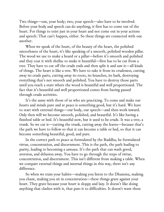Two things—one, your body; two, your speech—also have to be involved. Before your body and speech can do anything, it first has to come out of the heart. For things to exist just in your heart and not come out in your actions and speech: That can't happen, either. So these things are connected with one another.

When we speak of the heart, of the beauty of the heart, the polished smoothness of the heart, it's like speaking of a smooth, polished wooden pillar. The wood we use to make a board or a pillar—before it's smooth and polished and they coat it with shellac to make it beautiful—first has to be cut from a tree. They have to cut off the crude ends and then split it and saw it—all kinds of things. The heart is like a tree. We have to take it from its crudeness, cutting away its crude parts, cutting away its roots, its branches, its bark, destroying everything that's not smooth and polished. You have to destroy those parts until you reach a state where the wood is beautiful and well proportioned. The fact that it's beautiful and well proportioned comes from having passed through crude activities.

It's the same with those of us who are practicing. To come and make our hearts and minds pure and at peace is something good, but it's hard. We have to start with external things—our body, our speech—and then work inward. Only then will we become smooth, polished, and beautiful. It's like having a finished table or bed. It's beautiful now, but it used to be crude. It was a tree, a trunk. So we cut it—cutting the trunk, cutting away the leaves—because that's the path we have to follow so that it can become a table or bed, so that it can become something beautiful, good, and pure.

In the correct path to peace as formulated by the Buddha, he formulated virtue, concentration, and discernment. This is the path, the path leading to purity, leading to becoming a *samaṇa*. It's the path that can wash greed, aversion, and delusion away. You have to go through the steps of virtue, concentration, and discernment. This isn't different from making a table. When we compare external things and internal things in this way, there isn't any difference.

So when we train your habits—making you listen to the Dhamma, making you chant, making you sit in concentration—these things grate against your heart. They grate because your heart is sloppy and lazy. It doesn't like doing anything that clashes with it, that puts it to difficulties. It doesn't want these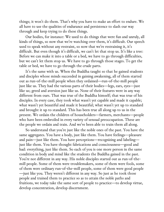things; it won't do them. That's why you have to make an effort to endure. We all have to use the qualities of endurance and persistence to slash our way through and keep trying to do these things.

Our bodies, for instance: We used to do things that were fun and unruly, all kinds of things, so now that we're watching over them, it's difficult. Our speech used to speak without any restraint, so now that we're restraining it, it's difficult. But even though it's difficult, we can't let that stop us. It's like a tree: Before we can make it into a table or a bed, we have to go through difficulties, but we can't let them stop us. We have to go through those stages. To get the table or bed, we have to go through the crude parts.

It's the same with us. When the Buddha taught so that he gained students and disciples whose minds succeeded in gaining awakening, all of them started out as run-of-the-mill people when they ordained—run-of-the-mill people just like us. They had the various parts of their bodies—legs, ears, eyes—just like us; greed and aversion just like us. None of their features were in any way different from ours. That was true of the Buddha himself; that was true of his disciples. In every case, they took what wasn't yet capable and made it capable; what wasn't yet beautiful and made it beautiful; what wasn't yet up to standard and brought it up to standard. This has been true all along up to us in the present. We ordain the children of householders—farmers, merchants—people who have been embroiled in every variety of sensual preoccupation. These are the people we ordain and train. And we've been able to train them all along.

So understand that you're just like the noble ones of the past. You have the same aggregates. You have a body, just like them. You have feelings—pleasure and pain—just like them. You have perceptions—recognizing and labeling just like them. You have thought fabrications and consciousness—good and bad: everything, just like them. So each of you is one more person in the same condition in body and mind like the students the Buddha gained in the past. You're not different in any way. His noble disciples started out as run-of-themill people. Some of them were troublemakers, some of them were fools, some of them were ordinary run-of-the-mill people, some of them were good people —just like you. They weren't different in any way. So just as he took those people and trained them to practice so as to attain the noble paths and fruitions, we today take the same sort of people to practice—to develop virtue, develop concentration, develop discernment.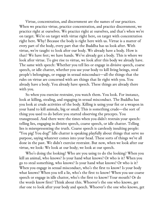Virtue, concentration, and discernment are the names of our practices. When we practice virtue, practice concentration, and practice discernment, we practice right at ourselves. We practice right at ourselves, and that's when we're on target. We're on target with virtue right here, on target with concentration right here. Why? Because the body is right here with us. Virtue is a matter of every part of the body, every part that the Buddha has us look after. With virtue, we're taught to look after our body. We already have a body. How is that? We have feet; we have hands. We've already got a body. This is where we look after virtue. To give rise to virtue, we look after this body we already have. The same with speech: Whether you tell lies or engage in divisive speech, coarse speech, or idle chatter, whether you use your body to kill living beings, steal people's belongings, or engage in sexual misconduct—all the things that the rules on virtue are concerned with are things that lie right with you. You already have a body. You already have speech. These things are already there with you.

So when you exercise restraint, you watch them. You look. For instance, look at killing, stealing, and engaging in sexual misconduct. The Buddha has you look at crude activities of the body. Killing is using your fist or a weapon in your hand to kill animals, big or small. This is something crude—the sort of thing you used to do before you started observing the precepts. You transgressed. And there were the times when you didn't restrain your speech: telling lies, engaging in divisive speech, coarse speech, or idle chatter. Telling lies is misrepresenting the truth. Coarse speech is carelessly insulting people: "You pig! You dog!" Idle chatter is speaking playfully about things that serve no purpose, saying whatever comes into your head. These sorts of things we've all done in the past. We didn't exercise restraint. But now, when we look after our virtue, we look: We look at our body; we look at our speech.

Who's doing the looking? Who are you using to do the looking? When you kill an animal, who knows? Is your hand what knows? Or who is it? When you go to steal something, who knows? Is your hand what knows? Or who is it? When you engage in sexual misconduct, who's the first to know? Is your body what knows? When you tell a lie, who's the first to know? When you use coarse speech or engage in idle chatter, who's the first to know? Your mouth? Or do the words know first? Think about this. Whoever's the one who knows, get *that* one to look after your body and speech. Whoever's the one who knows, get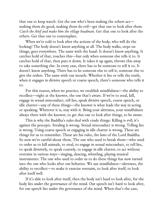that one to keep watch. Get the one who's been making the others act making them do good, making them do evil—get that one to look after them. *Catch the thief and make him the village headman*. Get that one to look after the others. Get that one to contemplate.

When we're told to look after the actions of the body, who will do the looking? The body doesn't know anything at all. The body walks, steps on things, goes everywhere. The same with the hand: It doesn't know anything. It catches hold of that, touches this—but only when someone else tells it to. It catches hold of that, then puts it down. It takes it up again, throws this away to take something else. In every case, there has to be someone to tell it to. It doesn't know anything. There has to be someone else to tell it, someone else to give the orders. The same with our mouth: Whether it lies or tells the truth, when it engages in divisive speech or coarse speech, there's someone who tells it to.

For this reason, when we practice, we establish mindfulness—the ability to recollect—right at the knower, the one that's aware. If we're to steal, kill, engage in sexual misconduct, tell lies, speak divisive speech, coarse speech, or idle chatter—any of these things—the knower is what leads the way in acting or speaking. Wherever it is, stay with it. Bring your alertness, your mindfulness always there with the knower, to get *that* one to look after things, to be aware.

This is why the Buddha's rules deal with crude things: Killing is evil; it's against the precepts. Stealing is wrong. Sexual misconduct is wrong. Telling lies is wrong. Using coarse speech or engaging in idle chatter is wrong. These are things for us to remember. These are his rules, the laws of the Lord Buddha. So now we're careful about them. The one who used to break them—who used to order us to kill animals, to steal, to engage in sexual misconduct, to tell lies, to speak divisively, to speak coarsely, to engage in idle chatter, to act without restraint in various ways—singing, dancing, whistling, playing musical instruments: The one who used to order us to do these things has now turned into the one who looks after our behavior. We use mindfulness—alertness, the ability to recollect—to make it exercise restraint, to look after itself, to look after itself well.

If it's able to look after itself, then the body isn't hard to look after, for the body lies under the governance of the mind. Our speech isn't hard to look after, for our speech lies under the governance of the mind. When that's the case,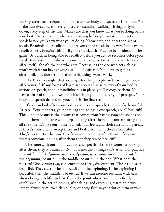looking after the precepts—looking after our body and speech—isn't hard. We make ourselves aware in every posture—standing, walking, sitting, or lying down, every step of the way. Make sure that you know what you're doing before you do it, that you know what you're saying before you say it. Don't act or speak before you know what you're doing. Know first, and only then act or speak. Be mindful—recollect—before you act or speak in any way. You have to recollect first. Practice this until you're quick at it. Practice being ahead of the game. Be quick at being able to recollect before you act, to recollect before you speak. Establish mindfulness in your heart like this. Get the knower to look after itself—for it's the one who acts. Because it's the one who acts, things won't work if you have anyone else looking after it. You have to get it to look after itself. If it doesn't look after itself, things won't work.

The Buddha taught that looking after the precepts isn't hard if you look after yourself. If any forms of harm are about to arise by way of your bodily actions or speech, then if mindfulness is in place, you'll recognize them. You'll have a sense of right and wrong. This is how you look after your precepts. Your body and speech depend on you. This is the first step.

If you can look after your bodily actions and speech, then they're beautiful. At ease. Your manners, your comings and goings, your speech, are all beautiful. This kind of beauty is the beauty that comes from having someone shape and mould them—someone who keeps looking after them and contemplating them all the time. It's like our home, our sala, our huts, and their surrounding areas. If there's someone to sweep them and look after them, they're beautiful. They're not dirty—because there's someone to look after them. It's because there's someone looking after them that they can be beautiful.

The same with our bodily actions and speech: If there's someone looking after them, they're beautiful. Evil, obscene, dirty things can't arise. Our practice is beautiful. *fidi-kalyāṇaṁ, maj he-kalyāṇaṁ, pariyosāna-kalyāṇaṁ:* Beautiful in the beginning, beautiful in the middle, beautiful in the end. What does this refer to? One, virtue; two, concentration; three, discernment. These things are beautiful. They start by being beautiful in the beginning. If the beginning is beautiful, then the middle is beautiful. If we can exercise restraint with ease, always being watchful and careful to the point where our mind is firmly established in the act of looking after things and exercising restraint, always intent, always firm, then this quality of being firm in your duties, firm in your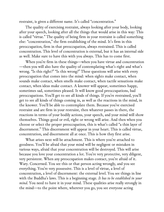restraint, is given a different name. It's called "concentration."

The quality of exercising restraint, always looking after your body, looking after your speech, looking after all the things that would arise in this way: This is called "virtue." The quality of being firm in your restraint is called something else: "concentration," the firm establishing of the mind. It's firm in this preoccupation, firm in that preoccupation, always restrained. This is called concentration. This level of concentration is external, but it has an internal side as well. Make sure to have this with you always. This has to come first.

When you're firm in these things—when you have virtue and concentration —then you will also have the quality of contemplating what's right and what's wrong. "Is this right?" "Is this wrong?" These questions will arise with every preoccupation that comes into the mind: when sights make contact, when sounds make contact, when smells make contact, when tactile sensations make contact, when ideas make contact. A knower will appear, sometimes happy, sometimes sad, sometimes pleased. It will know good preoccupations, bad preoccupations. You'll get to see all kinds of things. If you're restrained, you'll get to see all kinds of things coming in, as well as the reactions in the mind, in the knower. You'll be able to contemplate them. Because you've exercised restraint and are firm in your restraint, then whatever passes in there, the reactions in terms of your bodily actions, your speech, and your mind will show themselves. Things good or evil, right or wrong will arise. And then when you choose or select the proper preoccupation, this is what's called "a thin layer of discernment." This discernment will appear in your heart. This is called virtue, concentration, and discernment all at once. This is how they first arise.

What arises next will be attachment. This is where you're attached to goodness. You'll be afraid that your mind will be negligent or mistaken in various ways, afraid that your concentration will be destroyed. This will arise because you love your concentration a lot. You're very protective, very diligent, very persistent. When any preoccupation makes contact, you're afraid of it. Wary. Concerned. You see this or that person acting wrongly, and you see everything. You're very possessive. This is a level of virtue, a level of concentration, a level of discernment: the external level. You see things in line with the Buddha's laws. This is a beginning stage. *It has to be established in your mind*. You need to have it in your mind. These qualities arise really strongly in the mind—to the point where, wherever you go, you see everyone acting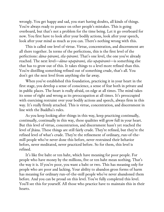wrongly. You get happy and sad, you start having doubts, all kinds of things. You're always ready to pounce on other people's mistakes. This is going overboard, but that's not a problem for the time being. Let it go overboard for now. You first have to look after your bodily actions, look after your speech, look after your mind as much as you can. There's nothing wrong with this.

This is called one level of virtue. Virtue, concentration, and discernment are all there together. In terms of the perfections, this is the first level of the perfections: *dāna-pāramī, sīla-pāramī.* That's one level, the one you've already reached. The next level—*dāna-upapāramī, sīla-upapāramī*—is something else that has to grow out of this. It takes things to a level more refined than this. You're distilling something refined out of something crude, that's all. You don't get the next level from anything else far away.

When you've established this foundation, practicing it in your heart in the first stage, you develop a sense of conscience, a sense of fear both in private and in public places. The heart is really afraid, on edge at all times. The mind takes its sense of right and wrong as its preoccupation at all times. It's preoccupied with exercising restraint over your bodily actions and speech, always firm in this way. It's really firmly attached. This is virtue, concentration, and discernment in line with the Buddha's rules.

As you keep looking after things in this way, keep practicing continually, continually, continually in this way, these qualities will grow full in your heart. But this level of virtue, concentration, and discernment hasn't yet reached the level of jhāna. These things are still fairly crude. They're refined, but they're the refined level of what's crude. They're the refinement of ordinary, run-of-themill people who've never done this before, never restrained their behavior before, never meditated, never practiced before. So for them, this level is refined.

It's like five baht or ten baht, which have meaning for poor people. For people who have money by the millions, five or ten baht mean nothing. That's the way it is. If you're poor, you want a baht or two. This has meaning only for people who are poor and lacking. Your ability to abandon gross forms of harm has meaning for ordinary run-of-the-mill people who've never abandoned them before. And you can be proud on this level. You've fully completed this level. You'll see this for yourself. All those who practice have to maintain this in their hearts.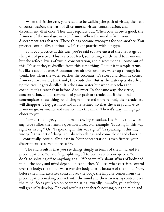When this is the case, you're said to be walking the path of virtue, the path of concentration, the path of discernment: virtue, concentration, and discernment all at once. They can't separate out. When your virtue is good, the firmness of the mind grows even firmer. When the mind is firm, your discernment gets sharper. These things become synonyms for one another. You practice continually, continually. It's right practice without gaps.

So if you practice in this way, you're said to have entered the first stage of the path of practice. This is a crude level, something a little hard to maintain, but the refined levels of virtue, concentration, and discernment all come out of this. It's as if they're distilled from this same thing. To put it in simple terms, it's like a coconut tree. A coconut tree absorbs ordinary water up through its trunk, but when the water reaches the coconuts, it's sweet and clean. It comes from ordinary water, the trunk, the crude dirt. But as the water gets absorbed up the tree, it gets distilled. It's the same water but when it reaches the coconuts it's cleaner than before. And sweet. In the same way, the virtue, concentration, and discernment of your path are crude, but if the mind contemplates these things until they're more and more refined, their crudeness will disappear. They get more and more refined, so that the area you have to maintain grows smaller and smaller, into the mind. Then it's easy. Things get closer to you.

Now at this stage, you don't make any big mistakes. It's simply that when any issue strikes the heart, a question arises. For example, "Is acting in this way right or wrong?" Or: "Is speaking in this way right?" "Is speaking in this way wrong?": this sort of thing. You abandon things and come closer and closer in —continually, continually closer in. Your concentration is even firmer; your discernment sees even more easily.

The end result is that you see things simply in terms of the mind and its preoccupations. You don't go splitting off to bodily actions or speech. You don't go splitting off to anything at all. When we talk about affairs of body and mind, the body and mind depend on each other. You see what exercises control over the body: the mind. Whatever the body does is because of the mind. Now, before the mind exercises control over the body, the impulse comes from the preoccupations making contact with the mind and then exercising control over the mind. So as you keep on contemplating inwardly, inwardly, your subtlety will gradually develop. The end result is that there's nothing but the mind and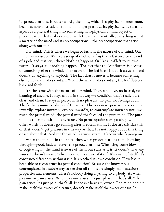its preoccupations. In other words, the body, which is a physical phenomenon, becomes non-physical. The mind no longer grasps at its physicality. It turns its aspect as a physical thing into something non-physical: a mind object or preoccupation that makes contact with the mind. Eventually, everything is just a matter of the mind and its preoccupations—the preoccupations that arise along with our mind.

Our mind. This is where we begin to fathom the nature of our mind. Our mind has no issues. It's like a scrap of cloth or a flag that's fastened to the end of a pole and just stays there: Nothing happens. Or like a leaf left to its own nature: It stays still; nothing happens. The fact that the leaf flutters is because of something else: the wind. The nature of the leaf itself is that it stays still and doesn't do anything to anybody. The fact that it moves is because something else comes and makes contact. When the wind makes contact, the leaf flutters back and forth.

It's the same with the nature of our mind. There's no love, no hatred, no blaming of anyone. It stays as it is in that way—a condition that's really pure, clear, and clean. It stays in peace, with no pleasure, no pain, no feelings at all. That's the genuine condition of the mind. The reason we practice is to explore inwardly, explore inwardly, explore inwardly, to contemplate inwardly until we reach the primal mind: the primal mind that's called the pure mind. The pure mind is the mind without any issues. No preoccupations are passing by. In other words, it doesn't go running after preoccupations. It doesn't criticize this or that, doesn't get pleasure in this way or that. It's not happy about this thing or sad about that. And yet the mind is always aware. It knows what's going on.

When the mind is in this state, then when preoccupations come blowing through—good, bad, whatever the preoccupations: When they come blowing or cogitating in, the mind is aware of them but stays as it is. It doesn't have any issues. It doesn't waver. Why? Because it's aware of itself. It's aware of itself. It's constructed freedom within itself. It's reached its own condition. How has it been able to reconstruct its primal condition? Because the knower has contemplated in a subtle way to see that all things are simply manifestations of properties and elements. There's nobody doing anything to anybody. As when pleasure or pain arises: When pleasure arises, it's just pleasure, that's all. When pain arises, it's just pain, that's all. It doesn't have any owner. The mind doesn't make itself the owner of pleasure, doesn't make itself the owner of pain. It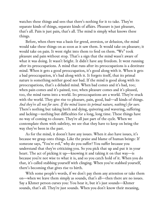watches these things and sees that there's nothing for it to take. They're separate kinds of things, separate kinds of affairs. Pleasure is just pleasure, that's all. Pain is just pain, that's all. The mind is simply what knows these things.

Before, when there was a basis for greed, aversion, or delusion, the mind would take these things on as soon as it saw them. It would take on pleasure; it would take on pain. It went right into them to feed on them. "We" took pleasure and pain without stop. That's a sign that the mind wasn't aware of what it was doing. It wasn't bright. It didn't have any freedom. It went running after its preoccupations. A mind that runs after its preoccupations is a destitute mind. When it gets a good preoccupation, it's good along with it. When it gets a bad preoccupation, it's bad along with it. It forgets itself, that its primal nature is something neither good nor bad. If the mind is good along with its preoccupations, that's a deluded mind. When bad comes and it's bad, too; when pain comes and it's pained, too; when pleasure comes and it's pleased, too, the mind turns into a world. Its preoccupations are a world. They're stuck with the world. They give rise to pleasure, pain, good, bad—all kinds of things. *And they're all not for sure. If the mind leaves its primal nature, nothing's for sure.* There's nothing but taking birth and dying, quivering and wavering, suffering and lacking—nothing but difficulties for a long, long time. These things have no way of coming to closure. They're all just part of the cycle. When we contemplate them with subtlety, we see that they have to keep on being the way they've been in the past.

As for the mind, it doesn't have any issues. When it *does* have issues, it's because we grasp onto things. Like the praise and blame of human beings: If someone says, "You're evil," why do you suffer? You suffer because you understand that they're criticizing you. So you pick that up and put it in your heart. The act of picking it up—knowing it and taking it on that way—is because you're not wise to what it is, and so you catch hold of it. When you do that, it's called stabbing yourself with clinging. When you've stabbed yourself, there's becoming that gives rise to birth.

With some people's words, if we don't pay them any attention or take them on—when we leave them simply as sounds, that's all—then there are no issues. Say a Khmer person curses you: You hear it, but it's just sounds—Khmer sounds, that's all. They're just sounds. When you don't know their meaning,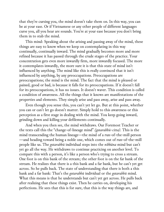that they're cursing you, the mind doesn't take them on. In this way, you can be at your ease. Or if Vietnamese or any other people of different languages curse you, all you hear are sounds. You're at your ease because you don't bring them in to stab the mind.

This mind: Speaking about the arising and passing away of the mind, these things are easy to know when we keep on contemplating in this way continually, continually inward. The mind gradually becomes more and more refined because it has passed through the crude stages of the practice. Your concentration gets even more inwardly firm, more inwardly focused. The more it contemplates inwardly, the more sure it is that this state of mind isn't influenced by anything. The mind like this is really convinced that it isn't influenced by anything, by any preoccupations. Preoccupations are preoccupations; the mind is the mind. The fact that the mind is pleased or pained, good or bad, is because it falls for its preoccupations. If it doesn't fall for its preoccupations, it has no issues. It doesn't waver. This condition is called a condition of awareness. All the things that it knows are manifestations of the properties and elements. They simply arise and pass away, arise and pass away.

Even though you sense this, you can't yet let go. But at this point, whether you can or can't let go doesn't matter. Simply hold to this awareness or this perception as a first stage in dealing with the mind. You keep going inward, grinding down and killing your defilements continually.

And when you then see, the mind withdraws. Our Foremost Teacher or the texts call this the "change-of-lineage mind" *(gotarabhū-citta).* This is the mind transcending the human lineage—the mind of a run-of-the-mill person —and heading toward being a noble one, which comes out of run-of-the-mill people like us. The *gotarabhū* individual steps into the *nibbāna* mind but can't yet go all the way. He withdraws to continue practicing on another level. To compare this with a person, it's like a person who's trying to cross a stream. One foot is on this bank of the stream; the other foot is on the far bank of the stream. He realizes that there is a this bank and a far bank, but he can't yet get across. So he pulls back. The state of understanding that there is both a this bank and a far bank: That's the *gotarabhū* individual or the *gotarabhū* mind. What this means is that he understands but can't yet get across. He pulls back after realizing that these things exist. Then he carries on, developing his perfections. He sees that this is for sure, that this is the way things are, and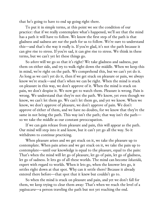that he's going to have to end up going right there.

To put it in simple terms, at this point we see the condition of our practice: that if we really contemplate what's happened, we'll see that the mind has a path it will have to follow. We know the first step of the path is that gladness and sadness are *not* the path for us to follow. We're sure to understand this—and that's the way it really is. If you're glad, it's not the path because it can give rise to stress. If you're sad, it can give rise to stress. We think in these terms, but we can't yet let these things go.

So *where* will we go so that it's right? We take gladness and sadness, put them on either side, and try to walk right down the middle. When we keep this in mind, we're right on the path. We comprehend this, but we can't yet do it. As long as we can't yet do it, then if we get stuck on pleasure or pain, we always know we're stuck—and that's when we can be right. When the mind is stuck on pleasure in this way, we don't approve of it. When the mind is stuck on pain, we don't despise it. We now get to watch them. Pleasure is wrong. Pain is wrong. We understand that they're not the path. We know, yet even though we know, we can't let them go. We can't let them go, and yet we know. When we know, we don't approve of pleasure, we don't approve of pain. We don't approve of either of them, and we have no doubts, for we know that they're the same in not being the path. This way isn't the path; that way isn't the path so we take the middle as our constant preoccupation.

If we can gain release from pleasure and pain, this will appear as the path. Our mind will step into it and know, but it can't yet go all the way. So it withdraws to continue practicing.

When pleasure arises and we get stuck on it, we take the pleasure up to contemplate. When pain arises and we get stuck on it, we take the pain up to contemplate—until our knowledge is equal to the pleasure, equal to the pain: That's when the mind will let go of pleasure, let go of pain, let go of gladness, let go of sadness. It lets go of all these worlds. The mind can become *lokavidū,* expert with regard to worlds. When it lets go, when the knower lets go, it settles right down at that spot. Why can it settle there? Because it already entered there before—that spot that it knew but couldn't go to.

So when the mind is stuck on pleasure and pain, and yet we don't fall for them, we keep trying to clear them away: That's when we reach the level of a *yogāvacara*—a person traveling the path but not yet reaching the end.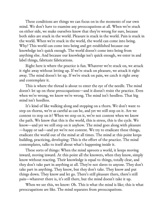These conditions are things we can focus on in the moments of our own mind. We don't have to examine any preoccupations at all. When we're stuck on either side, we make ourselves know that they're wrong for sure, because both sides are stuck in the world. Pleasure is stuck in the world. Pain is stuck in the world. When we're stuck in the world, the world can come into being. Why? This world can come into being and get established because our knowledge isn't quick enough. The world doesn't come into being from anything else. And because our knowledge isn't quick enough, we enter in and label things, fabricate fabrications.

Right here is where the practice is fun. Whatever we're stuck on, we attack it right away without letting up. If we're stuck on pleasure, we attack it right away. The mind doesn't let up. If we're stuck on pain, we catch it right away and contemplate it.

This is where the thread is about to enter the eye of the needle. The mind doesn't let up on these preoccupations—and it doesn't resist the practice. Even when we're wrong, we know we're wrong. The mind isn't heedless. That big mind isn't heedless.

It's kind of like walking along and stepping on a thorn. We don't want to step on thorns, we're as careful as can be, and yet we still step on it. Are we content to step on it? When we step on it, we're not content when we know the path. We know that this is the world, this is stress, this is the cycle. We know—and yet we still step on it anyhow. The mind goes along with pleasure —happy or sad—and yet we're not content. We try to eradicate these things, eradicate the world out of the mind at all times. The mind at this point keeps building, practicing, developing: This is the effort of the practice. The mind contemplates, talks to itself about what's happening inside it.

These sorts of things: When the mind uproots a world, it keeps moving inward, moving inward. At this point all the knowers, when they know, simply know without reacting. Their knowledge is equal to things, totally clear, and they don't take part in anything at all. They're not slaves to anyone. They don't take part in anything. They know, but they don't take. They know and put things down. They know and let go. There's still pleasure there, there's still pain—whatever there is, it's still there, but the mind doesn't take it up.

When we see this, we know: Oh. This is what the mind is like; this is what preoccupations are like. The mind separates from preoccupations.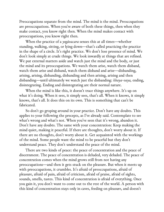Preoccupations separate from the mind. The mind is the mind. Preoccupations are preoccupations. When you're aware of both these things, then when they make contact, you know right then. When the mind makes contact with preoccupations, you know right then.

When the practice of a *yogāvacara* senses this at all times—whether standing, walking, sitting, or lying down—that's called practicing the practice in the shape of a circle. It's right practice. We don't lose presence of mind. We don't look simply at crude things. We look inwardly at things that are refined. We put external matters aside and watch just the mind and the body, or just the mind and its preoccupations. We watch them arise, watch them disband, watch them arise and disband, watch them disband and arise—disbanding, arising, arising, disbanding, disbanding and then arising, arising and then disbanding—until ultimately we watch just the disbanding: *khaya-vaya,* ending, disintegrating. Ending and disintegrating are their normal nature.

When the mind is like this, it doesn't trace things anywhere. It's up on what it's doing. When it sees, it simply sees, that's all. When it knows, it simply knows, that's all. It does this on its own. This is something that can't be fabricated.

So don't go groping around in your practice. Don't have any doubts. This applies to your following the precepts, as I've already said. Contemplate to see what's wrong and what's not. When you've seen that it's wrong, abandon it. Don't have any doubts. The same with your concentration: Keep making the mind quiet, making it peaceful. If there are thoughts, don't worry about it. If there are no thoughts, don't worry about it. Get acquainted with the workings of the mind. Some people want the mind to be peaceful but they don't understand peace. They don't understand the peace of the mind.

There are two kinds of peace: the peace of concentration and the peace of discernment. The peace of concentration is deluded, very deluded. The peace of concentration comes when the mind grows still from not having any preoccupations—and then it gets stuck on the pleasure. But when it meets up with preoccupations, it crumbles. It's afraid of preoccupations, afraid of pleasure, afraid of pain, afraid of criticism, afraid of praise, afraid of sights, sounds, smells, tastes. This kind of concentration is afraid of everything. Once you gain it, you don't want to come out to the rest of the world. A person with this kind of concentration stays only in caves, feeding on pleasure, and doesn't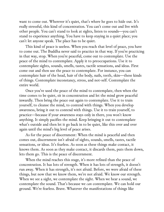want to come out. Wherever it's quiet, that's where he goes to hide out. It's really stressful, this kind of concentration. You can't come out and live with other people. You can't stand to look at sights, listen to sounds—you can't stand to experience anything. You have to keep staying in a quiet place; you can't let anyone speak. The place has to be quiet.

This kind of peace is useless. When you reach that level of peace, you have to come out. The Buddha never said to practice in that way. If you're practicing in that way, stop. When you're peaceful, come out to contemplate. Use the peace of the mind to contemplate. Apply it to preoccupations. Use it to contemplate sights, sounds, smells, tastes, tactile sensations, and ideas. First come out and then use the peace to contemplate. For instance, you can contemplate hair of the head, hair of the body, nails, teeth, skin—these kinds of things. Contemplate inconstancy, stress, and not-self. Contemplate the entire world.

Once you've used the peace of the mind to contemplate, then when the time comes to be quiet, sit in concentration and let the mind grow peaceful inwardly. Then bring the peace out again to contemplate. Use it to train yourself, to cleanse the mind, to contend with things. When you develop awareness, bring it out to contend with things. Use it to train yourself, to practice—because if your awareness stays only in there, you won't know anything. It simply pacifies the mind. Keep bringing it out to contemplate what's outside and then let it go back in to be quiet, like this over and over again until the mind's big level of peace arises.

As for the peace of discernment: When the mind is peaceful and then comes out, discernment isn't afraid of sights, sounds, smells, tastes, tactile sensations, or ideas. It's fearless. As soon as these things make contact, it knows them. As soon as they make contact, it discards them, puts them down, lets them go. This is the peace of discernment.

When the mind reaches this stage, it's more refined than the peace of concentration. It has lots of strength. When it has lots of strength, it doesn't run away. When it has strength, it's not afraid. Before, we were afraid of these things, but now that we know them, we're not afraid. We know our strength. When we see a sight, we contemplate the sight. When we hear a sound, we contemplate the sound. That's because we *can* contemplate. We can hold our ground. We're fearless. Brave. Whatever the manifestations of things like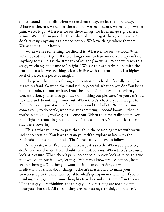sights, sounds, or smells, when we see them today, we let them go today. Whatever they are, we can let them all go. We see pleasure, we let it go. We see pain, we let it go. Wherever we see these things, we let them go right there. Mmm. We let them go right there, discard them right there, continually. We don't take up anything as a preoccupation. We leave things where they are. We've come to our home.

When we see something, we discard it. Whatever we see, we look. When we've looked, we let go. All these things come to have no value. They can't do anything to us. This is the strength of insight *(vipassanā).* When we reach this stage, we change the name to "insight." We see things clearly in line with the truth. That's it: We see things clearly in line with the truth. This is a higher level of peace: the peace of insight.

The peace that comes through concentration is hard. It's really hard, for it's really afraid. So when the mind is fully peaceful, what do you do? You bring it out to train, to contemplate. Don't be afraid. Don't stay stuck. When you do concentration, you tend to get stuck on nothing but pleasure. Yet you can't just sit there and do nothing. Come out. When there's a battle, you're taught to fight. You can't just stay in a foxhole and avoid the bullets. When the time comes really to do battle, when the guns are firing—boom! boom!—then if you're in a foxhole, you've got to come out. When the time really comes, you can't fight by crouching in a foxhole. It's the same here. You can't let the mind stay there cowering.

This is what you have to pass through in the beginning stages with virtue and concentration. You have to train yourself to explore in line with the established maps and methods. That's the path you have to follow.

At any rate, what I've told you here is just a sketch. When you practice, don't have any doubts. Don't doubt these instructions. When there's pleasure, look at pleasure. When there's pain, look at pain. As you look at it, try to grind it down, kill it, put it down, let it go. When you know preoccupations, keep letting them go. Whether you want to sit in concentration, do walking meditation, or think about things, it doesn't matter. Try to make your awareness up to the moment, equal to what's going on in the mind. If you're thinking a lot, gather all your thoughts together and cut them off in this way: "The things you're thinking, the things you're describing are nothing but thoughts, that's all. All these things are inconstant, stressful, and not-self.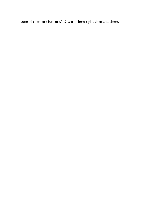None of them are for sure." Discard them right then and there.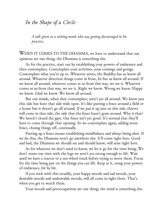## *In the Shape of a Circle*

*A talk given to a visiting monk who was getting discouraged in his practice.*

WHEN IT COMES TO THE DHAMMA, we have to understand that our opinions are one thing; the Dhamma is something else.

As for the practice, start out by establishing your powers of endurance and then contemplate. Contemplate your activities, your comings and goings. Contemplate what you're up to. Whatever arises, the Buddha has us know all around. Whatever direction things come in from, he has us know all around. If we know all around, whatever comes at us from this way, we see it. Whatever comes at us from that way, we see it. Right we know. Wrong we know. Happy we know. Glad we know. We know all around.

But our minds, when they contemplate, aren't yet all around. We know just this side but leave that side wide open. It's like putting a fence around a field or a house but it doesn't go all around. If we put it up just on this side, thieves will come in that side, the side that the fence hasn't gone around. Why is that? We haven't closed the gate. Our fence isn't yet good. It's normal that they'll have to come through that opening. So we contemplate again, adding more fence, closing things off, continually.

Putting up a fence means establishing mindfulness and always being alert. If we do this, the Dhamma won't go anywhere else. It'll come right here. Good and bad, the Dhamma we should see and should know, will arise right here.

As for whatever we don't need to know, we let it go for the time being. We don't waste our time with the logs we aren't yet strong enough to lift. Wait until we have a tractor or a ten-wheel truck before trying to move them. Focus for the time being just on the things you can lift. Keep at it, using your powers of endurance, bit by bit.

If you stick with this steadily, your happy moods and sad moods, your desirable moods and undesirable moods, will all come in right there. That's when you get to watch them.

Your moods and preoccupations are one thing; the mind is something else.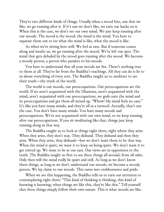They're two different kinds of things. Usually when a mood hits, one that we like, we go running after it. If it's one we don't like, we turn our backs on it. When this is the case, we don't see our own mind. We just keep running after our moods. The mood is the mood; the mind is the mind. You have to separate them out to see what the mind is like, what the mood is like.

As when we're sitting here still: We feel at ease. But if someone comes along and insults us, we go running after the mood. We've left our spot. The mind that gets deluded by the mood goes running after the mood. We become a moody person, a person who panders to his moods.

You have to understand that all your moods are lies. There's nothing true to them at all. They're far from the Buddha's teachings. All they can do is lie to us about everything of every sort. The Buddha taught us to meditate to see their truth—the truth of the world.

The world is our moods, our preoccupations. Our preoccupations are the world. If we aren't acquainted with the Dhamma, aren't acquainted with the mind, aren't acquainted with our preoccupations, we grab onto the mind and its preoccupations and get them all mixed up. "Whew! My mind feels no ease." It's like you have many minds, and they're all in a turmoil. Actually, that's not the case. You don't have many minds. You have many moods and preoccupations. We're not acquainted with our own mind, so we keep running after our preoccupations. If you sit meditating like that, things just keep running along in that way.

The Buddha taught us to look at things right there, right where they arise. When they arise, they don't stay. They disband. They disband and then they arise. When they arise, they disband—but we don't want them to be that way. When the mind is quiet, we want it to keep on being quiet. We don't want it to get stirred up. We want to be at our ease. Our views are in opposition to the truth. The Buddha taught us first to see these things all around, from all sides. Only then will the mind really be quiet and still. As long as we don't know these things, as long as we don't understand our moods, we become a moody person. We lay claim to our moods. This turns into stubbornness and pride.

When we see this happening, the Buddha tells us to turn our attention to contemplating right there: "This kind of thinking is thinking; this kind of knowing is knowing; when things are like this, they're like this." Tell yourself that these things simply follow their own nature. This is what moods are like.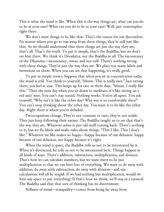This is what the mind is like. When this is the way things are, what can you do to be at your ease? What can you do to be at your ease? Well, just contemplate right there.

We don't want things to be like that: That's the reason for our discomfort. No matter where you go to run away from these things, they're still just like that. So we should understand that these things are just the way they are, that's all. That's the truth. To put it simply, that's the Buddha, but we don't see him there. We think it's Devadatta, not the Buddha at all. The inconstancy of the Dhamma—inconstancy, stress, and not-self: There's nothing wrong with these things. They're just the way they are. We place too many labels and intentions on them. When you can see that happening, it's really good.

To put in simple terms: Suppose that when you sit in concentration today the mind is still. You think to yourself, "Mmm. This is really nice." Just sitting there, you feel at ease. This keeps up for two or three days. "Mmm. I really like this." Then the next day when you sit down to meditate, it's like sitting on a red ants' nest. You can't stay seated. Nothing works. You're all upset. You ask yourself, "Why isn't it like the other day? Why was it so comfortable then?" You can't stop thinking about the other day. You want it to be like the other day. Right there is where you're deluded.

Preoccupations change. They're not constant or sure; they're not stable. They just keep following their nature. The Buddha taught us to see that that's the way they are. Whatever arises is just old stuff coming back. There's nothing to it, but we fix labels and make rules about things: "This I like. This I don't like." Whatever we like makes us happy—happy because of our delusion: happy because of our delusion, not happy because it's right.

When the mind is quiet, the Buddha tells us not to be intoxicated by it. When it's distracted, he tells us not to be intoxicated by it. Things happen in all kinds of ways. There's addition, subtraction, multiplication, and division. That's how we can calculate numbers, but we want there to be just multiplication so that we can have lots of everything. We want to do away with addition, do away with subtraction, do away with division—and our calculations will all be stupid. If we had nothing but multiplication, would we have any space to put everything? If that's how we think, we'll stay in a turmoil. The Buddha said that that sort of thinking has no discernment.

Stillness of mind—tranquility—comes from being far away from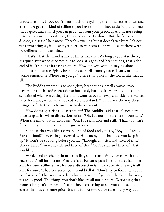preoccupations. If you don't hear much of anything, the mind settles down and is still. To get this kind of stillness, you have to go off into seclusion, to a place that's quiet and still. If you can get away from your preoccupations, not seeing this, not knowing about that, the mind can settle down. But that's like a disease, a disease like cancer. There's a swelling but it doesn't yet hurt. It's not yet tormenting us, it doesn't yet hurt, so we seem to be well—as if there were no defilements in the mind.

That's what the mind is like at times like that. As long as you stay there, it's quiet. But when it comes out to look at sights and hear sounds, that's the end of it. It's not at its ease anymore. How can you keep on staying alone like that so as not to see sights, hear sounds, smell aromas, taste flavors, or touch tactile sensations? Where can you go? There's no place in the world like that at all.

The Buddha wanted us to see sights, hear sounds, smell aromas, taste flavors, or touch tactile sensations: hot, cold, hard, soft. He wanted us to be acquainted with everything. He didn't want us to run away and hide. He wanted us to look and, when we've looked, to understand: "Oh. That's the way these things are." He told us to give rise to discernment.

How do we give rise to discernment? The Buddha said that it's not hard if we keep at it. When distractions arise: "Oh. It's not for sure. It's inconstant." When the mind is still, don't say, "Oh. It's really nice and still." That, too, isn't for sure. If you don't believe me, give it a try.

Suppose that you like a certain kind of food and you say, "Boy, do I really like this food!" Try eating it every day. How many months could you keep it up? It won't be too long before you say, "Enough. I'm sick and tired of this." Understand? "I'm really sick and tired of this." You're sick and tired of what you liked.

We depend on change in order to live, so just acquaint yourself with the fact that it's all inconstant. Pleasure isn't for sure; pain isn't for sure; happiness isn't for sure; stillness isn't for sure, distraction isn't for sure. Whatever, it all isn't for sure. Whatever arises, you should tell it: "Don't try to fool me. You're not for sure." That way everything loses its value. If you can think in that way, it's really good. The things you don't like are all not for sure. Everything that comes along isn't for sure. It's as if they were trying to sell you things, but everything has the same price: It's not for sure—not for sure in any way at all.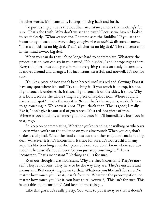In other words, it's inconstant. It keeps moving back and forth.

To put it simply, that's the Buddha. Inconstancy means that nothing's for sure. That's the truth. Why don't we see the truth? Because we haven't looked to see it clearly. "Whoever sees the Dhamma sees the Buddha." If you see the inconstancy of each and every thing, you give rise to *nibbidā:* disenchantment. "That's all this is: no big deal. That's all that is: no big deal." The concentration in the mind is—no big deal.

When you can do that, it's no longer hard to contemplate. Whatever the preoccupation, you can say in your mind, "No big deal," and it stops right there. Everything becomes empty and in vain: everything that's unsteady, inconstant. It moves around and changes. It's inconstant, stressful, and not-self. It's not for sure.

It's like a piece of iron that's been heated until it's red and glowing: Does it have any spot where it's cool? Try touching it. If you touch it on top, it's hot. If you touch it underneath, it's hot. If you touch it on the sides, it's hot. Why is it hot? Because the whole thing is a piece of red-hot iron. Where could it have a cool spot? That's the way it is. When that's the way it is, we don't have to go touching it. We know it's hot. If you think that "This is good; I really like it," don't give it your seal of guarantee. It's a red-hot piece of iron. Wherever you touch it, wherever you hold onto it, it'll immediately burn you in every way.

So keep on contemplating. Whether you're standing or walking or whatever —even when you're on the toilet or on your almsround: When you eat, don't make it a big deal. When the food comes out the other end, don't make it a big deal. Whatever it is, it's inconstant. It's not for sure. It's not truthful in any way. It's like touching a red-hot piece of iron. You don't know where you can touch it because it's hot all over. So you just stop touching it. "This is inconstant. That's inconstant." Nothing at all is for sure.

Even our thoughts are inconstant. Why are they inconstant? They're notself. They're not ours. They have to be the way they are. They're unstable and inconstant. Boil everything down to that. Whatever you like isn't for sure. No matter how much you like it, it isn't for sure. Whatever the preoccupation, no matter how much you like it, you have to tell yourself, "This isn't for sure. This is unstable and inconstant." And keep on watching….

Like this glass: It's really pretty. You want to put it away so that it doesn't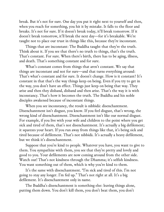break. But it's not for sure. One day you put it right next to yourself and then, when you reach for something, you hit it by mistake. It falls to the floor and breaks. It's not for sure. If it doesn't break today, it'll break tomorrow. If it doesn't break tomorrow, it'll break the next day—for it's breakable. We're taught not to place our trust in things like this, because they're inconstant.

Things that are inconstant: The Buddha taught that they're the truth. Think about it. If you see that there's no truth to things, that's the truth. That's constant. For sure. When there's birth, there has to be aging, illness, and death. That's something constant and for sure.

What's constant comes from things that aren't constant. We say that things are inconstant and not for sure—and that turns everything around: That's what's constant and for sure. It doesn't change. How is it constant? It's constant in that that's the way things keep on being. Even if you try to get in the way, you don't have an effect. Things just keep on being that way. They arise and then they disband, disband and then arise. That's the way it is with inconstancy. That's how it becomes the truth. The Buddha and his noble disciples awakened because of inconstant things.

When you see inconstancy, the result is nibbidā: disenchantment. Disenchantment isn't disgust, you know. If you feel disgust, that's wrong, the wrong kind of disenchantment. Disenchantment isn't like our normal disgust. For example, if you live with your wife and children to the point where you get sick and tired of them, that's not disenchantment. It's actually a big defilement; it squeezes your heart. If you run away from things like that, it's being sick and tired because of defilement. That's not nibbidā. It's actually a heavy defilement, but we think it's disenchantment.

Suppose that you're kind to people. Whatever you have, you want to give to them. You sympathize with them, you see that they're pretty and lovely and good to you. Your defilements are now coming around from the other side. Watch out! That's not kindness through the Dhamma; it's selfish kindness. You want something out of them, which is why you're kind to them.

It's the same with disenchantment. "I'm sick and tired of this. I'm not going to stay any longer. I'm fed up." That's not right at all. It's a big defilement. It's disenchantment only in name.

The Buddha's disenchantment is something else: leaving things alone, putting them down. You don't kill them, you don't beat them, you don't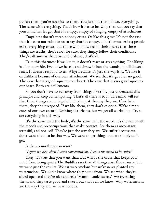punish them, you're not nice to them. You just put them down. Everything. The same with everything. That's how it has to be. Only then can you say that your mind has let go, that it's empty: empty of clinging, empty of attachment.

Emptiness doesn't mean nobody exists. Or like this glass: It's not the case that it has to not exist for us to say that it's empty. This thermos exists; people exist; everything exists, but those who know feel in their hearts that these things are truths, they're not for sure, they simply follow their conditions: They're dhammas that arise and disband, that's all.

Take this thermos: If we like it, it doesn't react or say anything. The liking is all on our side. Even if we hate it and throw it into the woods, it still doesn't react. It doesn't respond to us. Why? Because it's just the way it is. We like it or dislike it because of our own attachment. We see that it's good or no good. The view that it's good squeezes our heart. The view that it's no good squeezes our heart. Both are defilements.

So you don't have to run away from things like this. Just understand this principle and keep contemplating. That's all there is to it. The mind will see that these things are no big deal. They're just the way they are. If we hate them, they don't respond. If we like them, they don't respond. We're simply crazy of our own accord. Nothing disturbs us, but we get all worked up. Try to see everything in this way.

It's the same with the body; it's the same with the mind; it's the same with the moods and preoccupations that make contact: See them as inconstant, stressful, and not-self. They're just the way they are. We suffer because we don't want them to be that way. We want to get things that we simply can't get.

Is there something you want?

## *"I guess it's like when I want concentration. I want the mind to be quiet."*

Okay, it's true that you want that. But what's the cause that keeps your mind from being quiet? The Buddha says that all things arise from causes, but we want just the results. We eat watermelons but we've never planted any watermelons. We don't know where they come from. We see when they're sliced open and they're nice and red: "Mmm. Looks sweet." We try eating them, and they taste good and sweet, but that's all we know. Why watermelons are the way they are, we have no idea.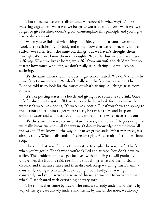That's because we aren't all-around. All-around in what way? It's like watering vegetables. Wherever we forget to water doesn't grow. Wherever we forget to give fertilizer doesn't grow. Contemplate this principle and you'll give rise to discernment.

When you've finished with things outside, you look at your own mind. Look at the affairs of your body and mind. Now that we're born, why do we suffer? We suffer from the same old things, but we haven't thought them through. We don't know them thoroughly. We suffer but we don't really *see* suffering. When we live at home, we suffer from our wife and children, but no matter how much we suffer, we don't really see suffering—so we keep on suffering.

It's the same when the mind doesn't get concentrated. We don't know why it won't get concentrated. We don't really see what's actually arising. The Buddha told us to look for the causes of what's arising. All things arise from causes.

It's like putting water in a bottle and giving it to someone to drink. Once he's finished drinking it, he'll have to come back and ask for more—for the water isn't water in a spring. It's water in a bottle. But if you show the spring to the person and tell him to get water there, he can sit there and keep on drinking water and won't ask you for any more, for the water never runs out.

It's the same when we see inconstancy, stress, and not-self. It goes deep, for we really know, we know all the way in. Ordinary knowledge doesn't know all the way in. If we know all the way in, it never grows stale. Whatever arises, it's already right. When it disbands, it's already right. As a result, it's right without stop.

The view that says, "That's the way it is. It's right the way it is": That's when you've got it. That's when you're skilled and at ease. You don't have to suffer. The problems that we get involved with and cling to will gradually unravel. As the Buddha said, see simply that things arise and then disband, disband and then arise, arise and then disband. Keep watching this Dhamma constantly, doing it constantly, developing it constantly, cultivating it constantly, and you'll arrive at a sense of disenchantment. Disenchanted with what? Disenchanted with everything of every sort.

The things that come by way of the ears, we already understand them; by way of the eyes, we already understand them; by way of the nose, we already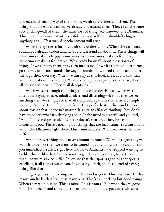understand them; by way of the tongue, we already understand them. The things that arise at the mind, we already understand them. They're all the same sort of thing—all of them, the same sort of thing: *eko dhammo,* one Dhamma. This Dhamma is inconstant, stressful, and not-self. You shouldn't cling to anything at all. That way, disenchantment will arise.

When the eye sees a form, you already understand it. When the ear hears a sound, you already understand it. You understand all about it. These things will sometimes make us happy, sometimes sad, sometimes make us feel love, sometimes make us feel hatred. We already know all about these sorts of things. If we cling to them, they turn into issues. If we let them go—let forms go the way of forms, sounds the way of sounds—if we send them back and let them go their own way: When we can stay at this level, the Buddha said that we'll see all about inconstancy. Whatever the preoccupations that arise, they're all empty and in vain. They're all deceptions.

When we see through the things that used to deceive us—when we're intent on staying at ease, mindful, alert, and discerning—it's not that we see anything else. We simply see that all the preoccupations that arise are simply the way they are. Even if, while we're sitting perfectly still, the mind thinks about this or that, it doesn't matter. It's just an affair of thinking. You don't have to believe what it's thinking about. If the mind is peaceful and you feel, "Ah, it's nice and peaceful," the peace doesn't matter, either. Peace is inconstant, too. There's nothing but things that are inconstant. You can sit and watch the Dhamma right there. Discernment arises: What reason is there to suffer?

We suffer over things that never amount to much. We want to get this, we want it to be like that, we want to be something. If you want to be an arahant, you immediately suffer, right here and now. Arahants have stopped wanting to be like this or like that, but we want to get this and get that, to be this and be that—so we're sure to suffer. If you see that this spot is good or that spot is excellent, it all comes out of you. If you see yourself, that's the end of saying things like that.

I'll give you a simple comparison. This food is good. This tray is worth this many hundreds; that tray, this many tens. They're all nothing but good things. When they're on plates: "This is mine. This is yours." But when they've gone into the stomach and come out the other end, nobody argues over whose is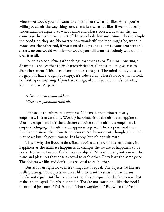whose—or would you still want to argue? That's what it's like. When you're willing to admit the way things are, that's just what it's like. If we don't really understand, we argue over what's mine and what's yours. But when they all come together as the same sort of thing, nobody lays any claims. They're simply the condition they are. No matter how wonderful the food might be, when it comes out the other end, if you wanted to give it as a gift to your brothers and sisters, no one would want it—or would you still want it? Nobody would fight over it at all.

For this reason, if we gather things together as *eko dhammo*—one single dhamma—and see that their characteristics are all the same, it gives rise to disenchantment. This disenchantment isn't disgust. The mind simply loosens its grip, it's had enough, it's empty, it's sobered up. There's no love, no hatred, no fixating on anything. If you have things, okay. If you don't, it's still okay. You're at ease. At peace.

*Nibbānaṁ paramaṁ sukhaṁ Nibbānaṁ paramaṁ suññaṁ.*

Nibbāna is the ultimate happiness. Nibbāna is the ultimate peace, emptiness. Listen carefully. Worldly happiness isn't the ultimate happiness. Worldly emptiness isn't the ultimate emptiness. The ultimate emptiness is empty of clinging. The ultimate happiness is peace. There's peace and then there's emptiness, the ultimate emptiness. At the moment, though, the mind is at peace but it's not ultimate. It's happy, but it's not ultimate.

This is why the Buddha described nibbāna as the ultimate emptiness, its happiness as the ultimate happiness. It changes the nature of happiness to be peace. It's happy but not fixated on any object. Pains still exist, but you see the pains and pleasures that arise as equal to each other. They have the same price. The objects we like and don't like are equal to each other.

But as for us right now, these things aren't equal. The objects we like are really pleasing. The objects we don't like, we want to smash. That means they're not equal. But their reality is that they're equal. So think in a way that makes them equal. They're not stable. They're not constant—like the food I mentioned just now. "This is good. That's wonderful." But when they're all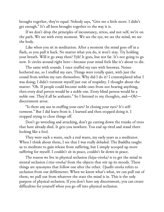brought together, they're equal. Nobody says, "Give me a little more. I didn't get enough." It's all been brought together to the way it is.

If we don't drop the principles of inconstancy, stress, and not-self, we're on the path. We see with every moment. We see the eye, we see the mind, we see the body.

Like when you sit in meditation. After a moment the mind goes off in a flash, so you pull it back. No matter what you do, it won't stay. Try holding your breath. Will it go away then? Yyb! It goes, but not far. It's not going to go now. It circles around right here—because your mind feels like it's about to die.

The same with sounds. I once stuffed my ears with beeswax. Noises bothered me, so I stuffed my ears. Things were totally quiet, with just the sound from within my ears themselves. Why did I do it? I contemplated what I was doing; I didn't torment myself just out of stupidity. I thought about the matter. "Oh. If people could become noble ones from not hearing anything, then every deaf person would be a noble one. Every blind person would be a noble one. They'd all be arahants." So I listened to my thoughts, and—Oh! discernment arose.

"Is there any use in stuffing your ears? In closing your eyes? It's selftorment." But I did learn from it. I learned and then stopped doing it. I stopped trying to close things off.

Don't go wrestling and attacking, don't go cutting down the trunks of trees that have already died. It gets you nowhere. You end up tired and stand there looking like a fool.

They were such a waste, such a real waste, my early years as a meditator. When I think about them, I see that I was really deluded. The Buddha taught us to meditate to gain release from suffering, but I simply scooped up more suffering for myself. I couldn't sit in peace, couldn't lie down in peace.

The reason we live in physical seclusion *(kāya-viveka)* is to get the mind in mental seclusion *(citta-viveka)* from the objects that stir up its moods. These things are synonyms that follow one after the other. *Upadhi-viveka* refers to seclusion from our defilements: When we know what's what, we can pull out of them; we pull out from whatever the state the mind is in. This is the only purpose of physical seclusion. If you don't have any discernment, you can create difficulties for yourself when you go off into physical seclusion.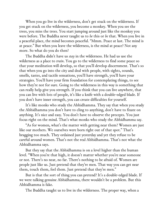When you go live in the wilderness, don't get stuck on the wilderness. If you get stuck on the wilderness, you become a monkey. When you see the trees, you miss the trees. You start jumping around just like the monkey you were before. The Buddha never taught us to *be* this or *be* that. When you live in a peaceful place, the mind becomes peaceful. "Mmm. Peace at last. The mind is at peace." But when you leave the wilderness, is the mind at peace? Not any more. So what do you do then?

The Buddha didn't have us *stay* in the wilderness. He had us use the wilderness as a place to *train*. You go to the wilderness to find some peace so that your meditation will develop, so that you'll develop discernment. That's so that when you go into the city and deal with people, with sights, sounds, smells, tastes, and tactile sensations, you'll have strength, you'll have your strategies. You'll have your firm foundation for contemplating things, to see how they're not for sure. Going to the wilderness in this way is something that can really help give you strength. If you think that you can live anywhere, that you can live with lots of people, it's like a knife with a double-edged blade. If you don't have inner strength, you can create difficulties for yourself.

It's like monks who study the Abhidhamma. They say that when you study the Abhidhamma you don't have to cling to anything, don't have to fixate on anything. It's nice and easy. You don't have to observe the precepts. You just focus right on the mind. That's what monks who study the Abhidhamma say.

"As for women, what's the matter with getting near them? Women are just like our mothers. We ourselves were born right out of that spot." That's bragging too much. They ordained just yesterday and yet they refuse to be careful around women. That's not the real Abhidhamma. That's not what the Abhidhamma says.

But they say that the Abhidhamma is on a level higher than the human level. "When you're that high, it doesn't matter whether you're near someone or not. There's no near, no far. There's nothing to be afraid of. Women are people just like us. Just pretend that they're men. That way you can get near them, touch them, feel them. Just pretend that they're men."

But is that the sort of thing you can pretend? It's a double-edged blade. If we were talking genuine Abhidhamma, there wouldn't be a problem. But this Abhidhamma is fake.

The Buddha taught us to live in the wilderness. The proper way, when a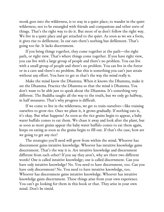monk goes into the wilderness, is to stay in a quiet place; to wander in the quiet wilderness; not to be entangled with friends and companions and other sorts of things. That's the right way to do it. But most of us don't follow the right way. We live in a quiet place and get attached to the quiet. As soon as we see a form, it gives rise to defilement. In our ears there's nothing but defilement. That's going too far. It lacks discernment.

If you bring things together, they come together at the path—the right path, or right view. That's where things come together. If you have right view, you can live with a large group of people and there's no problem. You can live with a small group of people and there's no problem. You can live in the forest or in a cave and there's no problem. But this is something you can't just attain without any effort. You have to get so that's the way the mind really is.

Make the mind know the Dhamma. When it knows the Dhamma, make it see the Dhamma. Practice the Dhamma so that the mind *is* Dhamma. You don't want to be able just to speak about the Dhamma. It's something very different. The Buddha taught all the way to the truth, but we only go halfway, in half measures. That's why progress is difficult.

If we come to live in the wilderness, we get to train ourselves—like training ourselves to grow rice. Once we plant it, it grows gradually. If nothing eats it, it's okay. But what happens? As soon as the rice grains begin to appear, a baby water buffalo comes to eat them. We chase it away and look after the plant, but as soon as more grains appear the baby water buffalo comes to eat them again, keeps on eating as soon as the grains begin to fill out. If that's the case, how are we going to get any rice?

The strategies you'll need will grow from within the mind. Whoever has discernment gains intuitive knowledge. Whoever has intuitive knowledge gains discernment. That's the way it is. Are intuitive knowledge and discernment different from each other? If you say they aren't, why are there two different words? One is called intuitive knowledge; one is called discernment. Can you have only intuitive knowledge? No. You need to have discernment, too. Can you have only discernment? No. You need to have intuitive knowledge, too. Whoever has discernment gains intuitive knowledge. Whoever has intuitive knowledge gains discernment. These things arise from your own experience. You can't go looking for them in this book or that. They arise in your own mind. Don't be timid.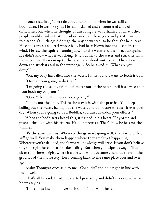I once read in a Jātaka tale about our Buddha when he was still a bodhisatta. He was like you: He had ordained and encountered a lot of difficulties, but when he thought of disrobing he was ashamed of what other people would think—that he had ordained all these years and yet still wanted to disrobe. Still, things didn't go the way he wanted, so he thought he'd leave. He came across a squirrel whose baby had been blown into the ocean by the wind. He saw the squirrel running down to the water and then back up again. He didn't know what it was doing. It ran down to the water and stuck its tail in the water, and then ran up to the beach and shook out its tail. Then it ran down and stuck its tail in the water again. So he asked it, "What are you doing?"

"Oh, my baby has fallen into the water. I miss it and I want to fetch it out." "How are you going to do that?"

"I'm going to use my tail to bail water out of the ocean until it's dry so that I can fetch my baby out."

"Oho. When will the ocean ever go dry?"

"That's not the issue. This is the way it is with the practice. You keep bailing out the water, bailing out the water, and don't care whether it ever goes dry. When you're going to be a Buddha, you can't abandon your efforts."

When the bodhisatta heard this, it flashed in his heart. He got up and pushed through with his efforts. He didn't retreat. That's how he became the Buddha.

It's the same with us. Wherever things aren't going well, that's where they *will* go well. You make them happen where they aren't yet happening. Wherever you're deluded, that's where knowledge will arise. If you don't believe me, spit right here. That'll make it dirty. But when you wipe it away, it'll be clean right here—right where it's dirty. It won't become clean out there in the grounds of the monastery. Keep coming back to the same place over and over again.

Ajahn Thongrat once said to me, "Chah, drill the hole right in line with the dowel."

That's all he said. I had just started practicing and didn't understand what he was saying.

"If it comes low, jump over its head." That's what he said.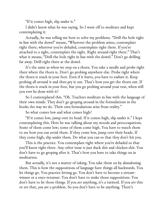"If it comes high, slip under it."

I didn't know what he was saying. So I went off to meditate and kept contemplating it.

Actually, he was telling me how to solve my problems. "Drill the hole right in line with the dowel" means, "Wherever the problem arises, contemplate right there; wherever you're deluded, contemplate right there. If you're attached to a sight, contemplate the sight. Right around right there." That's what it means, "Drill the hole right in line with the dowel." Don't go drilling far away. Drill right there at the dowel.

It's the same as when we step on a thorn. You take a needle and probe right there where the thorn is. Don't go probing anywhere else. Probe right where the thorn is stuck in your foot. Even if it hurts, you have to endure it. Keep probing all around it and then pry it out. That's how you get the thorn out. If the thorn is stuck in your foot, but you go probing around your rear, when will you ever be done with it?

So I contemplated this. "Oh. Teachers meditate in line with the language of their own minds. They don't go groping around in the formulations in the books the way we do. Their own formulations arise from reality."

So what comes low and what comes high?

"If it comes low, jump over its head. If it comes high, slip under it." I kept contemplating this. Here he was talking about my moods and preoccupations. Some of them come low; some of them come high. You have to watch them to see how you can avoid them. If they come low, jump over their heads. If they come high, slip under them. Do what you can so that they don't hit you.

This is the practice. You contemplate right where you're deluded so that you'll know right there. Any other issue is just duck shit and chicken shit. You don't have to go groping after it. That's how you have to take things on in meditation.

But actually, it's not a matter of taking. You take them on by abandoning them. This is how the suppositions of language have things all backwards. You let things go. You practice letting go. You don't have to become a streamwinner or a once-returner. You don't have to make those suppositions. You don't have to be those things. If you *are* anything, it's a turmoil. If you *are* this or *are* that, *you* are a problem. So you don't have to be anything. There's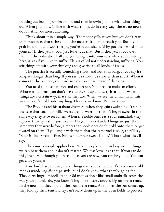nothing but letting go—letting go and then knowing in line with what things do. When you know in line with what things do in every way, there's no more doubt. And you aren't anything.

Think about it in a simple way. If someone yells at you but you don't rear up in response, that's the end of the matter. It doesn't reach you. But if you grab hold of it and won't let go, you're in bad shape. Why put their words into yourself? If they yell at you, just leave it at that. But if they yell at you over there in the ordination hall and you bring it into your ears while you're sitting here, it's as if you like to suffer. This is called not understanding suffering. You stir things up with your thinking and give rise to all kinds of issues.

The practice is actually something short, and not at all long. If you say it's long, it's longer than long. If you say it's short, it's shorter than short. When it comes to the practice, you can't use your ordinary ways of thinking.

You need to have patience and endurance. You need to make an effort. Whatever happens, you don't have to pick it up and carry it around. When things are a certain way, that's all they are. When we see the Dhamma in this way, we don't hold onto anything. Pleasure we know. Pain we know.

The Buddha and his arahant disciples, when they gain awakening: It's not the case that coconut-milk sweets aren't sweet for them. They're sweet in the same way they're sweet for us. When the noble ones eat a sour tamarind, they squeeze their eyes shut just like us. Do you understand? Things are just the same way they were before, simply that noble ones don't hold onto them or get fixated on them. If you argue with them that the tamarind is sour, they'll say, "Sour is fine. Sweet is fine. Neither sour nor sweet is fine." That's what they'll say.

The same principle applies here. When people come and say wrong things, we can hear them and it doesn't matter. We just leave it at that. If you can do this, then even though you're as old as you are now, you can be young. You can get a lot younger.

You don't have to carry these things over your shoulder. I've seen some old monks wandering *dhutaṅga*-style, but I don't know what they're going for. They carry huge umbrella tents. Old monks don't like small umbrella tents the way young monks do, you know. They like to carry around big umbrella tents. In the morning they fold up their umbrella tents. As soon as the sun comes up, they fold up their tents. They can't leave them up in the open fields to protect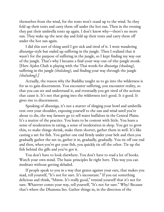themselves from the wind, for the tents won't stand up to the wind. So they fold up their tents and carry them off under the hot sun. Then in the evening they put their umbrella tents up again. I don't know why—there's no more sun. They wake up the next day and fold up their tents and carry them off under the hot sun again.

I did this sort of thing until I got sick and tired of it. I went wandering *dhutaṅga*-style but ended up suffering in the jungle. Then I realized that it wasn't for the purpose of suffering in the jungle, so I kept finding my way out of the jungle. That's why I became a find-your-way-out-of-the-jungle monk. [Here Ajahn Chah is playing with the Thai words for *dhutaṅga (thudong),* suffering in the jungle *(thukdong),* and finding your way through the jungle *(thaludong).]*

Actually, the reason why the Buddha taught us to go into the wilderness is for us to gain discernment. You encounter suffering, you encounter reality, so that you can see and understand it, and eventually you get tired of the actions that cause it. It's not that going into the wilderness isn't good. It *is* good. It gives rise to discernment.

Speaking of *dhutaṅga,* it's not a matter of slinging your bowl and umbrella tent over your shoulder, exposing yourself to the sun and wind until you're about to die, the way farmers go to sell water buffaloes in the Central Plains. It's a matter of the practice. You learn to be content with little. You learn a sense of moderation in eating, a sense of moderation in sleep. You get to grow thin, to make things shrink, make them shorter, gather them in well. It's like casting a net for fish. You gather one end firmly under your belt and then you gradually gather the net in, gather it in, gradually, gradually. You tie off one end and then, when you've got your fish, you quickly tie off the other. Tie up the fish behind the gills and you've got it.

You don't have to look elsewhere. You don't have to read a lot of books. Watch your own mind. The basic principles lie right here. This way you can meditate without getting deluded.

If people speak to you in a way that grates against your ears, that makes you mad, tell yourself, "It's not for sure. It's inconstant." If you eat something delicious and think, "Mmm. It's really good," remind yourself that it's not for sure. Whatever comes your way, tell yourself, "It's not for sure." Why? Because that's where the Dhamma lies. Gather things in, in the direction of the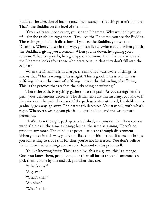Buddha, the direction of inconstancy. Inconstancy—that things aren't for sure: That's the Buddha on the level of the mind.

If you really see inconstancy, you see the Dhamma. Why wouldn't you see it?—for the truth lies right there. If you see the Dhamma, you see the Buddha. These things go in both directions. If you see the Buddha, you see the Dhamma. When you see in this way, you can live anywhere at all. When you sit, the Buddha is giving you a sermon. When you lie down, he's giving you a sermon. Whatever you do, he's giving you a sermon. The Dhamma arises and the Dhamma looks after those who practice it, so that they don't fall into the evil path.

When the Dhamma is in charge, the mind is always aware of things. It knows that "This is wrong. This is right. This is good. This is evil. This is suffering. This is the cause of suffering. This is the disbanding of suffering. This is the practice that reaches the disbanding of suffering."

That's the path. Everything gathers into the path. As you strengthen the path, your defilements decrease. The defilements are like an army, you know. If they increase, the path decreases. If the path gets strengthened, the defilements gradually go away, go away. Their strength decreases. You stay only with what's right. Whatever's wrong, you give it up, give it all up, and the wrong path peters out.

That's when the right path gets established, and you can live wherever you want. Gaining is the same as losing; losing, the same as gaining. There's no problem any more. The mind is at peace—at peace through discernment. When you see in this way, you're not fixated on this or that. If someone brings you something to trade this for that, you're not interested. You don't believe them. That's when things are for sure. Remember this point well.

It's like knowing fruits: This is an olive, this is a guava, this is a mango. Once you know them, people can pour them all into a tray and someone can pick them up one by one and ask you what they are.

"What's this?" "A guava." "What's this?" "An olive" "What's this?"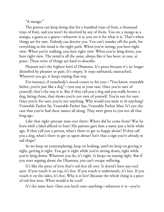"A mango."

The person can keep doing this for a hundred trays of fruit, a thousand trays of fruit, and you won't be deceived by any of them. You see a mango as a mango, a guava as a guava—whatever it is, you see it for what it is. That's when things are for sure. Nobody can deceive you. You can't wander off the path, for everything in the mind is the right path. When you're sitting, you have right view. When you're walking, you have right view. When you're lying down, you have right view. The mind is all the same, always like it has been: at ease, at peace. These sorts of things are hard to describe.

Pleasure isn't the highest level of Dhamma. It's peace because it's no longer disturbed by pleasure or pain. It's empty. It stays unfixated, unattached. Wherever you go, it keeps staying that way.

For instance, if somebody's mood comes to hit you—"You know, venerable father, you're just like a dog"—you stay at your ease. Once you're sure of yourself, that's the way it is. But if they call you a dog and you really *become* a dog, biting them, that shows you're not sure of yourself. You're not for sure. Once you're for sure, you're not anything. Why would you want to *be* anything? Venerable Father Sii, Venerable Father Saa, Venerable Father Maa: It's not the case that you've had these names all along. They were given to you not all that long ago.

Like that eight-precept man over there: Where did he come from? Was he born with a label affixed to him? His parents gave him a name just a little while ago. If they call you a person, what's there to get so happy about? If they call you a dog, what's there to get so upset about? Isn't that a sign you're already in sad shape?

So we keep on contemplating, keep on looking, until we keep on getting it right, getting it right. You get it right while you're sitting down, right while you're lying down. Whatever you do, it's right. It keeps on staying right. But if you start arguing about the Dhamma, you can't escape suffering.

It's like the piece of iron that's red-hot all over. It doesn't have any cool spot. If you touch it on top, it's hot. If you touch it underneath, it's hot. If you touch it on the sides, it's hot. Why is it hot? Because the whole thing is a piece of red-hot iron. *Where* would it be cool?

It's the same here. Once you latch onto anything—whatever it is—you're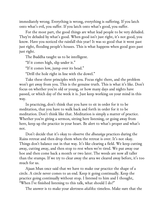immediately wrong. Everything is wrong, everything is suffering. If you latch onto what's evil, you suffer. If you latch onto what's good, you suffer.

For the most part, the good things are what lead people to be very deluded. They're deluded by what's good. When good isn't just right, it's not good, you know. Have you noticed the rainfall this year? It was so good that it went past just right, flooding people's houses. This is what happens when good goes past just right.

The Buddha taught us to be intelligent.

"If it comes high, slip under it."

"If it comes low, jump over its head."

"Drill the hole right in line with the dowel."

Take these three principles with you. Focus right there, and the problem won't get away from you. This is the genuine truth. This is what it's like. Don't focus on whether you're old or young, or how many days and nights have passed, or which day of the week it is. Just keep working on your mind in this way.

In practicing, don't think that you have to sit in order for it to be meditation, that you have to walk back and forth in order for it to be meditation. Don't think like that. Meditation is simply a matter of practice. Whether you're giving a sermon, sitting here listening, or going away from here, keep up the practice in your heart. Be alert to what's proper and what's not.

Don't decide that it's okay to observe the *dhutaṅga* practices during the Rains retreat and then drop them when the retreat is over. It's not okay. Things don't balance out in that way. It's like clearing a field. We keep cutting away, cutting away, and then stop to rest when we're tired. We put away our hoe and then come back a month or two later. The weeds are now all taller than the stumps. If we try to clear away the area we cleared away before, it's too much for us.

Ajaan Mun once said that we have to make our practice the shape of a circle. A circle never comes to an end. Keep it going continually. Keep the practice going continually without stop. I listened to him and I thought, "When I've finished listening to this talk, what should I do?"

The answer is to make your alertness *akāliko:* timeless. Make sure that the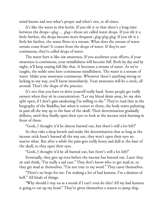mind knows and sees what's proper and what's not, at all times.

It's like the water in this kettle. If you tilt it so that there's a long time between the drops—*glug … glug*—those are called water drops. If you tilt it a little further, the drops become more frequent: *glug-glug-glug*. If you tilt it a little bit further, the water flows in a stream. What does the stream of water stream come from? It comes from the drops of water. If they're not continuous, they're called drops of water.

The water here is like our awareness. If you accelerate your efforts, if your awareness is continuous, your mindfulness will become full. Both by day and by night, it'll keep staying full like that. It becomes a stream of water. As we're taught, the noble ones have continuous mindfulness. The water is a stream of water. Make your awareness continuous. Whenever there's anything wrong or lacking in any way, you'll know immediately. Your awareness will be a circle, all around. That's the shape of the practice.

It's not that you have to drive yourself really hard. Some people get really earnest when they sit in concentration: "Let my blood drain away, let my skin split open, if I don't gain awakening I'm willing to die." They've read that in the biography of the Buddha, but when it comes to them, the body starts pulsating in pain all the way up to the base of the skull. Their determination gradually deflates, until they finally open their eyes to look at the incense stick burning in front of them.

"Gosh, I thought it'd be almost burned out, but there's still a lot left!"

So they take a deep breath and make the determination that as long as the incense stick hasn't burned all the way out, they won't open their eyes no matter what. But after a while the pain gets really heavy and dull at the base of the skull, so they open their eyes.

"Gosh, I thought it'd be all burned out, but there's still a lot left!"

Eventually, they give up even before the incense has burned out. Later they sit and think, "I'm really a sad case." They don't know who to get mad at, so they get mad at themselves. "I'm not true to my word." They curse themselves.

"There's no hope for me. I'm making a lot of bad kamma. I'm a denizen of hell." All kinds of things.

"Why should I stay on as a monk if I can't even do this? All my bad kamma is going to eat up my head." They've given themselves a reason to jump ship.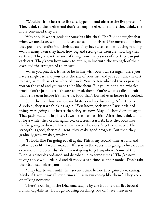"Wouldn't it be better to live as a layperson and observe the five precepts?" They think to themselves and don't tell anyone else. The more they think, the more convinced they are.

Why should we set goals for ourselves like that? The Buddha taught that when we meditate, we should have a sense of ourselves. Like merchants when they put merchandise into their carts: They have a sense of what they're doing —how many oxen they have, how big and strong the oxen are, how big their carts are. They know that sort of thing: how many sacks of rice they can put in each cart. They know how much to put in, in line with the strength of their oxen and the strength of their carts.

When you practice, it has to be in line with your own strength. Here you have a single cart and your ox is the size of your fist, and yet you want the cart to carry as much as a ten-wheeled truck. You see ten-wheeled trucks passing you on the road and you want to be like them. But you're not a ten-wheeled truck. You're just a cart. It's sure to break down. You're what's called a fruit that's ripe even before it's half-ripe, food that's burned even before it's cooked.

So in the end those earnest meditators end up disrobing. After they've disrobed, they start thinking again. "You know, back when I was ordained things were going a lot better than they are now. Maybe I should ordain again. That path was a lot brighter. It wasn't as dark as this." After they think about it for a while, they ordain again. Make a fresh start. At first they look like they're going to do well, like a new boxer who doesn't yet need water. Their strength is good, they're diligent, they make good progress. But then they gradually grow weaker, weaker.

"It looks like I'm going to fail again. This is my second time around and still it looks like I won't make it. If I stay in the robes, I'm going to break down even more. I'd better disrobe. I'm not going to get anywhere. Some of the Buddha's disciples ordained and disrobed up to seven times." They're now taking those who ordained and disrobed seven times as their model. Don't take their bad example as your model.

"They had to wait until their seventh time before they gained awakening. Maybe if I give it my all seven times I'll gain awakening like them." They keep on talking nonsense.

There's nothing in the Dhamma taught by the Buddha that lies beyond human capabilities. Don't go focusing on things you can't see: heaven or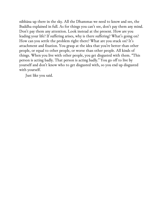nibbāna up there in the sky. All the Dhammas we need to know and see, the Buddha explained in full. As for things you can't see, don't pay them any mind. Don't pay them any attention. Look instead at the present. How are you leading your life? If suffering arises, why is there suffering? What's going on? How can you settle the problem right there? What are you stuck on? It's attachment and fixation. You grasp at the idea that you're better than other people, or equal to other people, or worse than other people. All kinds of things. When you live with other people, you get disgusted with them. "This person is acting badly. That person is acting badly." You go off to live by yourself and don't know who to get disgusted with, so you end up disgusted with yourself.

Just like you said.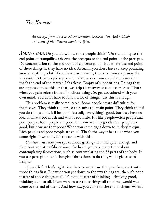## *The Knower*

*An excerpt from a recorded conversation between Ven. Ajahn Chah and some of his Western monk disciples.*

*AJAHN CHAH:* Do you know how some people think? "Do tranquility to the end point of tranquility. Observe the precepts to the end point of the precepts. Do concentration to the end point of concentration." But where the end point of these things is, they have no idea. Actually, you don't have to keep pounding away at anything a lot. If you have discernment, then once you strip away the suppositions that people suppose into being, once you strip them away then that's the end of the matter. It's release. Empty of suppositions. Things that are supposed to be this or that, we strip them away so as to see release. That's when you gain release from all of those things. So get acquainted with your own mind. You don't have to follow a lot of things. Just this is enough.

This problem is really complicated. Some people create difficulties for themselves. They think too far, so they miss the main point. They think that if you do things a lot, it'll be good. Actually, everything's good, but they have no idea of what's too much and what's too little. It's like people—rich people and poor people. Rich people are good, but how are they good? Poor people are good, but how are they poor? When you come right down to it, they're equal. Rich people and poor people are equal. That's the way it has to be when you come right down to it. It's the same with this.

*Question:* Just now you spoke about getting the mind quiet enough and then contemplating fabrications. I've heard you talk many times about contemplating fabrications, such as contemplating the 32 parts of the body. If you use perceptions and thought-fabrications to do this, will it give rise to insight?

*Ajahn Chah:* That's right. You have to use those things at first, start with those things first. But when you get down to the way things are, then it's not a matter of those things at all. It's not a matter of thinking—thinking good, thinking bad—at all. If you were to use those things all the time, would you come to the end of them? And how *will* you come to the end of them? When I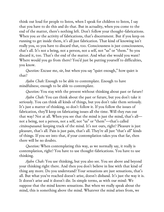think out loud for people to listen, when I speak for children to listen, I say that you have to do this and do that. But in actuality, when you come to the end of the matter, there's nothing left. Don't follow your thought-fabrications. When you *see* the activity of fabrications, that's discernment. But if you keep on running to get inside them, it's all just fabrication. That kind of knowing isn't really you, so you have to discard that, too. Consciousness is just consciousness, that's all. It's not a being, not a person, not a self, not "us" or "them." So you discard it, too. That's the end of the matter. And what else would you want? Where would you go from there? You'd just be putting yourself to difficulties, you know.

*Question:* Excuse me, sir, but when you say "quiet enough," how quiet is that?

*Ajahn Chah:* Enough to be able to contemplate. Enough to have mindfulness; enough to be able to contemplate.

*Question:* You stay with the present without thinking about past or future?

*Ajahn Chah:* You can think about the past or future, but you don't take it seriously. You can think all kinds of things, but you don't take them seriously. It's just a matter of thinking, so don't follow it. If you follow the issues of fabrication, they'll keep on fabricating issues all the time. Will they run out that way? Not at all. When you see that the mind is just the mind, that's all not a being, not a person, not a self, not "us" or "them"—that's called *cittānupassanā:* keeping track of the mind. It's not ours, right? Pleasure is just pleasure, that's all. Pain is just pain, that's all. They're all just "that's all" kinds of things. If you see into that, if your contemplation takes you that far, then there will be no doubts.

*Question:* When contemplating this way, as we normally say, it really is contemplation, right? You have to use thought-fabrications. You have to use thinking.

*Ajahn Chah:* You use thinking, but you also see. You see above and beyond your thinking right there. And then you don't believe in line with that kind of thing any more. Do you understand? Your sensations are just sensations, that's all. But what you've reached doesn't arise, doesn't disband. It's just the way it is. It doesn't arise and it doesn't die. In simple terms, as with our mind: We suppose that the mind knows sensations. But when we really speak about the mind, this is something above the mind. Whatever the mind arises from, we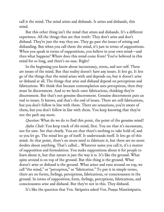call it the mind. The mind arises and disbands. It arises and disbands, this mind.

But this other thing isn't the mind that arises and disbands. It's a different experience. All the things that are that truth: They don't arise and don't disband. They're just the way they are. They go past the issues of arising and disbanding. But when you call them the mind, it's just in terms of suppositions. When you speak in terms of suppositions, you believe in your own mind—and then what happens? Where does this mind come from? You've believed in this mind for so long, and there's no ease. Right?

In the beginning you know about inconstancy, stress, and not-self. These are issues of the mind. But that reality doesn't have any issues. It lets go. It lets go of the things that the mind arises with and depends on, but it doesn't arise or disband at all. The things that arise and disband depend on perceptions and fabrications. We think that because contemplation uses perceptions, then they must be discernment. And so we latch onto fabrications, thinking they're discernment. But that's not genuine discernment. Genuine discernment puts an end to issues. It knows, and that's the end of issues. There are still fabrications, but you don't follow in line with them. There are sensations, you're aware of them, but you don't follow in line with them. You keep knowing that they're not the path any more.

*Question:* What do we do to find this point, the point of the genuine mind?

*Ajahn Chah:* You keep track of *this* mind, first. You see that it's inconstant, not for sure. See that clearly. You see that there's nothing to take hold of, and so you let go. The mind lets go of itself. It understands itself. It lets go of this mind. At that point, there's no more need to fabricate it, but there are no more doubts about anything. That's called… Whatever name you call it, it's a matter of supposition and formulation. You make suppositions about it for people to learn about it, but that nature is just the way it is. It's like the ground. What spins around is on top of the ground. But this thing is the ground. What doesn't arise or disband is the ground. What arises and runs around on top, we call "the mind," or "perception," or "fabrication." To put it in simple terms, there are no forms, feelings, perceptions, fabrications, or consciousness in the ground. In terms of supposition, form, feelings, perceptions, fabrications, and consciousness arise and disband. But they're not in this. They disband.

It's like the question that Ven. Sāriputta asked Ven. Puṇṇa Mantāniputta.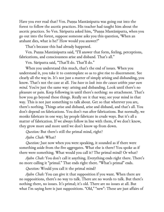Have you ever read that? Ven. Puṇṇa Mantāniputta was going out into the forest to follow the ascetic practices. His teacher had taught him about the ascetic practices. So Ven. Sāriputta asked him, "Puṇṇa Mantāniputta, when you go out into the forest, suppose someone asks you this question, 'When an arahant dies, what is he?' How would you answer?"

That's because this had already happened.

Ven. Puṇṇa Mantāniputta said, "I'll answer that form, feeling, perceptions, fabrications, and consciousness arise and disband. That's all."

Ven. Sāriputta said, "That'll do. That'll do."

When you understand this much, that's the end of issues. When you understand it, you take it to contemplate so as to give rise to discernment. See clearly all the way in. It's not just a matter of simply arising and disbanding, you know. That's not the case at all. *You have to look into the causes within your own mind.* You're just the same way: arising and disbanding. Look until there's no pleasure or pain. Keep following in until there's nothing: no attachment. That's how you go beyond these things. Really see it that way; see your mind in that way. This is not just something to talk about. Get so that wherever you are, there's nothing. Things arise and disband, arise and disband, and that's all. You don't depend on fabrications. You don't run after fabrications. But normally, we monks fabricate in one way; lay people fabricate in crude ways. But it's all a matter of fabrication. If we always follow in line with them, if we don't know, they grow more and more until we don't know up from down.

*Question:* But there's still the primal mind, right?

*Ajahn Chah:* What?

*Question:* Just now when you were speaking, it sounded as if there were something aside from the five aggregates. What else is there? You spoke as if there were something. What would you call it? The primal mind? Or what?

*Ajahn Chah:* You don't call it anything. Everything ends right there. There's no more calling it "primal." That ends right there. "What's primal" ends.

*Question:* Would you call it the primal mind?

*Ajahn Chah:* You can give it that supposition if you want. When there are no suppositions, there's no way to talk. There are no words to talk. But there's nothing there, no issues. It's primal; it's old. There are no issues at all. But what I'm saying here is just suppositions. "Old," "new": These are just affairs of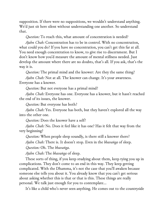supposition. If there were no suppositions, we wouldn't understand anything. We'd just sit here silent without understanding one another. So understand that.

*Question:* To reach this, what amount of concentration is needed?

*Ajahn Chah:* Concentration has to be in control. With no concentration, what could you do? If you have no concentration, you can't get this far at all. You need enough concentration to know, to give rise to discernment. But I don't know how you'd measure the amount of mental stillness needed. Just develop the amount where there are no doubts, that's all. If you ask, that's the way it is.

*Question:* The primal mind and the knower: Are they the same thing?

*Ajahn Chah:* Not at all. The knower can change. It's your awareness. Everyone has a knower.

*Question:* But not everyone has a primal mind?

*Ajahn Chah:* Everyone has one. Everyone has a knower, but it hasn't reached the end of its issues, the knower.

*Question:* But everyone has both?

*Ajahn Chah:* Yes. Everyone has both, but they haven't explored all the way into the other one.

*Question:* Does the knower have a self?

*Ajahn Chah:* No. Does it feel like it has one? Has it felt that way from the very beginning?

*Question:* When people sleep soundly, is there still a knower there?

*Ajahn Chah:* There is. It doesn't stop. Even in the *bhavaṅga* of sleep.

*Question:* Oh. The *bhavaṅga*.

*Ajahn Chah:* The *bhavaṅga* of sleep.

These sorts of thing, if you keep studying about them, keep tying you up in complications. They don't come to an end in this way. They keep getting complicated. With the Dhamma, it's not the case that you'll awaken because someone else tells you about it. You already know that you can't get serious about asking whether this is that or that is this. These things are really personal. We talk just enough for you to contemplate…

It's like a child who's never seen anything. He comes out to the countryside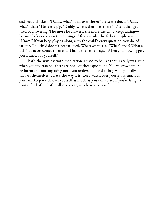and sees a chicken. "Daddy, what's that over there?" He sees a duck. "Daddy, what's that?" He sees a pig. "Daddy, what's that over there?" The father gets tired of answering. The more he answers, the more the child keeps asking because he's never seen these things. After a while, the father simply says, "Hmm." If you keep playing along with the child's every question, you die of fatigue. The child doesn't get fatigued. Whatever it sees, "What's that? What's this?" It never comes to an end. Finally the father says, "When you grow bigger, you'll know for yourself."

That's the way it is with meditation. I used to be like that. I really was. But when you understand, there are none of those questions. You've grown up. So be intent on contemplating until you understand, and things will gradually unravel themselves. That's the way it is. Keep watch over yourself as much as you can. Keep watch over yourself as much as you can, to see if you're lying to yourself. That's what's called keeping watch over yourself.